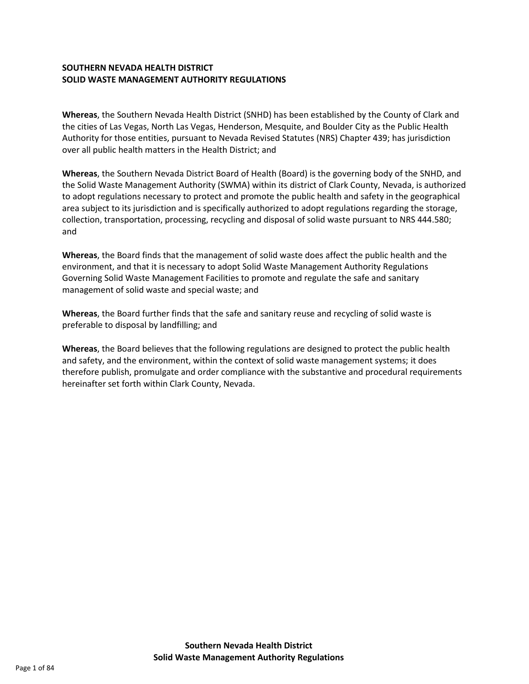#### **SOUTHERN NEVADA HEALTH DISTRICT SOLID WASTE MANAGEMENT AUTHORITY REGULATIONS**

**Whereas**, the Southern Nevada Health District (SNHD) has been established by the County of Clark and the cities of Las Vegas, North Las Vegas, Henderson, Mesquite, and Boulder City as the Public Health Authority for those entities, pursuant to Nevada Revised Statutes (NRS) Chapter 439; has jurisdiction over all public health matters in the Health District; and

**Whereas**, the Southern Nevada District Board of Health (Board) is the governing body of the SNHD, and the Solid Waste Management Authority (SWMA) within its district of Clark County, Nevada, is authorized to adopt regulations necessary to protect and promote the public health and safety in the geographical area subject to its jurisdiction and is specifically authorized to adopt regulations regarding the storage, collection, transportation, processing, recycling and disposal of solid waste pursuant to NRS 444.580; and

**Whereas**, the Board finds that the management of solid waste does affect the public health and the environment, and that it is necessary to adopt Solid Waste Management Authority Regulations Governing Solid Waste Management Facilities to promote and regulate the safe and sanitary management of solid waste and special waste; and

**Whereas**, the Board further finds that the safe and sanitary reuse and recycling of solid waste is preferable to disposal by landfilling; and

**Whereas**, the Board believes that the following regulations are designed to protect the public health and safety, and the environment, within the context of solid waste management systems; it does therefore publish, promulgate and order compliance with the substantive and procedural requirements hereinafter set forth within Clark County, Nevada.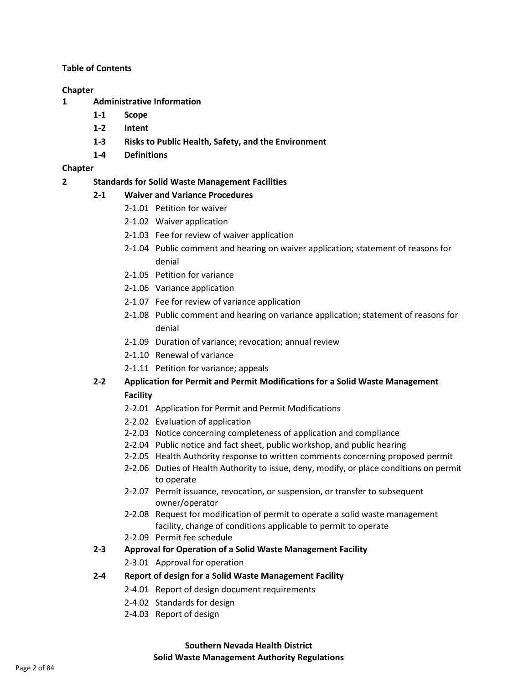#### **Table of Contents**

#### **Chapter**

- **1 Administrative Information**
	- **1-1 Scope**
	- **1-2 Intent**
	- **1-3 Risks to Public Health, Safety, and the Environment**
	- **1-4 Definitions**

#### **Chapter**

- **2 Standards for Solid Waste Management Facilities**
	- **2-1 Waiver and Variance Procedures**
		- 2-1.01 Petition for waiver
		- 2-1.02 Waiver application
		- 2-1.03 Fee for review of waiver application
		- 2-1.04 Public comment and hearing on waiver application; statement of reasons for denial
		- 2-1.05 Petition for variance
		- 2-1.06 Variance application
		- 2-1.07 Fee for review of variance application
		- 2-1.08 Public comment and hearing on variance application; statement of reasons for denial
		- 2-1.09 Duration of variance; revocation; annual review
		- 2-1.10 Renewal of variance
		- 2-1.11 Petition for variance; appeals

# **2-2 Application for Permit and Permit Modifications for a Solid Waste Management Facility**

- 2-2.01 Application for Permit and Permit Modifications
- 2-2.02 Evaluation of application
- 2-2.03 Notice concerning completeness of application and compliance
- 2-2.04 Public notice and fact sheet, public workshop, and public hearing
- 2-2.05 Health Authority response to written comments concerning proposed permit
- 2-2.06 Duties of Health Authority to issue, deny, modify, or place conditions on permit to operate
- 2-2.07 Permit issuance, revocation, or suspension, or transfer to subsequent owner/operator
- 2-2.08 Request for modification of permit to operate a solid waste management facility, change of conditions applicable to permit to operate
- 2-2.09 Permit fee schedule
- **2-3 Approval for Operation of a Solid Waste Management Facility**
	- 2-3.01 Approval for operation

#### **2-4 Report of design for a Solid Waste Management Facility**

- 2-4.01 Report of design document requirements
- 2-4.02 Standards for design
- 2-4.03 Report of design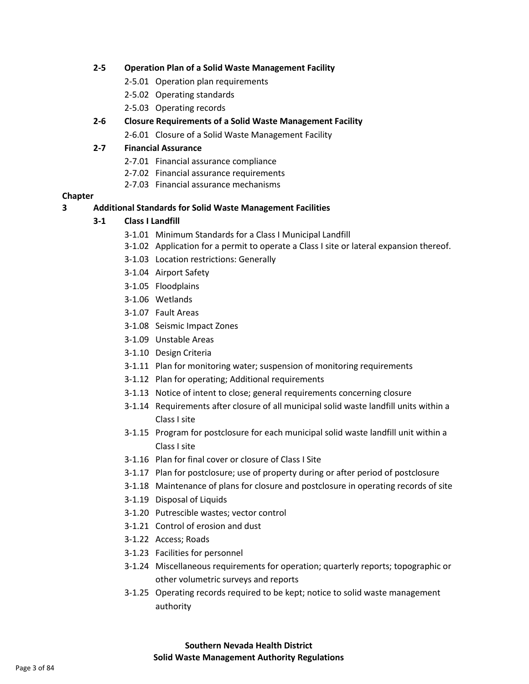#### **2-5 Operation Plan of a Solid Waste Management Facility**

- 2-5.01 Operation plan requirements
- 2-5.02 Operating standards
- 2-5.03 Operating records

## **2-6 Closure Requirements of a Solid Waste Management Facility**

2-6.01 Closure of a Solid Waste Management Facility

## **2-7 Financial Assurance**

- 2-7.01 Financial assurance compliance
- 2-7.02 Financial assurance requirements
- 2-7.03 Financial assurance mechanisms

## **Chapter**

## **3 Additional Standards for Solid Waste Management Facilities**

# **3-1 Class I Landfill**

- 3-1.01 Minimum Standards for a Class I Municipal Landfill
- 3-1.02 Application for a permit to operate a Class I site or lateral expansion thereof.
- 3-1.03 Location restrictions: Generally
- 3-1.04 Airport Safety
- 3-1.05 Floodplains
- 3-1.06 Wetlands
- 3-1.07 Fault Areas
- 3-1.08 Seismic Impact Zones
- 3-1.09 Unstable Areas
- 3-1.10 Design Criteria
- 3-1.11 Plan for monitoring water; suspension of monitoring requirements
- 3-1.12 Plan for operating; Additional requirements
- 3-1.13 Notice of intent to close; general requirements concerning closure
- 3-1.14 Requirements after closure of all municipal solid waste landfill units within a Class I site
- 3-1.15 Program for postclosure for each municipal solid waste landfill unit within a Class I site
- 3-1.16 Plan for final cover or closure of Class I Site
- 3-1.17 Plan for postclosure; use of property during or after period of postclosure
- 3-1.18 Maintenance of plans for closure and postclosure in operating records of site
- 3-1.19 Disposal of Liquids
- 3-1.20 Putrescible wastes; vector control
- 3-1.21 Control of erosion and dust
- 3-1.22 Access; Roads
- 3-1.23 Facilities for personnel
- 3-1.24 Miscellaneous requirements for operation; quarterly reports; topographic or other volumetric surveys and reports
- 3-1.25 Operating records required to be kept; notice to solid waste management authority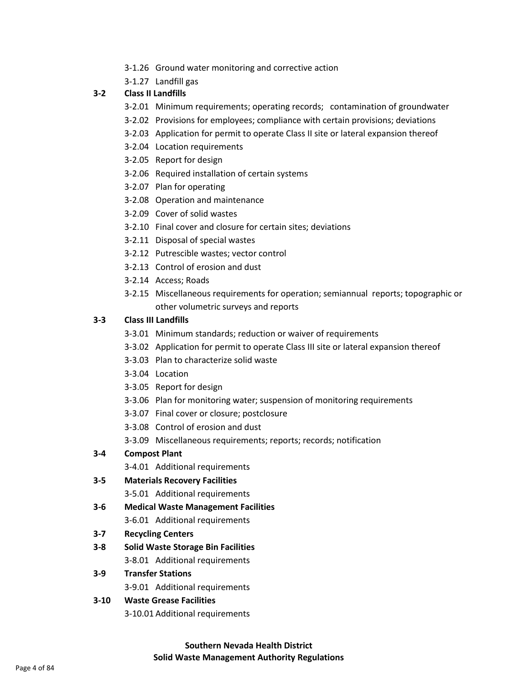- 3-1.26 Ground water monitoring and corrective action
- 3-1.27 Landfill gas

#### **3-2 Class II Landfills**

- 3-2.01 Minimum requirements; operating records; contamination of groundwater
- 3-2.02 Provisions for employees; compliance with certain provisions; deviations
- 3-2.03 Application for permit to operate Class II site or lateral expansion thereof
- 3-2.04 Location requirements
- 3-2.05 Report for design
- 3-2.06 Required installation of certain systems
- 3-2.07 Plan for operating
- 3-2.08 Operation and maintenance
- 3-2.09 Cover of solid wastes
- 3-2.10 Final cover and closure for certain sites; deviations
- 3-2.11 Disposal of special wastes
- 3-2.12 Putrescible wastes; vector control
- 3-2.13 Control of erosion and dust
- 3-2.14 Access; Roads
- 3-2.15 Miscellaneous requirements for operation; semiannual reports; topographic or other volumetric surveys and reports

#### **3-3 Class III Landfills**

- 3-3.01 Minimum standards; reduction or waiver of requirements
- 3-3.02 Application for permit to operate Class III site or lateral expansion thereof
- 3-3.03 Plan to characterize solid waste
- 3-3.04 Location
- 3-3.05 Report for design
- 3-3.06 Plan for monitoring water; suspension of monitoring requirements
- 3-3.07 Final cover or closure; postclosure
- 3-3.08 Control of erosion and dust
- 3-3.09 Miscellaneous requirements; reports; records; notification

#### **3-4 Compost Plant**

3-4.01 Additional requirements

#### **3-5 Materials Recovery Facilities**

- 3-5.01 Additional requirements
- **3-6 Medical Waste Management Facilities**
	- 3-6.01 Additional requirements
- **3-7 Recycling Centers**
- **3-8 Solid Waste Storage Bin Facilities**
	- 3-8.01 Additional requirements

#### **3-9 Transfer Stations**

3-9.01 Additional requirements

#### **3-10 Waste Grease Facilities**

3-10.01 Additional requirements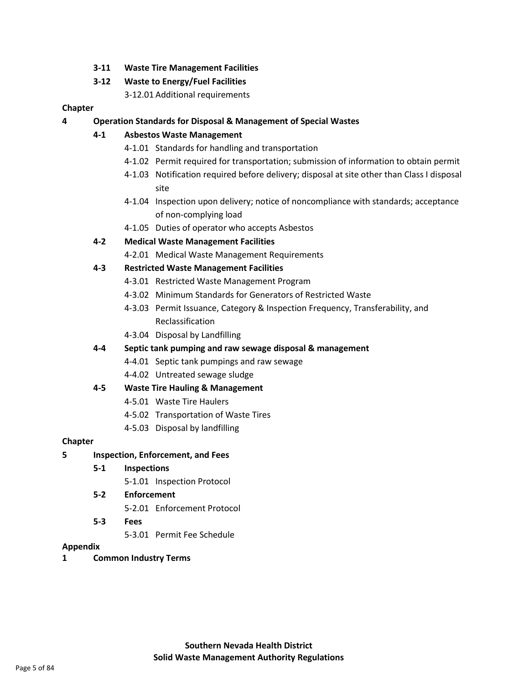**3-11 Waste Tire Management Facilities**

## **3-12 Waste to Energy/Fuel Facilities**

3-12.01 Additional requirements

## **Chapter**

**4 Operation Standards for Disposal & Management of Special Wastes**

# **4-1 Asbestos Waste Management**

- 4-1.01 Standards for handling and transportation
- 4-1.02 Permit required for transportation; submission of information to obtain permit
- 4-1.03 Notification required before delivery; disposal at site other than Class I disposal site
- 4-1.04 Inspection upon delivery; notice of noncompliance with standards; acceptance of non-complying load
- 4-1.05 Duties of operator who accepts Asbestos

# **4-2 Medical Waste Management Facilities**

4-2.01 Medical Waste Management Requirements

# **4-3 Restricted Waste Management Facilities**

- 4-3.01 Restricted Waste Management Program
- 4-3.02 Minimum Standards for Generators of Restricted Waste
- 4-3.03 Permit Issuance, Category & Inspection Frequency, Transferability, and Reclassification
- 4-3.04 Disposal by Landfilling

## **4-4 Septic tank pumping and raw sewage disposal & management**

- 4-4.01 Septic tank pumpings and raw sewage
- 4-4.02 Untreated sewage sludge

## **4-5 Waste Tire Hauling & Management**

- 4-5.01 Waste Tire Haulers
- 4-5.02 Transportation of Waste Tires
- 4-5.03 Disposal by landfilling

# **Chapter**

# **5 Inspection, Enforcement, and Fees**

- **5-1 Inspections**
	- 5-1.01 Inspection Protocol

# **5-2 Enforcement**

- 5-2.01 Enforcement Protocol
- **5-3 Fees**
	- 5-3.01 Permit Fee Schedule

## **Appendix**

**1 Common Industry Terms**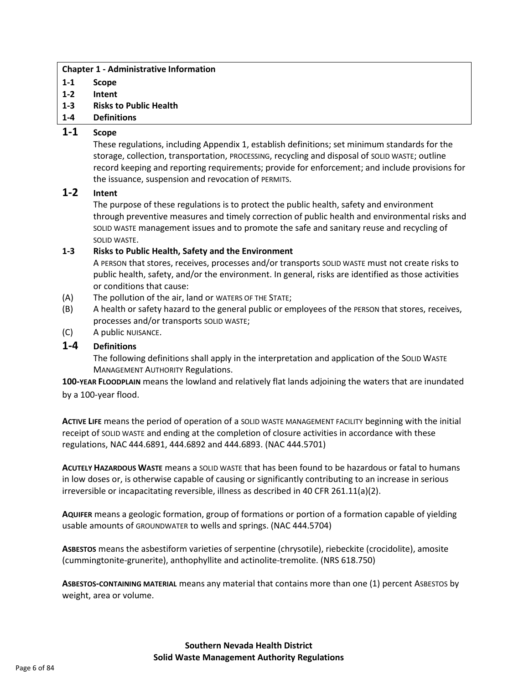#### **Chapter 1 - Administrative Information**

- **1-1 Scope**
- **1-2 Intent**
- **1-3 Risks to Public Health**
- **1-4 Definitions**

# **1-1 Scope**

These regulations, including Appendix 1, establish definitions; set minimum standards for the storage, collection, transportation, PROCESSING, recycling and disposal of SOLID WASTE; outline record keeping and reporting requirements; provide for enforcement; and include provisions for the issuance, suspension and revocation of PERMITS.

# **1-2 Intent**

The purpose of these regulations is to protect the public health, safety and environment through preventive measures and timely correction of public health and environmental risks and SOLID WASTE management issues and to promote the safe and sanitary reuse and recycling of SOLID WASTE.

## **1-3 Risks to Public Health, Safety and the Environment**

A PERSON that stores, receives, processes and/or transports SOLID WASTE must not create risks to public health, safety, and/or the environment. In general, risks are identified as those activities or conditions that cause:

- (A) The pollution of the air, land or WATERS OF THE STATE;
- (B) A health or safety hazard to the general public or employees of the PERSON that stores, receives, processes and/or transports SOLID WASTE;
- (C) A public NUISANCE.

# **1-4 Definitions**

The following definitions shall apply in the interpretation and application of the SOLID WASTE MANAGEMENT AUTHORITY Regulations.

**100-YEAR FLOODPLAIN** means the lowland and relatively flat lands adjoining the waters that are inundated by a 100-year flood.

**ACTIVE LIFE** means the period of operation of a SOLID WASTE MANAGEMENT FACILITY beginning with the initial receipt of SOLID WASTE and ending at the completion of closure activities in accordance with these regulations, NAC 444.6891, 444.6892 and 444.6893. (NAC 444.5701)

**ACUTELY HAZARDOUS WASTE** means a SOLID WASTE that has been found to be hazardous or fatal to humans in low doses or, is otherwise capable of causing or significantly contributing to an increase in serious irreversible or incapacitating reversible, illness as described in 40 CFR 261.11(a)(2).

**AQUIFER** means a geologic formation, group of formations or portion of a formation capable of yielding usable amounts of GROUNDWATER to wells and springs. (NAC 444.5704)

**ASBESTOS** means the asbestiform varieties of serpentine (chrysotile), riebeckite (crocidolite), amosite (cummingtonite-grunerite), anthophyllite and actinolite-tremolite. (NRS 618.750)

**ASBESTOS-CONTAINING MATERIAL** means any material that contains more than one (1) percent ASBESTOS by weight, area or volume.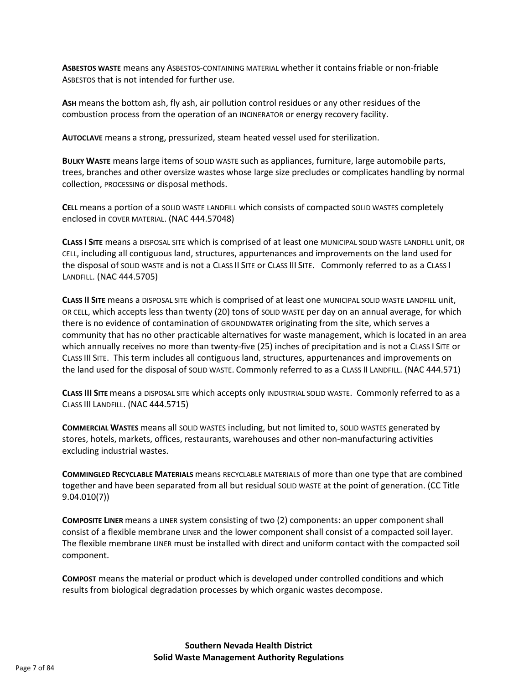**ASBESTOS WASTE** means any ASBESTOS-CONTAINING MATERIAL whether it contains friable or non-friable ASBESTOS that is not intended for further use.

**ASH** means the bottom ash, fly ash, air pollution control residues or any other residues of the combustion process from the operation of an INCINERATOR or energy recovery facility.

**AUTOCLAVE** means a strong, pressurized, steam heated vessel used for sterilization.

**BULKY WASTE** means large items of SOLID WASTE such as appliances, furniture, large automobile parts, trees, branches and other oversize wastes whose large size precludes or complicates handling by normal collection, PROCESSING or disposal methods.

**CELL** means a portion of a SOLID WASTE LANDFILL which consists of compacted SOLID WASTES completely enclosed in COVER MATERIAL. (NAC 444.57048)

**CLASS I SITE** means a DISPOSAL SITE which is comprised of at least one MUNICIPAL SOLID WASTE LANDFILL unit, OR CELL, including all contiguous land, structures, appurtenances and improvements on the land used for the disposal of SOLID WASTE and is not a CLASS II SITE or CLASS III SITE. Commonly referred to as a CLASS I LANDFILL. (NAC 444.5705)

**CLASS II SITE** means a DISPOSAL SITE which is comprised of at least one MUNICIPAL SOLID WASTE LANDFILL unit, OR CELL, which accepts less than twenty (20) tons of SOLID WASTE per day on an annual average, for which there is no evidence of contamination of GROUNDWATER originating from the site, which serves a community that has no other practicable alternatives for waste management, which is located in an area which annually receives no more than twenty-five (25) inches of precipitation and is not a CLASS I SITE or CLASS III SITE. This term includes all contiguous land, structures, appurtenances and improvements on the land used for the disposal of SOLID WASTE. Commonly referred to as a CLASS II LANDFILL. (NAC 444.571)

**CLASS III SITE** means a DISPOSAL SITE which accepts only INDUSTRIAL SOLID WASTE. Commonly referred to as a CLASS III LANDFILL. (NAC 444.5715)

**COMMERCIAL WASTES** means all SOLID WASTES including, but not limited to, SOLID WASTES generated by stores, hotels, markets, offices, restaurants, warehouses and other non-manufacturing activities excluding industrial wastes.

**COMMINGLED RECYCLABLE MATERIALS** means RECYCLABLE MATERIALS of more than one type that are combined together and have been separated from all but residual SOLID WASTE at the point of generation. (CC Title 9.04.010(7))

**COMPOSITE LINER** means a LINER system consisting of two (2) components: an upper component shall consist of a flexible membrane LINER and the lower component shall consist of a compacted soil layer. The flexible membrane LINER must be installed with direct and uniform contact with the compacted soil component.

**COMPOST** means the material or product which is developed under controlled conditions and which results from biological degradation processes by which organic wastes decompose.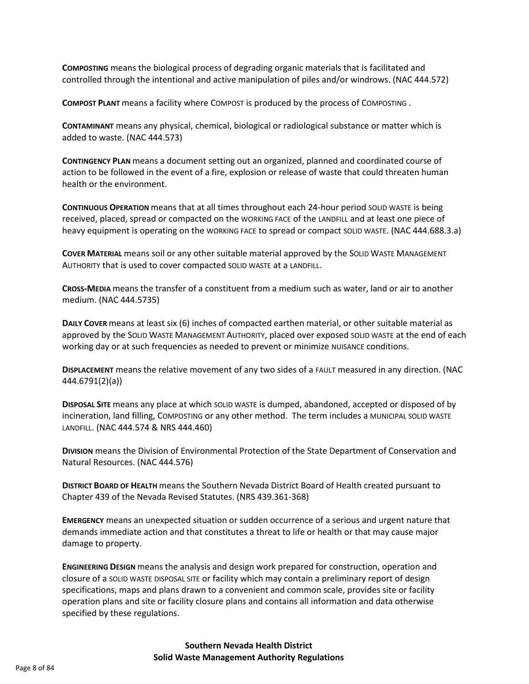**COMPOSTING** means the biological process of degrading organic materials that is facilitated and controlled through the intentional and active manipulation of piles and/or windrows. (NAC 444.572)

**COMPOST PLANT** means a facility where COMPOST is produced by the process of COMPOSTING .

**CONTAMINANT** means any physical, chemical, biological or radiological substance or matter which is added to waste. (NAC 444.573)

**CONTINGENCY PLAN** means a document setting out an organized, planned and coordinated course of action to be followed in the event of a fire, explosion or release of waste that could threaten human health or the environment.

**CONTINUOUS OPERATION** means that at all times throughout each 24-hour period SOLID WASTE is being received, placed, spread or compacted on the WORKING FACE of the LANDFILL and at least one piece of heavy equipment is operating on the WORKING FACE to spread or compact SOLID WASTE. (NAC 444.688.3.a)

**COVER MATERIAL** means soil or any other suitable material approved by the SOLID WASTE MANAGEMENT AUTHORITY that is used to cover compacted SOLID WASTE at a LANDFILL.

**CROSS-MEDIA** means the transfer of a constituent from a medium such as water, land or air to another medium. (NAC 444.5735)

**DAILY COVER** means at least six (6) inches of compacted earthen material, or other suitable material as approved by the SOLID WASTE MANAGEMENT AUTHORITY, placed over exposed SOLID WASTE at the end of each working day or at such frequencies as needed to prevent or minimize NUISANCE conditions.

**DISPLACEMENT** means the relative movement of any two sides of a FAULT measured in any direction. (NAC 444.6791(2)(a))

**DISPOSAL SITE** means any place at which SOLID WASTE is dumped, abandoned, accepted or disposed of by incineration, land filling, COMPOSTING or any other method. The term includes a MUNICIPAL SOLID WASTE LANDFILL. (NAC 444.574 & NRS 444.460)

**DIVISION** means the Division of Environmental Protection of the State Department of Conservation and Natural Resources. (NAC 444.576)

**DISTRICT BOARD OF HEALTH** means the Southern Nevada District Board of Health created pursuant to Chapter 439 of the Nevada Revised Statutes. (NRS 439.361-368)

**EMERGENCY** means an unexpected situation or sudden occurrence of a serious and urgent nature that demands immediate action and that constitutes a threat to life or health or that may cause major damage to property.

**ENGINEERING DESIGN** means the analysis and design work prepared for construction, operation and closure of a SOLID WASTE DISPOSAL SITE or facility which may contain a preliminary report of design specifications, maps and plans drawn to a convenient and common scale, provides site or facility operation plans and site or facility closure plans and contains all information and data otherwise specified by these regulations.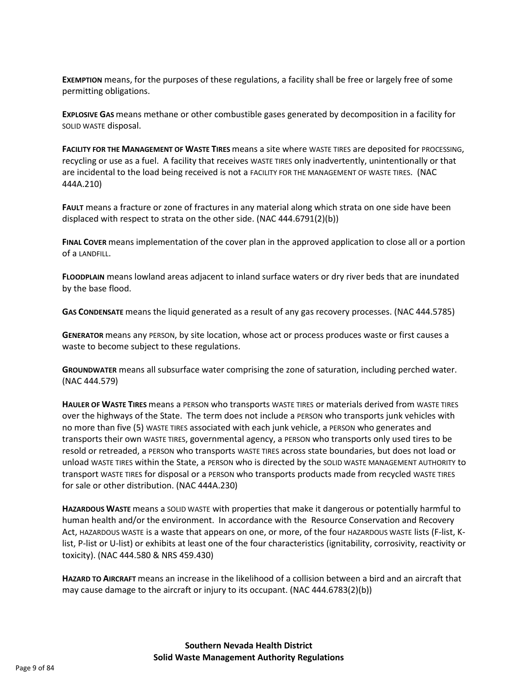**EXEMPTION** means, for the purposes of these regulations, a facility shall be free or largely free of some permitting obligations.

**EXPLOSIVE GAS** means methane or other combustible gases generated by decomposition in a facility for SOLID WASTE disposal.

**FACILITY FOR THE MANAGEMENT OF WASTE TIRES** means a site where WASTE TIRES are deposited for PROCESSING, recycling or use as a fuel. A facility that receives WASTE TIRES only inadvertently, unintentionally or that are incidental to the load being received is not a FACILITY FOR THE MANAGEMENT OF WASTE TIRES. (NAC 444A.210)

**FAULT** means a fracture or zone of fractures in any material along which strata on one side have been displaced with respect to strata on the other side. (NAC 444.6791(2)(b))

**FINAL COVER** means implementation of the cover plan in the approved application to close all or a portion of a LANDFILL.

**FLOODPLAIN** means lowland areas adjacent to inland surface waters or dry river beds that are inundated by the base flood.

**GAS CONDENSATE** means the liquid generated as a result of any gas recovery processes. (NAC 444.5785)

**GENERATOR** means any PERSON, by site location, whose act or process produces waste or first causes a waste to become subject to these regulations.

**GROUNDWATER** means all subsurface water comprising the zone of saturation, including perched water. (NAC 444.579)

**HAULER OF WASTE TIRES** means a PERSON who transports WASTE TIRES or materials derived from WASTE TIRES over the highways of the State. The term does not include a PERSON who transports junk vehicles with no more than five (5) WASTE TIRES associated with each junk vehicle, a PERSON who generates and transports their own WASTE TIRES, governmental agency, a PERSON who transports only used tires to be resold or retreaded, a PERSON who transports WASTE TIRES across state boundaries, but does not load or unload WASTE TIRES within the State, a PERSON who is directed by the SOLID WASTE MANAGEMENT AUTHORITY to transport WASTE TIRES for disposal or a PERSON who transports products made from recycled WASTE TIRES for sale or other distribution. (NAC 444A.230)

**HAZARDOUS WASTE** means a SOLID WASTE with properties that make it dangerous or potentially harmful to human health and/or the environment. In accordance with the Resource Conservation and Recovery Act, HAZARDOUS WASTE is a waste that appears on one, or more, of the four HAZARDOUS WASTE lists (F-list, Klist, P-list or U-list) or exhibits at least one of the four characteristics (ignitability, corrosivity, reactivity or toxicity). (NAC 444.580 & NRS 459.430)

**HAZARD TO AIRCRAFT** means an increase in the likelihood of a collision between a bird and an aircraft that may cause damage to the aircraft or injury to its occupant. (NAC 444.6783(2)(b))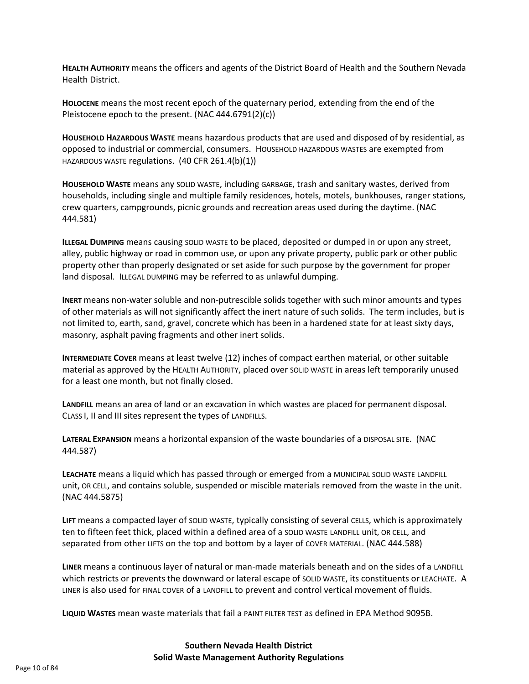**HEALTH AUTHORITY** means the officers and agents of the District Board of Health and the Southern Nevada Health District.

**HOLOCENE** means the most recent epoch of the quaternary period, extending from the end of the Pleistocene epoch to the present. (NAC 444.6791(2)(c))

**HOUSEHOLD HAZARDOUS WASTE** means hazardous products that are used and disposed of by residential, as opposed to industrial or commercial, consumers. HOUSEHOLD HAZARDOUS WASTES are exempted from HAZARDOUS WASTE regulations. (40 CFR 261.4(b)(1))

**HOUSEHOLD WASTE** means any SOLID WASTE, including GARBAGE, trash and sanitary wastes, derived from households, including single and multiple family residences, hotels, motels, bunkhouses, ranger stations, crew quarters, campgrounds, picnic grounds and recreation areas used during the daytime. (NAC 444.581)

**ILLEGAL DUMPING** means causing SOLID WASTE to be placed, deposited or dumped in or upon any street, alley, public highway or road in common use, or upon any private property, public park or other public property other than properly designated or set aside for such purpose by the government for proper land disposal. ILLEGAL DUMPING may be referred to as unlawful dumping.

**INERT** means non-water soluble and non-putrescible solids together with such minor amounts and types of other materials as will not significantly affect the inert nature of such solids. The term includes, but is not limited to, earth, sand, gravel, concrete which has been in a hardened state for at least sixty days, masonry, asphalt paving fragments and other inert solids.

**INTERMEDIATE COVER** means at least twelve (12) inches of compact earthen material, or other suitable material as approved by the HEALTH AUTHORITY, placed over SOLID WASTE in areas left temporarily unused for a least one month, but not finally closed.

**LANDFILL** means an area of land or an excavation in which wastes are placed for permanent disposal. CLASS I, II and III sites represent the types of LANDFILLS.

**LATERAL EXPANSION** means a horizontal expansion of the waste boundaries of a DISPOSAL SITE. (NAC 444.587)

**LEACHATE** means a liquid which has passed through or emerged from a MUNICIPAL SOLID WASTE LANDFILL unit, OR CELL, and contains soluble, suspended or miscible materials removed from the waste in the unit. (NAC 444.5875)

**LIFT** means a compacted layer of SOLID WASTE, typically consisting of several CELLS, which is approximately ten to fifteen feet thick, placed within a defined area of a SOLID WASTE LANDFILL unit, OR CELL, and separated from other LIFTS on the top and bottom by a layer of COVER MATERIAL. (NAC 444.588)

**LINER** means a continuous layer of natural or man-made materials beneath and on the sides of a LANDFILL which restricts or prevents the downward or lateral escape of SOLID WASTE, its constituents or LEACHATE. A LINER is also used for FINAL COVER of a LANDFILL to prevent and control vertical movement of fluids.

**LIQUID WASTES** mean waste materials that fail a PAINT FILTER TEST as defined in EPA Method 9095B.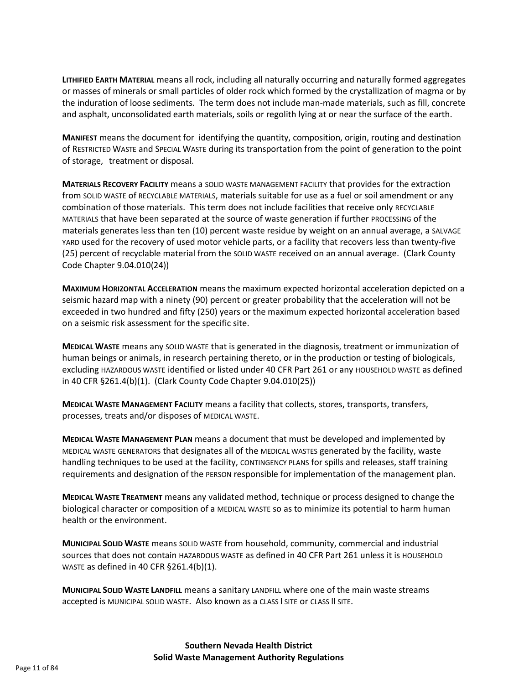**LITHIFIED EARTH MATERIAL** means all rock, including all naturally occurring and naturally formed aggregates or masses of minerals or small particles of older rock which formed by the crystallization of magma or by the induration of loose sediments. The term does not include man-made materials, such as fill, concrete and asphalt, unconsolidated earth materials, soils or regolith lying at or near the surface of the earth.

**MANIFEST** means the document for identifying the quantity, composition, origin, routing and destination of RESTRICTED WASTE and SPECIAL WASTE during its transportation from the point of generation to the point of storage, treatment or disposal.

**MATERIALS RECOVERY FACILITY** means a SOLID WASTE MANAGEMENT FACILITY that provides for the extraction from SOLID WASTE of RECYCLABLE MATERIALS, materials suitable for use as a fuel or soil amendment or any combination of those materials. This term does not include facilities that receive only RECYCLABLE MATERIALS that have been separated at the source of waste generation if further PROCESSING of the materials generates less than ten (10) percent waste residue by weight on an annual average, a SALVAGE YARD used for the recovery of used motor vehicle parts, or a facility that recovers less than twenty-five (25) percent of recyclable material from the SOLID WASTE received on an annual average. (Clark County Code Chapter 9.04.010(24))

**MAXIMUM HORIZONTAL ACCELERATION** means the maximum expected horizontal acceleration depicted on a seismic hazard map with a ninety (90) percent or greater probability that the acceleration will not be exceeded in two hundred and fifty (250) years or the maximum expected horizontal acceleration based on a seismic risk assessment for the specific site.

**MEDICAL WASTE** means any SOLID WASTE that is generated in the diagnosis, treatment or immunization of human beings or animals, in research pertaining thereto, or in the production or testing of biologicals, excluding HAZARDOUS WASTE identified or listed under 40 CFR Part 261 or any HOUSEHOLD WASTE as defined in 40 CFR §261.4(b)(1). (Clark County Code Chapter 9.04.010(25))

**MEDICAL WASTE MANAGEMENT FACILITY** means a facility that collects, stores, transports, transfers, processes, treats and/or disposes of MEDICAL WASTE.

**MEDICAL WASTE MANAGEMENT PLAN** means a document that must be developed and implemented by MEDICAL WASTE GENERATORS that designates all of the MEDICAL WASTES generated by the facility, waste handling techniques to be used at the facility, CONTINGENCY PLANS for spills and releases, staff training requirements and designation of the PERSON responsible for implementation of the management plan.

**MEDICAL WASTE TREATMENT** means any validated method, technique or process designed to change the biological character or composition of a MEDICAL WASTE so as to minimize its potential to harm human health or the environment.

**MUNICIPAL SOLID WASTE** means SOLID WASTE from household, community, commercial and industrial sources that does not contain HAZARDOUS WASTE as defined in 40 CFR Part 261 unless it is HOUSEHOLD WASTE as defined in 40 CFR §261.4(b)(1).

**MUNICIPAL SOLID WASTE LANDFILL** means a sanitary LANDFILL where one of the main waste streams accepted is MUNICIPAL SOLID WASTE. Also known as a CLASS I SITE or CLASS II SITE.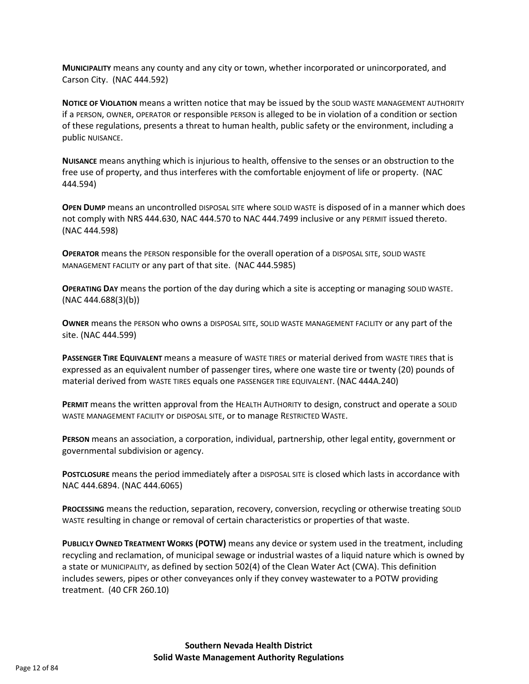**MUNICIPALITY** means any county and any city or town, whether incorporated or unincorporated, and Carson City. (NAC 444.592)

**NOTICE OF VIOLATION** means a written notice that may be issued by the SOLID WASTE MANAGEMENT AUTHORITY if a PERSON, OWNER, OPERATOR or responsible PERSON is alleged to be in violation of a condition or section of these regulations, presents a threat to human health, public safety or the environment, including a public NUISANCE.

**NUISANCE** means anything which is injurious to health, offensive to the senses or an obstruction to the free use of property, and thus interferes with the comfortable enjoyment of life or property. (NAC 444.594)

**OPEN DUMP** means an uncontrolled DISPOSAL SITE where SOLID WASTE is disposed of in a manner which does not comply with NRS 444.630, NAC 444.570 to NAC 444.7499 inclusive or any PERMIT issued thereto. (NAC 444.598)

**OPERATOR** means the PERSON responsible for the overall operation of a DISPOSAL SITE, SOLID WASTE MANAGEMENT FACILITY or any part of that site. (NAC 444.5985)

**OPERATING DAY** means the portion of the day during which a site is accepting or managing SOLID WASTE. (NAC 444.688(3)(b))

**OWNER** means the PERSON who owns a DISPOSAL SITE, SOLID WASTE MANAGEMENT FACILITY or any part of the site. (NAC 444.599)

**PASSENGER TIRE EQUIVALENT** means a measure of WASTE TIRES or material derived from WASTE TIRES that is expressed as an equivalent number of passenger tires, where one waste tire or twenty (20) pounds of material derived from WASTE TIRES equals one PASSENGER TIRE EQUIVALENT. (NAC 444A.240)

**PERMIT** means the written approval from the HEALTH AUTHORITY to design, construct and operate a SOLID WASTE MANAGEMENT FACILITY or DISPOSAL SITE, or to manage RESTRICTED WASTE.

**PERSON** means an association, a corporation, individual, partnership, other legal entity, government or governmental subdivision or agency.

**POSTCLOSURE** means the period immediately after a DISPOSAL SITE is closed which lasts in accordance with NAC 444.6894. (NAC 444.6065)

**PROCESSING** means the reduction, separation, recovery, conversion, recycling or otherwise treating SOLID WASTE resulting in change or removal of certain characteristics or properties of that waste.

**PUBLICLY OWNED TREATMENT WORKS (POTW)** means any device or system used in the treatment, including recycling and reclamation, of municipal sewage or industrial wastes of a liquid nature which is owned by a state or MUNICIPALITY, as defined by section 502(4) of the Clean Water Act (CWA). This definition includes sewers, pipes or other conveyances only if they convey wastewater to a POTW providing treatment. (40 CFR 260.10)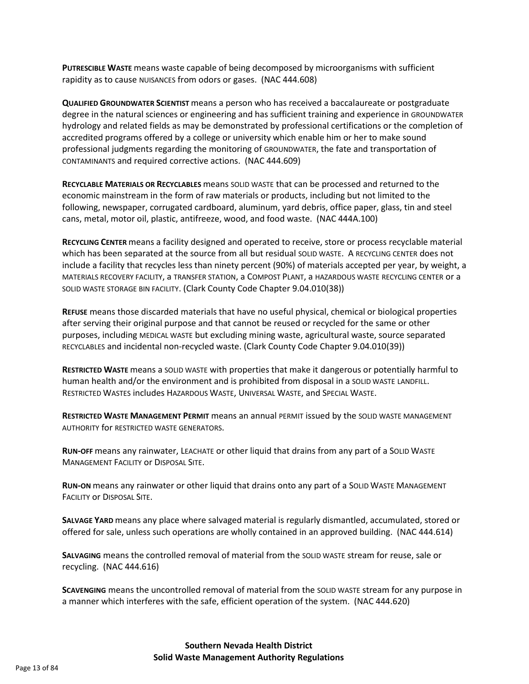**PUTRESCIBLE WASTE** means waste capable of being decomposed by microorganisms with sufficient rapidity as to cause NUISANCES from odors or gases. (NAC 444.608)

**QUALIFIED GROUNDWATER SCIENTIST** means a person who has received a baccalaureate or postgraduate degree in the natural sciences or engineering and has sufficient training and experience in GROUNDWATER hydrology and related fields as may be demonstrated by professional certifications or the completion of accredited programs offered by a college or university which enable him or her to make sound professional judgments regarding the monitoring of GROUNDWATER, the fate and transportation of CONTAMINANTS and required corrective actions. (NAC 444.609)

**RECYCLABLE MATERIALS OR RECYCLABLES** means SOLID WASTE that can be processed and returned to the economic mainstream in the form of raw materials or products, including but not limited to the following, newspaper, corrugated cardboard, aluminum, yard debris, office paper, glass, tin and steel cans, metal, motor oil, plastic, antifreeze, wood, and food waste. (NAC 444A.100)

**RECYCLING CENTER** means a facility designed and operated to receive, store or process recyclable material which has been separated at the source from all but residual SOLID WASTE. A RECYCLING CENTER does not include a facility that recycles less than ninety percent (90%) of materials accepted per year, by weight, a MATERIALS RECOVERY FACILITY, a TRANSFER STATION, a COMPOST PLANT, a HAZARDOUS WASTE RECYCLING CENTER or a SOLID WASTE STORAGE BIN FACILITY. (Clark County Code Chapter 9.04.010(38))

**REFUSE** means those discarded materials that have no useful physical, chemical or biological properties after serving their original purpose and that cannot be reused or recycled for the same or other purposes, including MEDICAL WASTE but excluding mining waste, agricultural waste, source separated RECYCLABLES and incidental non-recycled waste. (Clark County Code Chapter 9.04.010(39))

**RESTRICTED WASTE** means a SOLID WASTE with properties that make it dangerous or potentially harmful to human health and/or the environment and is prohibited from disposal in a SOLID WASTE LANDFILL. RESTRICTED WASTES includes HAZARDOUS WASTE, UNIVERSAL WASTE, and SPECIAL WASTE.

**RESTRICTED WASTE MANAGEMENT PERMIT** means an annual PERMIT issued by the SOLID WASTE MANAGEMENT AUTHORITY for RESTRICTED WASTE GENERATORS.

**RUN-OFF** means any rainwater, LEACHATE or other liquid that drains from any part of a SOLID WASTE MANAGEMENT FACILITY or DISPOSAL SITE.

**RUN-ON** means any rainwater or other liquid that drains onto any part of a SOLID WASTE MANAGEMENT FACILITY or DISPOSAL SITE.

**SALVAGE YARD** means any place where salvaged material is regularly dismantled, accumulated, stored or offered for sale, unless such operations are wholly contained in an approved building. (NAC 444.614)

**SALVAGING** means the controlled removal of material from the SOLID WASTE stream for reuse, sale or recycling. (NAC 444.616)

**SCAVENGING** means the uncontrolled removal of material from the SOLID WASTE stream for any purpose in a manner which interferes with the safe, efficient operation of the system. (NAC 444.620)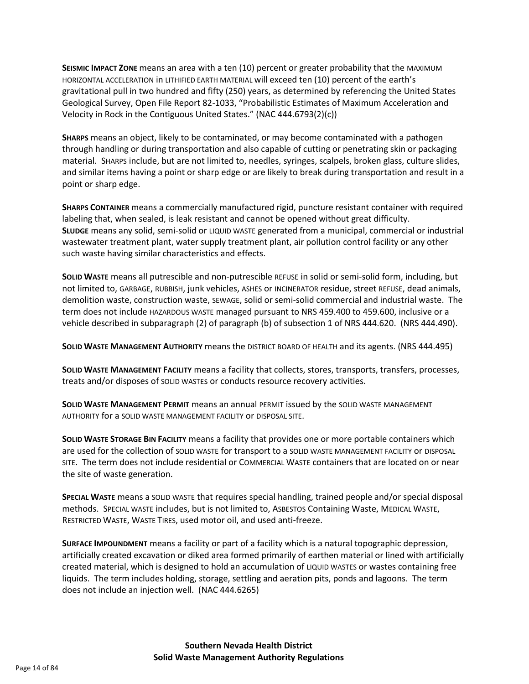**SEISMIC IMPACT ZONE** means an area with a ten (10) percent or greater probability that the MAXIMUM HORIZONTAL ACCELERATION in LITHIFIED EARTH MATERIAL will exceed ten (10) percent of the earth's gravitational pull in two hundred and fifty (250) years, as determined by referencing the United States Geological Survey, Open File Report 82-1033, "Probabilistic Estimates of Maximum Acceleration and Velocity in Rock in the Contiguous United States." (NAC 444.6793(2)(c))

**SHARPS** means an object, likely to be contaminated, or may become contaminated with a pathogen through handling or during transportation and also capable of cutting or penetrating skin or packaging material. SHARPS include, but are not limited to, needles, syringes, scalpels, broken glass, culture slides, and similar items having a point or sharp edge or are likely to break during transportation and result in a point or sharp edge.

**SHARPS CONTAINER** means a commercially manufactured rigid, puncture resistant container with required labeling that, when sealed, is leak resistant and cannot be opened without great difficulty. **SLUDGE** means any solid, semi-solid or LIQUID WASTE generated from a municipal, commercial or industrial wastewater treatment plant, water supply treatment plant, air pollution control facility or any other such waste having similar characteristics and effects.

**SOLID WASTE** means all putrescible and non-putrescible REFUSE in solid or semi-solid form, including, but not limited to, GARBAGE, RUBBISH, junk vehicles, ASHES or INCINERATOR residue, street REFUSE, dead animals, demolition waste, construction waste, SEWAGE, solid or semi-solid commercial and industrial waste. The term does not include HAZARDOUS WASTE managed pursuant to NRS 459.400 to 459.600, inclusive or a vehicle described in subparagraph (2) of paragraph (b) of subsection 1 of NRS 444.620. (NRS 444.490).

**SOLID WASTE MANAGEMENT AUTHORITY** means the DISTRICT BOARD OF HEALTH and its agents. (NRS 444.495)

**SOLID WASTE MANAGEMENT FACILITY** means a facility that collects, stores, transports, transfers, processes, treats and/or disposes of SOLID WASTEs or conducts resource recovery activities.

**SOLID WASTE MANAGEMENT PERMIT** means an annual PERMIT issued by the SOLID WASTE MANAGEMENT AUTHORITY for a SOLID WASTE MANAGEMENT FACILITY or DISPOSAL SITE.

**SOLID WASTE STORAGE BIN FACILITY** means a facility that provides one or more portable containers which are used for the collection of SOLID WASTE for transport to a SOLID WASTE MANAGEMENT FACILITY or DISPOSAL SITE. The term does not include residential or COMMERCIAL WASTE containers that are located on or near the site of waste generation.

**SPECIAL WASTE** means a SOLID WASTE that requires special handling, trained people and/or special disposal methods. SPECIAL WASTE includes, but is not limited to, ASBESTOS Containing Waste, MEDICAL WASTE, RESTRICTED WASTE, WASTE TIRES, used motor oil, and used anti-freeze.

**SURFACE IMPOUNDMENT** means a facility or part of a facility which is a natural topographic depression, artificially created excavation or diked area formed primarily of earthen material or lined with artificially created material, which is designed to hold an accumulation of LIQUID WASTES or wastes containing free liquids. The term includes holding, storage, settling and aeration pits, ponds and lagoons. The term does not include an injection well. (NAC 444.6265)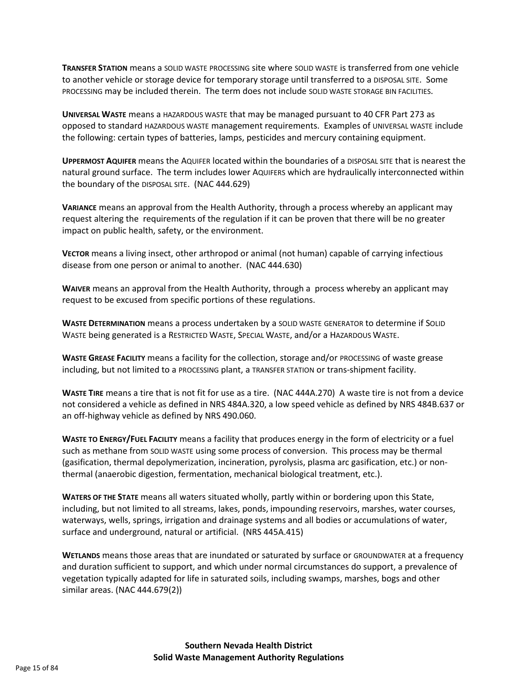**TRANSFER STATION** means a SOLID WASTE PROCESSING site where SOLID WASTE is transferred from one vehicle to another vehicle or storage device for temporary storage until transferred to a DISPOSAL SITE. Some PROCESSING may be included therein. The term does not include SOLID WASTE STORAGE BIN FACILITIES.

**UNIVERSAL WASTE** means a HAZARDOUS WASTE that may be managed pursuant to 40 CFR Part 273 as opposed to standard HAZARDOUS WASTE management requirements. Examples of UNIVERSAL WASTE include the following: certain types of batteries, lamps, pesticides and mercury containing equipment.

**UPPERMOST AQUIFER** means the AQUIFER located within the boundaries of a DISPOSAL SITE that is nearest the natural ground surface. The term includes lower AQUIFERS which are hydraulically interconnected within the boundary of the DISPOSAL SITE. (NAC 444.629)

**VARIANCE** means an approval from the Health Authority, through a process whereby an applicant may request altering the requirements of the regulation if it can be proven that there will be no greater impact on public health, safety, or the environment.

**VECTOR** means a living insect, other arthropod or animal (not human) capable of carrying infectious disease from one person or animal to another. (NAC 444.630)

**WAIVER** means an approval from the Health Authority, through a process whereby an applicant may request to be excused from specific portions of these regulations.

**WASTE DETERMINATION** means a process undertaken by a SOLID WASTE GENERATOR to determine if SOLID WASTE being generated is a RESTRICTED WASTE, SPECIAL WASTE, and/or a HAZARDOUS WASTE.

**WASTE GREASE FACILITY** means a facility for the collection, storage and/or PROCESSING of waste grease including, but not limited to a PROCESSING plant, a TRANSFER STATION or trans-shipment facility.

**WASTE TIRE** means a tire that is not fit for use as a tire. (NAC 444A.270) A waste tire is not from a device not considered a vehicle as defined in NRS 484A.320, a low speed vehicle as defined by NRS 484B.637 or an off-highway vehicle as defined by NRS 490.060.

**WASTE TO ENERGY/FUEL FACILITY** means a facility that produces energy in the form of electricity or a fuel such as methane from SOLID WASTE using some process of conversion. This process may be thermal (gasification, thermal depolymerization, incineration, pyrolysis, plasma arc gasification, etc.) or nonthermal (anaerobic digestion, fermentation, mechanical biological treatment, etc.).

**WATERS OF THE STATE** means all waters situated wholly, partly within or bordering upon this State, including, but not limited to all streams, lakes, ponds, impounding reservoirs, marshes, water courses, waterways, wells, springs, irrigation and drainage systems and all bodies or accumulations of water, surface and underground, natural or artificial. (NRS 445A.415)

**WETLANDS** means those areas that are inundated or saturated by surface or GROUNDWATER at a frequency and duration sufficient to support, and which under normal circumstances do support, a prevalence of vegetation typically adapted for life in saturated soils, including swamps, marshes, bogs and other similar areas. (NAC 444.679(2))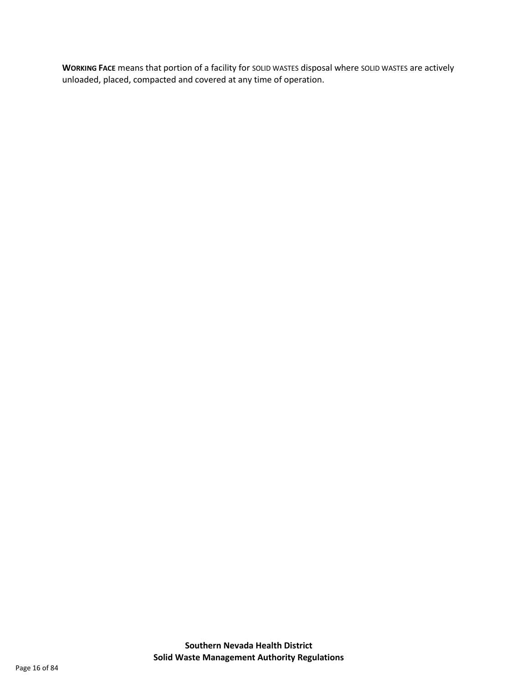**WORKING FACE** means that portion of a facility for SOLID WASTES disposal where SOLID WASTES are actively unloaded, placed, compacted and covered at any time of operation.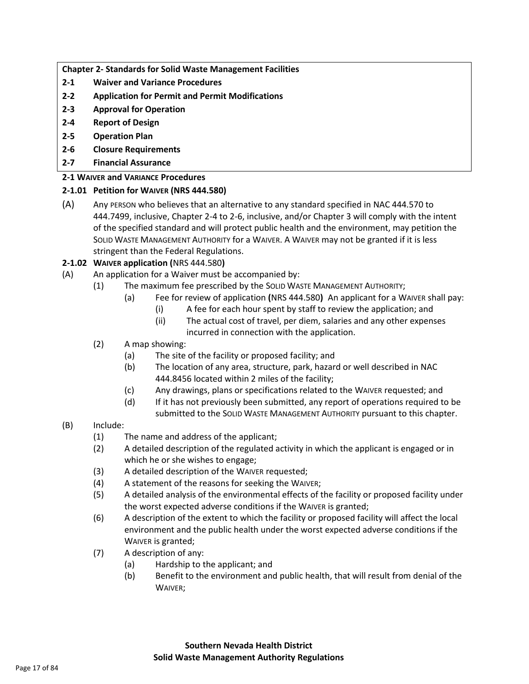**Chapter 2- Standards for Solid Waste Management Facilities**

- **2-1 Waiver and Variance Procedures**
- **2-2 Application for Permit and Permit Modifications**
- **2-3 Approval for Operation**
- **2-4 Report of Design**
- **2-5 Operation Plan**
- **2-6 Closure Requirements**
- **2-7 Financial Assurance**

## **2-1 WAIVER and VARIANCE Procedures**

# **2-1.01 Petition for WAIVER (NRS 444.580)**

(A) Any PERSON who believes that an alternative to any standard specified in NAC 444.570 to 444.7499, inclusive, Chapter 2-4 to 2-6, inclusive, and/or Chapter 3 will comply with the intent of the specified standard and will protect public health and the environment, may petition the SOLID WASTE MANAGEMENT AUTHORITY for a WAIVER. A WAIVER may not be granted if it is less stringent than the Federal Regulations.

# **2-1.02 WAIVER application (**NRS 444.580**)**

- (A) An application for a Waiver must be accompanied by:
	- (1) The maximum fee prescribed by the SOLID WASTE MANAGEMENT AUTHORITY;
		- (a) Fee for review of application **(**NRS 444.580**)** An applicant for a WAIVER shall pay:
			- (i) A fee for each hour spent by staff to review the application; and
			- (ii) The actual cost of travel, per diem, salaries and any other expenses incurred in connection with the application.

# (2) A map showing:

- (a) The site of the facility or proposed facility; and
- (b) The location of any area, structure, park, hazard or well described in NAC 444.8456 located within 2 miles of the facility;
- (c) Any drawings, plans or specifications related to the WAIVER requested; and
- (d) If it has not previously been submitted, any report of operations required to be submitted to the SOLID WASTE MANAGEMENT AUTHORITY pursuant to this chapter.

## (B) Include:

- (1) The name and address of the applicant;
- (2) A detailed description of the regulated activity in which the applicant is engaged or in which he or she wishes to engage;
- (3) A detailed description of the WAIVER requested;
- (4) A statement of the reasons for seeking the WAIVER;
- (5) A detailed analysis of the environmental effects of the facility or proposed facility under the worst expected adverse conditions if the WAIVER is granted;
- (6) A description of the extent to which the facility or proposed facility will affect the local environment and the public health under the worst expected adverse conditions if the WAIVER is granted;
- (7) A description of any:
	- (a) Hardship to the applicant; and
	- (b) Benefit to the environment and public health, that will result from denial of the WAIVER;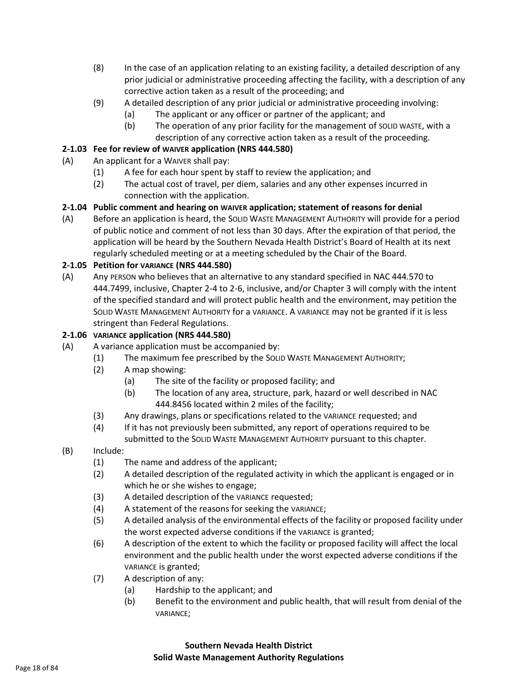- (8) In the case of an application relating to an existing facility, a detailed description of any prior judicial or administrative proceeding affecting the facility, with a description of any corrective action taken as a result of the proceeding; and
- (9) A detailed description of any prior judicial or administrative proceeding involving:
	- (a) The applicant or any officer or partner of the applicant; and
	- (b) The operation of any prior facility for the management of SOLID WASTE, with a description of any corrective action taken as a result of the proceeding.

## **2-1.03 Fee for review of WAIVER application (NRS 444.580)**

- (A) An applicant for a WAIVER shall pay:
	- (1) A fee for each hour spent by staff to review the application; and
	- (2) The actual cost of travel, per diem, salaries and any other expenses incurred in connection with the application.

# **2-1.04 Public comment and hearing on WAIVER application; statement of reasons for denial**

(A) Before an application is heard, the SOLID WASTE MANAGEMENT AUTHORITY will provide for a period of public notice and comment of not less than 30 days. After the expiration of that period, the application will be heard by the Southern Nevada Health District's Board of Health at its next regularly scheduled meeting or at a meeting scheduled by the Chair of the Board.

## **2-1.05 Petition for VARIANCE (NRS 444.580)**

(A) Any PERSON who believes that an alternative to any standard specified in NAC 444.570 to 444.7499, inclusive, Chapter 2-4 to 2-6, inclusive, and/or Chapter 3 will comply with the intent of the specified standard and will protect public health and the environment, may petition the SOLID WASTE MANAGEMENT AUTHORITY for a VARIANCE. A VARIANCE may not be granted if it is less stringent than Federal Regulations.

## **2-1.06 VARIANCE application (NRS 444.580)**

- (A) A variance application must be accompanied by:
	- (1) The maximum fee prescribed by the SOLID WASTE MANAGEMENT AUTHORITY;
	- (2) A map showing:
		- (a) The site of the facility or proposed facility; and
		- (b) The location of any area, structure, park, hazard or well described in NAC 444.8456 located within 2 miles of the facility;
	- (3) Any drawings, plans or specifications related to the VARIANCE requested; and
	- (4) If it has not previously been submitted, any report of operations required to be submitted to the SOLID WASTE MANAGEMENT AUTHORITY pursuant to this chapter.
- (B) Include:
	- (1) The name and address of the applicant;
	- (2) A detailed description of the regulated activity in which the applicant is engaged or in which he or she wishes to engage;
	- (3) A detailed description of the VARIANCE requested;
	- (4) A statement of the reasons for seeking the VARIANCE;
	- (5) A detailed analysis of the environmental effects of the facility or proposed facility under the worst expected adverse conditions if the VARIANCE is granted;
	- (6) A description of the extent to which the facility or proposed facility will affect the local environment and the public health under the worst expected adverse conditions if the VARIANCE is granted;
	- (7) A description of any:
		- (a) Hardship to the applicant; and
		- (b) Benefit to the environment and public health, that will result from denial of the VARIANCE;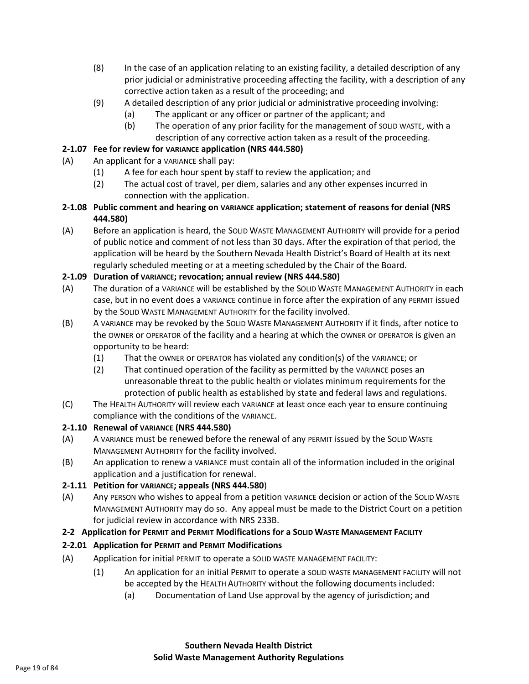- (8) In the case of an application relating to an existing facility, a detailed description of any prior judicial or administrative proceeding affecting the facility, with a description of any corrective action taken as a result of the proceeding; and
- (9) A detailed description of any prior judicial or administrative proceeding involving:
	- (a) The applicant or any officer or partner of the applicant; and
	- (b) The operation of any prior facility for the management of SOLID WASTE, with a description of any corrective action taken as a result of the proceeding.

## **2-1.07 Fee for review for VARIANCE application (NRS 444.580)**

- (A) An applicant for a VARIANCE shall pay:
	- (1) A fee for each hour spent by staff to review the application; and
	- (2) The actual cost of travel, per diem, salaries and any other expenses incurred in connection with the application.
- **2-1.08 Public comment and hearing on VARIANCE application; statement of reasons for denial (NRS 444.580)**
- (A) Before an application is heard, the SOLID WASTE MANAGEMENT AUTHORITY will provide for a period of public notice and comment of not less than 30 days. After the expiration of that period, the application will be heard by the Southern Nevada Health District's Board of Health at its next regularly scheduled meeting or at a meeting scheduled by the Chair of the Board.

# **2-1.09 Duration of VARIANCE; revocation; annual review (NRS 444.580)**

- (A) The duration of a VARIANCE will be established by the SOLID WASTE MANAGEMENT AUTHORITY in each case, but in no event does a VARIANCE continue in force after the expiration of any PERMIT issued by the SOLID WASTE MANAGEMENT AUTHORITY for the facility involved.
- (B) A VARIANCE may be revoked by the SOLID WASTE MANAGEMENT AUTHORITY if it finds, after notice to the OWNER or OPERATOR of the facility and a hearing at which the OWNER or OPERATOR is given an opportunity to be heard:
	- (1) That the OWNER or OPERATOR has violated any condition(s) of the VARIANCE; or
	- (2) That continued operation of the facility as permitted by the VARIANCE poses an unreasonable threat to the public health or violates minimum requirements for the protection of public health as established by state and federal laws and regulations.
- (C) The HEALTH AUTHORITY will review each VARIANCE at least once each year to ensure continuing compliance with the conditions of the VARIANCE.

## **2-1.10 Renewal of VARIANCE (NRS 444.580)**

- (A) A VARIANCE must be renewed before the renewal of any PERMIT issued by the SOLID WASTE MANAGEMENT AUTHORITY for the facility involved.
- (B) An application to renew a VARIANCE must contain all of the information included in the original application and a justification for renewal.

# **2-1.11 Petition for VARIANCE; appeals (NRS 444.580**)

(A) Any PERSON who wishes to appeal from a petition VARIANCE decision or action of the SOLID WASTE MANAGEMENT AUTHORITY may do so. Any appeal must be made to the District Court on a petition for judicial review in accordance with NRS 233B.

## **2-2 Application for PERMIT and PERMIT Modifications for a SOLID WASTE MANAGEMENT FACILITY**

## **2-2.01 Application for PERMIT and PERMIT Modifications**

- (A) Application for initial PERMIT to operate a SOLID WASTE MANAGEMENT FACILITY:
	- (1) An application for an initial PERMIT to operate a SOLID WASTE MANAGEMENT FACILITY will not be accepted by the HEALTH AUTHORITY without the following documents included:
		- (a) Documentation of Land Use approval by the agency of jurisdiction; and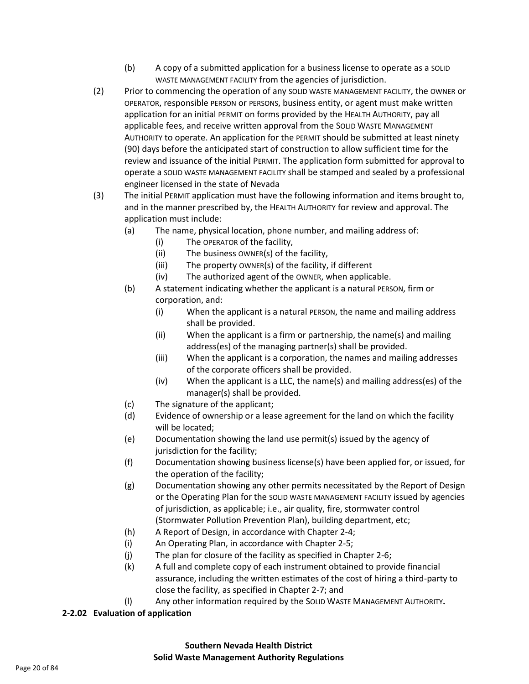- (b) A copy of a submitted application for a business license to operate as a SOLID WASTE MANAGEMENT FACILITY from the agencies of jurisdiction.
- (2) Prior to commencing the operation of any SOLID WASTE MANAGEMENT FACILITY, the OWNER or OPERATOR, responsible PERSON or PERSONS, business entity, or agent must make written application for an initial PERMIT on forms provided by the HEALTH AUTHORITY, pay all applicable fees, and receive written approval from the SOLID WASTE MANAGEMENT AUTHORITY to operate. An application for the PERMIT should be submitted at least ninety (90) days before the anticipated start of construction to allow sufficient time for the review and issuance of the initial PERMIT. The application form submitted for approval to operate a SOLID WASTE MANAGEMENT FACILITY shall be stamped and sealed by a professional engineer licensed in the state of Nevada
- (3) The initial PERMIT application must have the following information and items brought to, and in the manner prescribed by, the HEALTH AUTHORITY for review and approval. The application must include:
	- (a) The name, physical location, phone number, and mailing address of:
		- (i) The OPERATOR of the facility,
		- (ii) The business OWNER(s) of the facility,
		- (iii) The property OWNER(s) of the facility, if different
		- (iv) The authorized agent of the OWNER, when applicable.
	- (b) A statement indicating whether the applicant is a natural PERSON, firm or corporation, and:
		- (i) When the applicant is a natural PERSON, the name and mailing address shall be provided.
		- (ii) When the applicant is a firm or partnership, the name(s) and mailing address(es) of the managing partner(s) shall be provided.
		- (iii) When the applicant is a corporation, the names and mailing addresses of the corporate officers shall be provided.
		- (iv) When the applicant is a LLC, the name(s) and mailing address(es) of the manager(s) shall be provided.
	- (c) The signature of the applicant;
	- (d) Evidence of ownership or a lease agreement for the land on which the facility will be located;
	- (e) Documentation showing the land use permit(s) issued by the agency of jurisdiction for the facility;
	- (f) Documentation showing business license(s) have been applied for, or issued, for the operation of the facility;
	- (g) Documentation showing any other permits necessitated by the Report of Design or the Operating Plan for the SOLID WASTE MANAGEMENT FACILITY issued by agencies of jurisdiction, as applicable; i.e., air quality, fire, stormwater control (Stormwater Pollution Prevention Plan), building department, etc;
	- (h) A Report of Design, in accordance with Chapter 2-4;
	- (i) An Operating Plan, in accordance with Chapter 2-5;
	- (j) The plan for closure of the facility as specified in Chapter 2-6;
	- (k) A full and complete copy of each instrument obtained to provide financial assurance, including the written estimates of the cost of hiring a third-party to close the facility, as specified in Chapter 2-7; and
	- (l) Any other information required by the SOLID WASTE MANAGEMENT AUTHORITY**.**

## **2-2.02 Evaluation of application**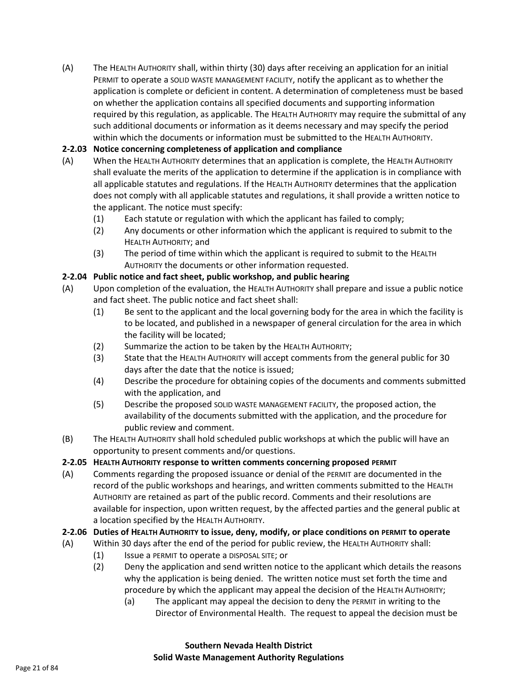(A) The HEALTH AUTHORITY shall, within thirty (30) days after receiving an application for an initial PERMIT to operate a SOLID WASTE MANAGEMENT FACILITY, notify the applicant as to whether the application is complete or deficient in content. A determination of completeness must be based on whether the application contains all specified documents and supporting information required by this regulation, as applicable. The HEALTH AUTHORITY may require the submittal of any such additional documents or information as it deems necessary and may specify the period within which the documents or information must be submitted to the HEALTH AUTHORITY.

# **2-2.03 Notice concerning completeness of application and compliance**

- (A) When the HEALTH AUTHORITY determines that an application is complete, the HEALTH AUTHORITY shall evaluate the merits of the application to determine if the application is in compliance with all applicable statutes and regulations. If the HEALTH AUTHORITY determines that the application does not comply with all applicable statutes and regulations, it shall provide a written notice to the applicant. The notice must specify:
	- (1) Each statute or regulation with which the applicant has failed to comply;
	- (2) Any documents or other information which the applicant is required to submit to the HEALTH AUTHORITY; and
	- (3) The period of time within which the applicant is required to submit to the HEALTH AUTHORITY the documents or other information requested.

# **2-2.04 Public notice and fact sheet, public workshop, and public hearing**

- (A) Upon completion of the evaluation, the HEALTH AUTHORITY shall prepare and issue a public notice and fact sheet. The public notice and fact sheet shall:
	- (1) Be sent to the applicant and the local governing body for the area in which the facility is to be located, and published in a newspaper of general circulation for the area in which the facility will be located;
	- (2) Summarize the action to be taken by the HEALTH AUTHORITY;
	- (3) State that the HEALTH AUTHORITY will accept comments from the general public for 30 days after the date that the notice is issued;
	- (4) Describe the procedure for obtaining copies of the documents and comments submitted with the application, and
	- (5) Describe the proposed SOLID WASTE MANAGEMENT FACILITY, the proposed action, the availability of the documents submitted with the application, and the procedure for public review and comment.
- (B) The HEALTH AUTHORITY shall hold scheduled public workshops at which the public will have an opportunity to present comments and/or questions.

# **2-2.05 HEALTH AUTHORITY response to written comments concerning proposed PERMIT**

(A) Comments regarding the proposed issuance or denial of the PERMIT are documented in the record of the public workshops and hearings, and written comments submitted to the HEALTH AUTHORITY are retained as part of the public record. Comments and their resolutions are available for inspection, upon written request, by the affected parties and the general public at a location specified by the HEALTH AUTHORITY.

# **2-2.06 Duties of HEALTH AUTHORITY to issue, deny, modify, or place conditions on PERMIT to operate**

- (A) Within 30 days after the end of the period for public review, the HEALTH AUTHORITY shall:
	- (1) Issue a PERMIT to operate a DISPOSAL SITE; or
	- (2) Deny the application and send written notice to the applicant which details the reasons why the application is being denied. The written notice must set forth the time and procedure by which the applicant may appeal the decision of the HEALTH AUTHORITY;
		- (a) The applicant may appeal the decision to deny the PERMIT in writing to the Director of Environmental Health. The request to appeal the decision must be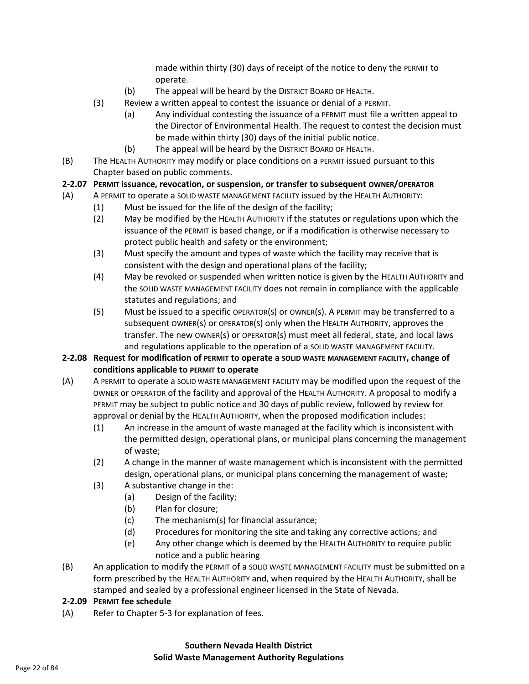made within thirty (30) days of receipt of the notice to deny the PERMIT to operate.

- (b) The appeal will be heard by the DISTRICT BOARD OF HEALTH.
- (3) Review a written appeal to contest the issuance or denial of a PERMIT.
	- (a) Any individual contesting the issuance of a PERMIT must file a written appeal to the Director of Environmental Health. The request to contest the decision must be made within thirty (30) days of the initial public notice.
	- (b) The appeal will be heard by the DISTRICT BOARD OF HEALTH.
- (B) The HEALTH AUTHORITY may modify or place conditions on a PERMIT issued pursuant to this Chapter based on public comments.
- **2-2.07 PERMIT issuance, revocation, or suspension, or transfer to subsequent OWNER/OPERATOR**
- (A) A PERMIT to operate a SOLID WASTE MANAGEMENT FACILITY issued by the HEALTH AUTHORITY:
	- (1) Must be issued for the life of the design of the facility;
	- (2) May be modified by the HEALTH AUTHORITY if the statutes or regulations upon which the issuance of the PERMIT is based change, or if a modification is otherwise necessary to protect public health and safety or the environment;
	- (3) Must specify the amount and types of waste which the facility may receive that is consistent with the design and operational plans of the facility;
	- (4) May be revoked or suspended when written notice is given by the HEALTH AUTHORITY and the SOLID WASTE MANAGEMENT FACILITY does not remain in compliance with the applicable statutes and regulations; and
	- (5) Must be issued to a specific OPERATOR(S) or OWNER(s). A PERMIT may be transferred to a subsequent OWNER(s) or OPERATOR(S) only when the HEALTH AUTHORITY, approves the transfer. The new OWNER(s) or OPERATOR(s) must meet all federal, state, and local laws and regulations applicable to the operation of a SOLID WASTE MANAGEMENT FACILITY.

## **2-2.08 Request for modification of PERMIT to operate a SOLID WASTE MANAGEMENT FACILITY, change of conditions applicable to PERMIT to operate**

- (A) A PERMIT to operate a SOLID WASTE MANAGEMENT FACILITY may be modified upon the request of the OWNER or OPERATOR of the facility and approval of the HEALTH AUTHORITY. A proposal to modify a PERMIT may be subject to public notice and 30 days of public review, followed by review for approval or denial by the HEALTH AUTHORITY, when the proposed modification includes:
	- (1) An increase in the amount of waste managed at the facility which is inconsistent with the permitted design, operational plans, or municipal plans concerning the management of waste;
	- (2) A change in the manner of waste management which is inconsistent with the permitted design, operational plans, or municipal plans concerning the management of waste;
	- (3) A substantive change in the:
		- (a) Design of the facility;
		- (b) Plan for closure;
		- (c) The mechanism(s) for financial assurance;
		- (d) Procedures for monitoring the site and taking any corrective actions; and
		- (e) Any other change which is deemed by the HEALTH AUTHORITY to require public notice and a public hearing
- (B) An application to modify the PERMIT of a SOLID WASTE MANAGEMENT FACILITY must be submitted on a form prescribed by the HEALTH AUTHORITY and, when required by the HEALTH AUTHORITY, shall be stamped and sealed by a professional engineer licensed in the State of Nevada.

#### **2-2.09 PERMIT fee schedule**

(A) Refer to Chapter 5-3 for explanation of fees.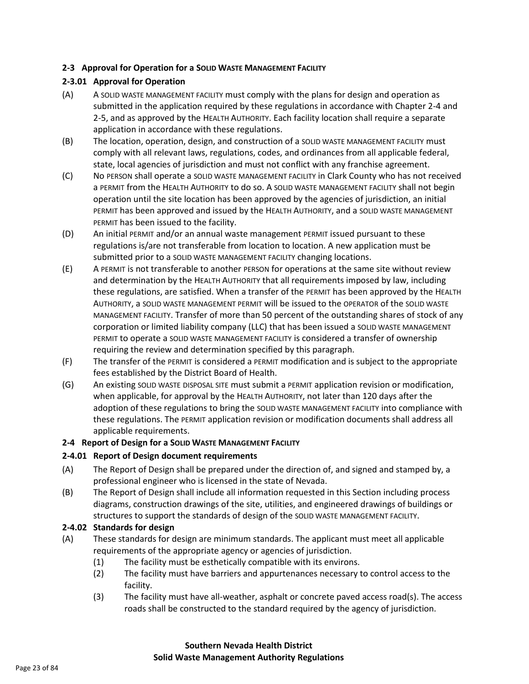#### **2-3 Approval for Operation for a SOLID WASTE MANAGEMENT FACILITY**

## **2-3.01 Approval for Operation**

- (A) A SOLID WASTE MANAGEMENT FACILITY must comply with the plans for design and operation as submitted in the application required by these regulations in accordance with Chapter 2-4 and 2-5, and as approved by the HEALTH AUTHORITY. Each facility location shall require a separate application in accordance with these regulations.
- (B) The location, operation, design, and construction of a SOLID WASTE MANAGEMENT FACILITY must comply with all relevant laws, regulations, codes, and ordinances from all applicable federal, state, local agencies of jurisdiction and must not conflict with any franchise agreement.
- (C) No PERSON shall operate a SOLID WASTE MANAGEMENT FACILITY in Clark County who has not received a PERMIT from the HEALTH AUTHORITY to do so. A SOLID WASTE MANAGEMENT FACILITY shall not begin operation until the site location has been approved by the agencies of jurisdiction, an initial PERMIT has been approved and issued by the HEALTH AUTHORITY, and a SOLID WASTE MANAGEMENT PERMIT has been issued to the facility.
- (D) An initial PERMIT and/or an annual waste management PERMIT issued pursuant to these regulations is/are not transferable from location to location. A new application must be submitted prior to a SOLID WASTE MANAGEMENT FACILITY changing locations.
- (E) A PERMIT is not transferable to another PERSON for operations at the same site without review and determination by the HEALTH AUTHORITY that all requirements imposed by law, including these regulations, are satisfied. When a transfer of the PERMIT has been approved by the HEALTH AUTHORITY, a SOLID WASTE MANAGEMENT PERMIT will be issued to the OPERATOR of the SOLID WASTE MANAGEMENT FACILITY. Transfer of more than 50 percent of the outstanding shares of stock of any corporation or limited liability company (LLC) that has been issued a SOLID WASTE MANAGEMENT PERMIT to operate a SOLID WASTE MANAGEMENT FACILITY is considered a transfer of ownership requiring the review and determination specified by this paragraph.
- (F) The transfer of the PERMIT is considered a PERMIT modification and is subject to the appropriate fees established by the District Board of Health.
- (G) An existing SOLID WASTE DISPOSAL SITE must submit a PERMIT application revision or modification, when applicable, for approval by the HEALTH AUTHORITY, not later than 120 days after the adoption of these regulations to bring the SOLID WASTE MANAGEMENT FACILITY into compliance with these regulations. The PERMIT application revision or modification documents shall address all applicable requirements.

#### **2-4 Report of Design for a SOLID WASTE MANAGEMENT FACILITY**

## **2-4.01 Report of Design document requirements**

- (A) The Report of Design shall be prepared under the direction of, and signed and stamped by, a professional engineer who is licensed in the state of Nevada.
- (B) The Report of Design shall include all information requested in this Section including process diagrams, construction drawings of the site, utilities, and engineered drawings of buildings or structures to support the standards of design of the SOLID WASTE MANAGEMENT FACILITY.

#### **2-4.02 Standards for design**

- (A) These standards for design are minimum standards. The applicant must meet all applicable requirements of the appropriate agency or agencies of jurisdiction.
	- (1) The facility must be esthetically compatible with its environs.
	- (2) The facility must have barriers and appurtenances necessary to control access to the facility.
	- (3) The facility must have all-weather, asphalt or concrete paved access road(s). The access roads shall be constructed to the standard required by the agency of jurisdiction.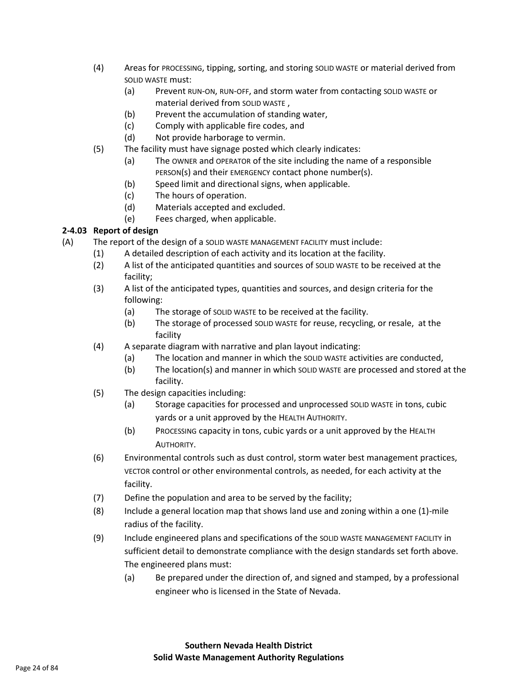- (4) Areas for PROCESSING, tipping, sorting, and storing SOLID WASTE or material derived from SOLID WASTE must:
	- (a) Prevent RUN-ON, RUN-OFF, and storm water from contacting SOLID WASTE or material derived from SOLID WASTE ,
	- (b) Prevent the accumulation of standing water,
	- (c) Comply with applicable fire codes, and
	- (d) Not provide harborage to vermin.
- (5) The facility must have signage posted which clearly indicates:
	- (a) The OWNER and OPERATOR of the site including the name of a responsible PERSON(s) and their EMERGENCY contact phone number(s).
	- (b) Speed limit and directional signs, when applicable.
	- (c) The hours of operation.
	- (d) Materials accepted and excluded.
	- (e) Fees charged, when applicable.

# **2-4.03 Report of design**

- (A) The report of the design of a SOLID WASTE MANAGEMENT FACILITY must include:
	- (1) A detailed description of each activity and its location at the facility.
	- (2) A list of the anticipated quantities and sources of SOLID WASTE to be received at the facility;
	- (3) A list of the anticipated types, quantities and sources, and design criteria for the following:
		- (a) The storage of SOLID WASTE to be received at the facility.
		- (b) The storage of processed SOLID WASTE for reuse, recycling, or resale, at the facility
	- (4) A separate diagram with narrative and plan layout indicating:
		- (a) The location and manner in which the SOLID WASTE activities are conducted,
		- (b) The location(s) and manner in which SOLID WASTE are processed and stored at the facility.
	- (5) The design capacities including:
		- (a) Storage capacities for processed and unprocessed SOLID WASTE in tons, cubic yards or a unit approved by the HEALTH AUTHORITY.
		- (b) PROCESSING capacity in tons, cubic yards or a unit approved by the HEALTH AUTHORITY.
	- (6) Environmental controls such as dust control, storm water best management practices, VECTOR control or other environmental controls, as needed, for each activity at the facility.
	- (7) Define the population and area to be served by the facility;
	- (8) Include a general location map that shows land use and zoning within a one (1)-mile radius of the facility.
	- (9) Include engineered plans and specifications of the SOLID WASTE MANAGEMENT FACILITY in sufficient detail to demonstrate compliance with the design standards set forth above. The engineered plans must:
		- (a) Be prepared under the direction of, and signed and stamped, by a professional engineer who is licensed in the State of Nevada.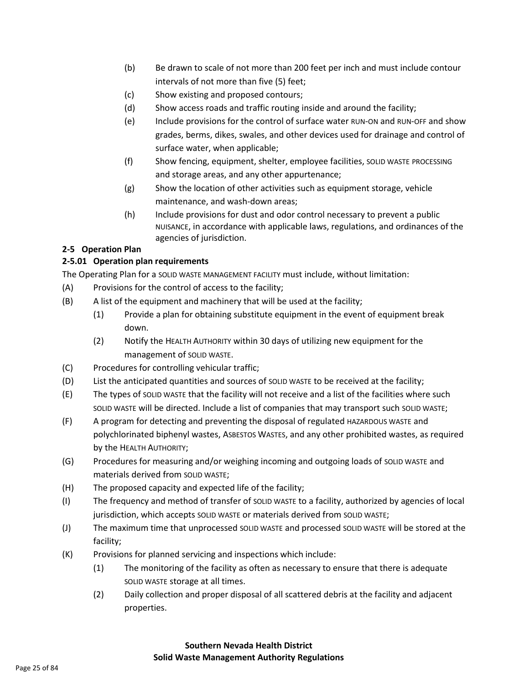- (b) Be drawn to scale of not more than 200 feet per inch and must include contour intervals of not more than five (5) feet;
- (c) Show existing and proposed contours;
- (d) Show access roads and traffic routing inside and around the facility;
- (e) Include provisions for the control of surface water RUN-ON and RUN-OFF and show grades, berms, dikes, swales, and other devices used for drainage and control of surface water, when applicable;
- (f) Show fencing, equipment, shelter, employee facilities, SOLID WASTE PROCESSING and storage areas, and any other appurtenance;
- (g) Show the location of other activities such as equipment storage, vehicle maintenance, and wash-down areas;
- (h) Include provisions for dust and odor control necessary to prevent a public NUISANCE, in accordance with applicable laws, regulations, and ordinances of the agencies of jurisdiction.

# **2-5 Operation Plan**

# **2-5.01 Operation plan requirements**

The Operating Plan for a SOLID WASTE MANAGEMENT FACILITY must include, without limitation:

- (A) Provisions for the control of access to the facility;
- (B) A list of the equipment and machinery that will be used at the facility;
	- (1) Provide a plan for obtaining substitute equipment in the event of equipment break down.
	- (2) Notify the HEALTH AUTHORITY within 30 days of utilizing new equipment for the management of SOLID WASTE.
- (C) Procedures for controlling vehicular traffic;
- (D) List the anticipated quantities and sources of SOLID WASTE to be received at the facility;
- (E) The types of SOLID WASTE that the facility will not receive and a list of the facilities where such SOLID WASTE will be directed. Include a list of companies that may transport such SOLID WASTE;
- (F) A program for detecting and preventing the disposal of regulated HAZARDOUS WASTE and polychlorinated biphenyl wastes, ASBESTOS WASTES, and any other prohibited wastes, as required by the HEALTH AUTHORITY;
- (G) Procedures for measuring and/or weighing incoming and outgoing loads of SOLID WASTE and materials derived from SOLID WASTE;
- (H) The proposed capacity and expected life of the facility;
- (I) The frequency and method of transfer of SOLID WASTE to a facility, authorized by agencies of local jurisdiction, which accepts SOLID WASTE or materials derived from SOLID WASTE;
- (J) The maximum time that unprocessed SOLID WASTE and processed SOLID WASTE will be stored at the facility;
- (K) Provisions for planned servicing and inspections which include:
	- (1) The monitoring of the facility as often as necessary to ensure that there is adequate SOLID WASTE storage at all times.
	- (2) Daily collection and proper disposal of all scattered debris at the facility and adjacent properties.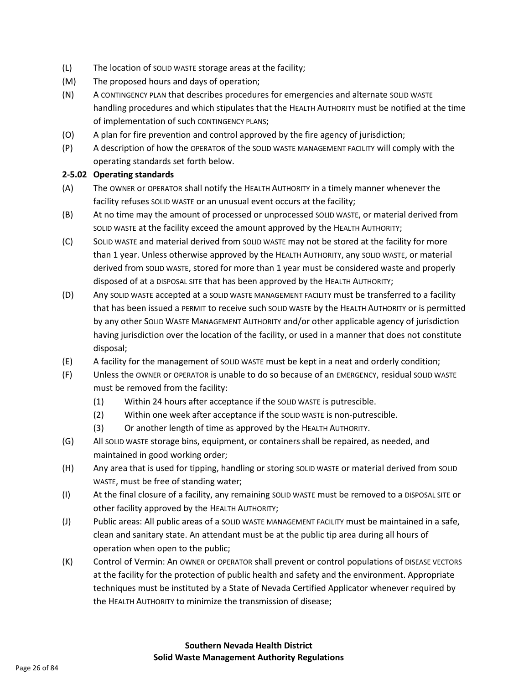- (L) The location of SOLID WASTE storage areas at the facility;
- (M) The proposed hours and days of operation;
- (N) A CONTINGENCY PLAN that describes procedures for emergencies and alternate SOLID WASTE handling procedures and which stipulates that the HEALTH AUTHORITY must be notified at the time of implementation of such CONTINGENCY PLANS;
- (O) A plan for fire prevention and control approved by the fire agency of jurisdiction;
- (P) A description of how the OPERATOR of the SOLID WASTE MANAGEMENT FACILITY will comply with the operating standards set forth below.

#### **2-5.02 Operating standards**

- (A) The OWNER or OPERATOR shall notify the HEALTH AUTHORITY in a timely manner whenever the facility refuses SOLID WASTE or an unusual event occurs at the facility;
- (B) At no time may the amount of processed or unprocessed SOLID WASTE, or material derived from SOLID WASTE at the facility exceed the amount approved by the HEALTH AUTHORITY;
- (C) SOLID WASTE and material derived from SOLID WASTE may not be stored at the facility for more than 1 year. Unless otherwise approved by the HEALTH AUTHORITY, any SOLID WASTE, or material derived from SOLID WASTE, stored for more than 1 year must be considered waste and properly disposed of at a DISPOSAL SITE that has been approved by the HEALTH AUTHORITY;
- (D) Any SOLID WASTE accepted at a SOLID WASTE MANAGEMENT FACILITY must be transferred to a facility that has been issued a PERMIT to receive such SOLID WASTE by the HEALTH AUTHORITY or is permitted by any other SOLID WASTE MANAGEMENT AUTHORITY and/or other applicable agency of jurisdiction having jurisdiction over the location of the facility, or used in a manner that does not constitute disposal;
- (E) A facility for the management of SOLID WASTE must be kept in a neat and orderly condition;
- (F) Unless the OWNER or OPERATOR is unable to do so because of an EMERGENCY, residual SOLID WASTE must be removed from the facility:
	- (1) Within 24 hours after acceptance if the SOLID WASTE is putrescible.
	- (2) Within one week after acceptance if the SOLID WASTE is non-putrescible.
	- (3) Or another length of time as approved by the HEALTH AUTHORITY.
- (G) All SOLID WASTE storage bins, equipment, or containers shall be repaired, as needed, and maintained in good working order;
- (H) Any area that is used for tipping, handling or storing SOLID WASTE or material derived from SOLID WASTE, must be free of standing water;
- (I) At the final closure of a facility, any remaining SOLID WASTE must be removed to a DISPOSAL SITE or other facility approved by the HEALTH AUTHORITY;
- (J) Public areas: All public areas of a SOLID WASTE MANAGEMENT FACILITY must be maintained in a safe, clean and sanitary state. An attendant must be at the public tip area during all hours of operation when open to the public;
- (K) Control of Vermin: An OWNER or OPERATOR shall prevent or control populations of DISEASE VECTORS at the facility for the protection of public health and safety and the environment. Appropriate techniques must be instituted by a State of Nevada Certified Applicator whenever required by the HEALTH AUTHORITY to minimize the transmission of disease;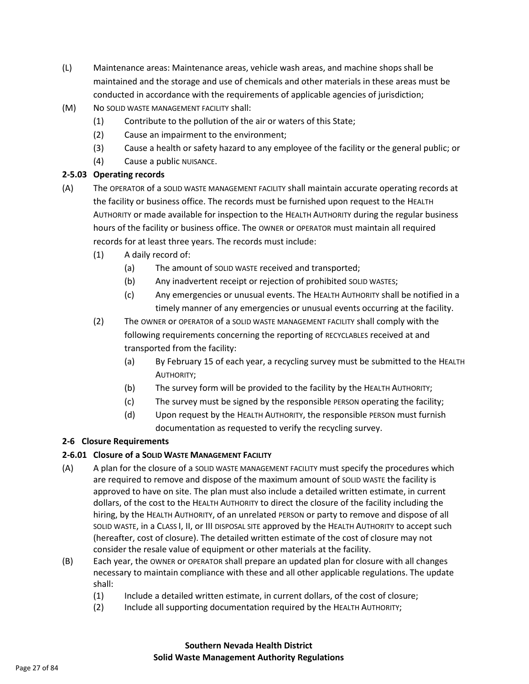- (L) Maintenance areas: Maintenance areas, vehicle wash areas, and machine shops shall be maintained and the storage and use of chemicals and other materials in these areas must be conducted in accordance with the requirements of applicable agencies of jurisdiction;
- (M) No SOLID WASTE MANAGEMENT FACILITY shall:
	- (1) Contribute to the pollution of the air or waters of this State;
	- (2) Cause an impairment to the environment;
	- (3) Cause a health or safety hazard to any employee of the facility or the general public; or
	- (4) Cause a public NUISANCE.

# **2-5.03 Operating records**

- (A) The OPERATOR of a SOLID WASTE MANAGEMENT FACILITY shall maintain accurate operating records at the facility or business office. The records must be furnished upon request to the HEALTH AUTHORITY or made available for inspection to the HEALTH AUTHORITY during the regular business hours of the facility or business office. The OWNER or OPERATOR must maintain all required records for at least three years. The records must include:
	- (1) A daily record of:
		- (a) The amount of SOLID WASTE received and transported;
		- (b) Any inadvertent receipt or rejection of prohibited SOLID WASTES;
		- (c) Any emergencies or unusual events. The HEALTH AUTHORITY shall be notified in a timely manner of any emergencies or unusual events occurring at the facility.
	- (2) The OWNER or OPERATOR of a SOLID WASTE MANAGEMENT FACILITY shall comply with the following requirements concerning the reporting of RECYCLABLES received at and transported from the facility:
		- (a) By February 15 of each year, a recycling survey must be submitted to the HEALTH AUTHORITY;
		- (b) The survey form will be provided to the facility by the HEALTH AUTHORITY;
		- (c) The survey must be signed by the responsible PERSON operating the facility;
		- (d) Upon request by the HEALTH AUTHORITY, the responsible PERSON must furnish documentation as requested to verify the recycling survey.

# **2-6 Closure Requirements**

# **2-6.01 Closure of a SOLID WASTE MANAGEMENT FACILITY**

- (A) A plan for the closure of a SOLID WASTE MANAGEMENT FACILITY must specify the procedures which are required to remove and dispose of the maximum amount of SOLID WASTE the facility is approved to have on site. The plan must also include a detailed written estimate, in current dollars, of the cost to the HEALTH AUTHORITY to direct the closure of the facility including the hiring, by the HEALTH AUTHORITY, of an unrelated PERSON or party to remove and dispose of all SOLID WASTE, in a CLASS I, II, or III DISPOSAL SITE approved by the HEALTH AUTHORITY to accept such (hereafter, cost of closure). The detailed written estimate of the cost of closure may not consider the resale value of equipment or other materials at the facility.
- (B) Each year, the OWNER or OPERATOR shall prepare an updated plan for closure with all changes necessary to maintain compliance with these and all other applicable regulations. The update shall:
	- (1) Include a detailed written estimate, in current dollars, of the cost of closure;
	- (2) Include all supporting documentation required by the HEALTH AUTHORITY;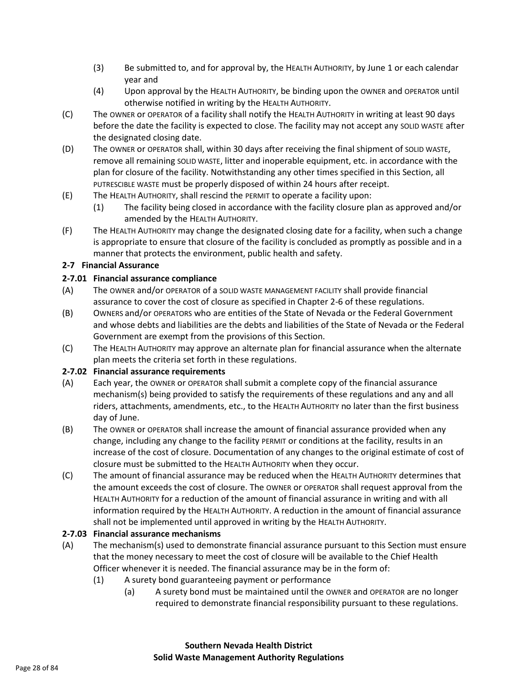- (3) Be submitted to, and for approval by, the HEALTH AUTHORITY, by June 1 or each calendar year and
- (4) Upon approval by the HEALTH AUTHORITY, be binding upon the OWNER and OPERATOR until otherwise notified in writing by the HEALTH AUTHORITY.
- (C) The OWNER or OPERATOR of a facility shall notify the HEALTH AUTHORITY in writing at least 90 days before the date the facility is expected to close. The facility may not accept any SOLID WASTE after the designated closing date.
- (D) The OWNER or OPERATOR shall, within 30 days after receiving the final shipment of SOLID WASTE, remove all remaining SOLID WASTE, litter and inoperable equipment, etc. in accordance with the plan for closure of the facility. Notwithstanding any other times specified in this Section, all PUTRESCIBLE WASTE must be properly disposed of within 24 hours after receipt.
- (E) The HEALTH AUTHORITY, shall rescind the PERMIT to operate a facility upon:
	- (1) The facility being closed in accordance with the facility closure plan as approved and/or amended by the HEALTH AUTHORITY.
- (F) The HEALTH AUTHORITY may change the designated closing date for a facility, when such a change is appropriate to ensure that closure of the facility is concluded as promptly as possible and in a manner that protects the environment, public health and safety.

# **2-7 Financial Assurance**

# **2-7.01 Financial assurance compliance**

- (A) The OWNER and/or OPERATOR of a SOLID WASTE MANAGEMENT FACILITY shall provide financial assurance to cover the cost of closure as specified in Chapter 2-6 of these regulations.
- (B) OWNERS and/or OPERATORS who are entities of the State of Nevada or the Federal Government and whose debts and liabilities are the debts and liabilities of the State of Nevada or the Federal Government are exempt from the provisions of this Section.
- (C) The HEALTH AUTHORITY may approve an alternate plan for financial assurance when the alternate plan meets the criteria set forth in these regulations.

## **2-7.02 Financial assurance requirements**

- (A) Each year, the OWNER or OPERATOR shall submit a complete copy of the financial assurance mechanism(s) being provided to satisfy the requirements of these regulations and any and all riders, attachments, amendments, etc., to the HEALTH AUTHORITY no later than the first business day of June.
- (B) The OWNER or OPERATOR shall increase the amount of financial assurance provided when any change, including any change to the facility PERMIT or conditions at the facility, results in an increase of the cost of closure. Documentation of any changes to the original estimate of cost of closure must be submitted to the HEALTH AUTHORITY when they occur.
- (C) The amount of financial assurance may be reduced when the HEALTH AUTHORITY determines that the amount exceeds the cost of closure. The OWNER or OPERATOR shall request approval from the HEALTH AUTHORITY for a reduction of the amount of financial assurance in writing and with all information required by the HEALTH AUTHORITY. A reduction in the amount of financial assurance shall not be implemented until approved in writing by the HEALTH AUTHORITY.

# **2-7.03 Financial assurance mechanisms**

- (A) The mechanism(s) used to demonstrate financial assurance pursuant to this Section must ensure that the money necessary to meet the cost of closure will be available to the Chief Health Officer whenever it is needed. The financial assurance may be in the form of:
	- (1) A surety bond guaranteeing payment or performance
		- (a) A surety bond must be maintained until the OWNER and OPERATOR are no longer required to demonstrate financial responsibility pursuant to these regulations.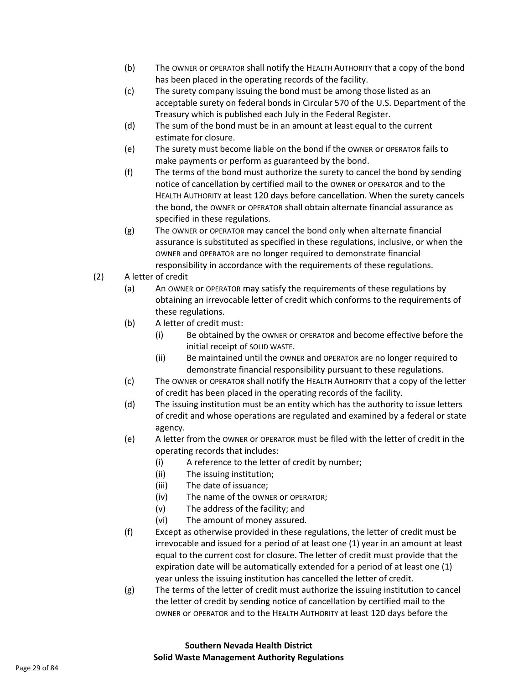- (b) The OWNER or OPERATOR shall notify the HEALTH AUTHORITY that a copy of the bond has been placed in the operating records of the facility.
- (c) The surety company issuing the bond must be among those listed as an acceptable surety on federal bonds in Circular 570 of the U.S. Department of the Treasury which is published each July in the Federal Register.
- (d) The sum of the bond must be in an amount at least equal to the current estimate for closure.
- (e) The surety must become liable on the bond if the OWNER or OPERATOR fails to make payments or perform as guaranteed by the bond.
- (f) The terms of the bond must authorize the surety to cancel the bond by sending notice of cancellation by certified mail to the OWNER or OPERATOR and to the HEALTH AUTHORITY at least 120 days before cancellation. When the surety cancels the bond, the OWNER or OPERATOR shall obtain alternate financial assurance as specified in these regulations.
- (g) The OWNER or OPERATOR may cancel the bond only when alternate financial assurance is substituted as specified in these regulations, inclusive, or when the OWNER and OPERATOR are no longer required to demonstrate financial responsibility in accordance with the requirements of these regulations.
- (2) A letter of credit
	- (a) An OWNER or OPERATOR may satisfy the requirements of these regulations by obtaining an irrevocable letter of credit which conforms to the requirements of these regulations.
	- (b) A letter of credit must:
		- (i) Be obtained by the OWNER or OPERATOR and become effective before the initial receipt of SOLID WASTE.
		- (ii) Be maintained until the OWNER and OPERATOR are no longer required to demonstrate financial responsibility pursuant to these regulations.
	- (c) The OWNER or OPERATOR shall notify the HEALTH AUTHORITY that a copy of the letter of credit has been placed in the operating records of the facility.
	- (d) The issuing institution must be an entity which has the authority to issue letters of credit and whose operations are regulated and examined by a federal or state agency.
	- (e) A letter from the OWNER or OPERATOR must be filed with the letter of credit in the operating records that includes:
		- (i) A reference to the letter of credit by number;
		- (ii) The issuing institution;
		- (iii) The date of issuance;
		- (iv) The name of the OWNER or OPERATOR;
		- (v) The address of the facility; and
		- (vi) The amount of money assured.
	- (f) Except as otherwise provided in these regulations, the letter of credit must be irrevocable and issued for a period of at least one (1) year in an amount at least equal to the current cost for closure. The letter of credit must provide that the expiration date will be automatically extended for a period of at least one (1) year unless the issuing institution has cancelled the letter of credit.
	- (g) The terms of the letter of credit must authorize the issuing institution to cancel the letter of credit by sending notice of cancellation by certified mail to the OWNER or OPERATOR and to the HEALTH AUTHORITY at least 120 days before the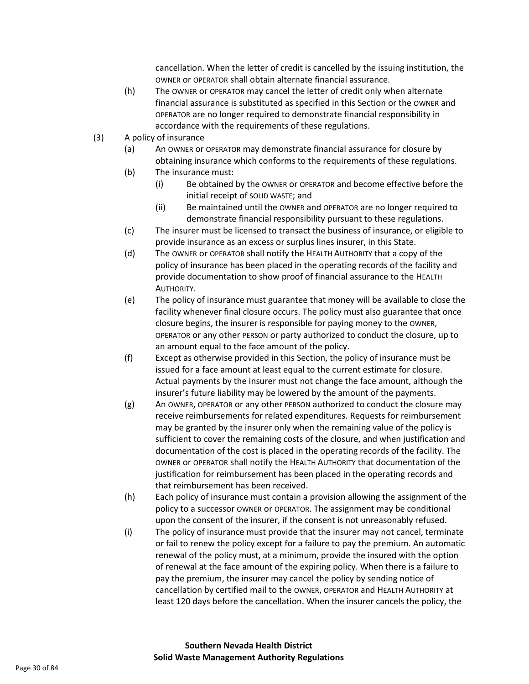cancellation. When the letter of credit is cancelled by the issuing institution, the OWNER or OPERATOR shall obtain alternate financial assurance.

- (h) The OWNER or OPERATOR may cancel the letter of credit only when alternate financial assurance is substituted as specified in this Section or the OWNER and OPERATOR are no longer required to demonstrate financial responsibility in accordance with the requirements of these regulations.
- (3) A policy of insurance
	- (a) An OWNER or OPERATOR may demonstrate financial assurance for closure by obtaining insurance which conforms to the requirements of these regulations.
	- (b) The insurance must:
		- (i) Be obtained by the OWNER or OPERATOR and become effective before the initial receipt of SOLID WASTE; and
		- (ii) Be maintained until the OWNER and OPERATOR are no longer required to demonstrate financial responsibility pursuant to these regulations.
	- (c) The insurer must be licensed to transact the business of insurance, or eligible to provide insurance as an excess or surplus lines insurer, in this State.
	- (d) The OWNER or OPERATOR shall notify the HEALTH AUTHORITY that a copy of the policy of insurance has been placed in the operating records of the facility and provide documentation to show proof of financial assurance to the HEALTH AUTHORITY.
	- (e) The policy of insurance must guarantee that money will be available to close the facility whenever final closure occurs. The policy must also guarantee that once closure begins, the insurer is responsible for paying money to the OWNER, OPERATOR or any other PERSON or party authorized to conduct the closure, up to an amount equal to the face amount of the policy.
	- (f) Except as otherwise provided in this Section, the policy of insurance must be issued for a face amount at least equal to the current estimate for closure. Actual payments by the insurer must not change the face amount, although the insurer's future liability may be lowered by the amount of the payments.
	- (g) An OWNER, OPERATOR or any other PERSON authorized to conduct the closure may receive reimbursements for related expenditures. Requests for reimbursement may be granted by the insurer only when the remaining value of the policy is sufficient to cover the remaining costs of the closure, and when justification and documentation of the cost is placed in the operating records of the facility. The OWNER or OPERATOR shall notify the HEALTH AUTHORITY that documentation of the justification for reimbursement has been placed in the operating records and that reimbursement has been received.
	- (h) Each policy of insurance must contain a provision allowing the assignment of the policy to a successor OWNER or OPERATOR. The assignment may be conditional upon the consent of the insurer, if the consent is not unreasonably refused.
	- (i) The policy of insurance must provide that the insurer may not cancel, terminate or fail to renew the policy except for a failure to pay the premium. An automatic renewal of the policy must, at a minimum, provide the insured with the option of renewal at the face amount of the expiring policy. When there is a failure to pay the premium, the insurer may cancel the policy by sending notice of cancellation by certified mail to the OWNER, OPERATOR and HEALTH AUTHORITY at least 120 days before the cancellation. When the insurer cancels the policy, the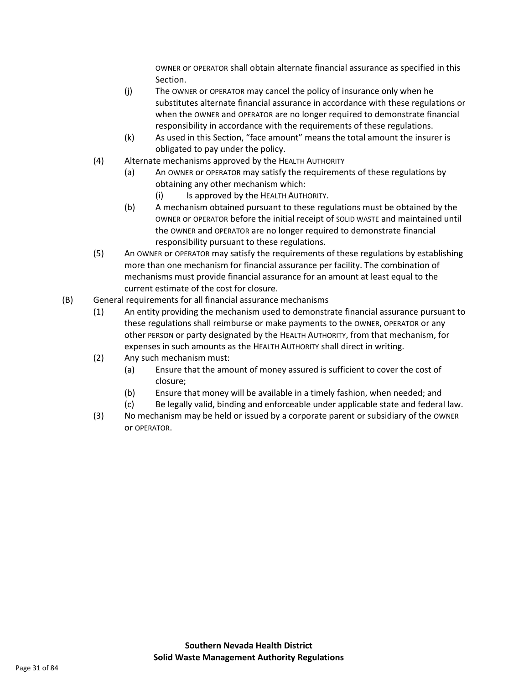OWNER or OPERATOR shall obtain alternate financial assurance as specified in this Section.

- (j) The OWNER or OPERATOR may cancel the policy of insurance only when he substitutes alternate financial assurance in accordance with these regulations or when the OWNER and OPERATOR are no longer required to demonstrate financial responsibility in accordance with the requirements of these regulations.
- (k) As used in this Section, "face amount" means the total amount the insurer is obligated to pay under the policy.
- (4) Alternate mechanisms approved by the HEALTH AUTHORITY
	- (a) An OWNER or OPERATOR may satisfy the requirements of these regulations by obtaining any other mechanism which:
		- (i) Is approved by the HEALTH AUTHORITY.
	- (b) A mechanism obtained pursuant to these regulations must be obtained by the OWNER or OPERATOR before the initial receipt of SOLID WASTE and maintained until the OWNER and OPERATOR are no longer required to demonstrate financial responsibility pursuant to these regulations.
- (5) An OWNER or OPERATOR may satisfy the requirements of these regulations by establishing more than one mechanism for financial assurance per facility. The combination of mechanisms must provide financial assurance for an amount at least equal to the current estimate of the cost for closure.
- (B) General requirements for all financial assurance mechanisms
	- (1) An entity providing the mechanism used to demonstrate financial assurance pursuant to these regulations shall reimburse or make payments to the OWNER, OPERATOR or any other PERSON or party designated by the HEALTH AUTHORITY, from that mechanism, for expenses in such amounts as the HEALTH AUTHORITY shall direct in writing.
	- (2) Any such mechanism must:
		- (a) Ensure that the amount of money assured is sufficient to cover the cost of closure;
		- (b) Ensure that money will be available in a timely fashion, when needed; and
		- (c) Be legally valid, binding and enforceable under applicable state and federal law.
	- (3) No mechanism may be held or issued by a corporate parent or subsidiary of the OWNER or OPERATOR.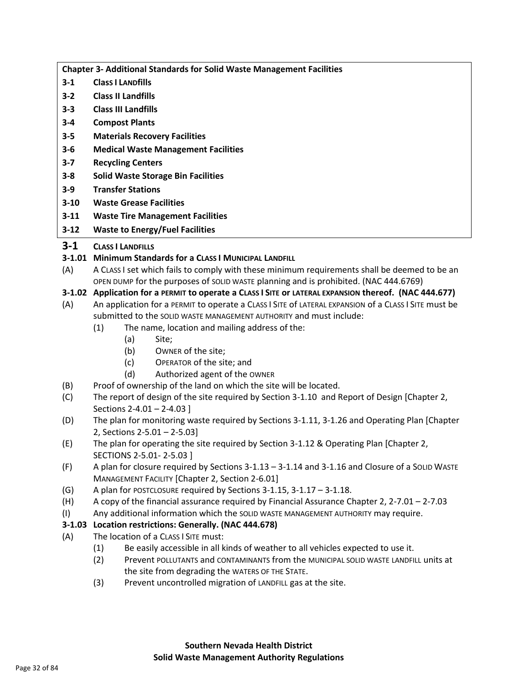**Chapter 3- Additional Standards for Solid Waste Management Facilities**

- **3-1 ClasS I LANDfills**
- **3-2 Class II Landfills**
- **3-3 Class III Landfills**
- **3-4 Compost Plants**
- **3-5 Materials Recovery Facilities**
- **3-6 Medical Waste Management Facilities**
- **3-7 Recycling Centers**
- **3-8 Solid Waste Storage Bin Facilities**
- **3-9 Transfer Stations**
- **3-10 Waste Grease Facilities**
- **3-11 Waste Tire Management Facilities**
- **3-12 Waste to Energy/Fuel Facilities**

# **3-1 CLASS I LANDFILLS**

# **3-1.01 Minimum Standards for a CLASS I MUNICIPAL LANDFILL**

(A) A CLASS I set which fails to comply with these minimum requirements shall be deemed to be an OPEN DUMP for the purposes of SOLID WASTE planning and is prohibited. (NAC 444.6769)

# **3-1.02 Application for a PERMIT to operate a CLASS I SITE or LATERAL EXPANSION thereof. (NAC 444.677)**

- (A) An application for a PERMIT to operate a CLASS I SITE of LATERAL EXPANSION of a CLASS I SITE must be submitted to the SOLID WASTE MANAGEMENT AUTHORITY and must include:
	- (1) The name, location and mailing address of the:
		- (a) Site;
		- (b) OWNER of the site;
		- (c) OPERATOR of the site; and
		- (d) Authorized agent of the OWNER
- (B) Proof of ownership of the land on which the site will be located.
- (C) The report of design of the site required by Section 3-1.10 and Report of Design [Chapter 2, Sections 2-4.01 – 2-4.03 ]
- (D) The plan for monitoring waste required by Sections 3-1.11, 3-1.26 and Operating Plan [Chapter 2, Sections 2-5.01 – 2-5.03]
- (E) The plan for operating the site required by Section 3-1.12 & Operating Plan [Chapter 2, SECTIONS 2-5.01- 2-5.03 ]
- (F) A plan for closure required by Sections 3-1.13 3-1.14 and 3-1.16 and Closure of a SOLID WASTE MANAGEMENT FACILITY [Chapter 2, Section 2-6.01]
- (G) A plan for POSTCLOSURE required by Sections 3-1.15, 3-1.17 3-1.18.
- (H) A copy of the financial assurance required by Financial Assurance Chapter 2, 2-7.01 2-7.03
- (I) Any additional information which the SOLID WASTE MANAGEMENT AUTHORITY may require.

# **3-1.03 Location restrictions: Generally. (NAC 444.678)**

- (A) The location of a CLASS I SITE must:
	- (1) Be easily accessible in all kinds of weather to all vehicles expected to use it.
	- (2) Prevent POLLUTANTS and CONTAMINANTS from the MUNICIPAL SOLID WASTE LANDFILL units at the site from degrading the WATERS OF THE STATE.
	- (3) Prevent uncontrolled migration of LANDFILL gas at the site.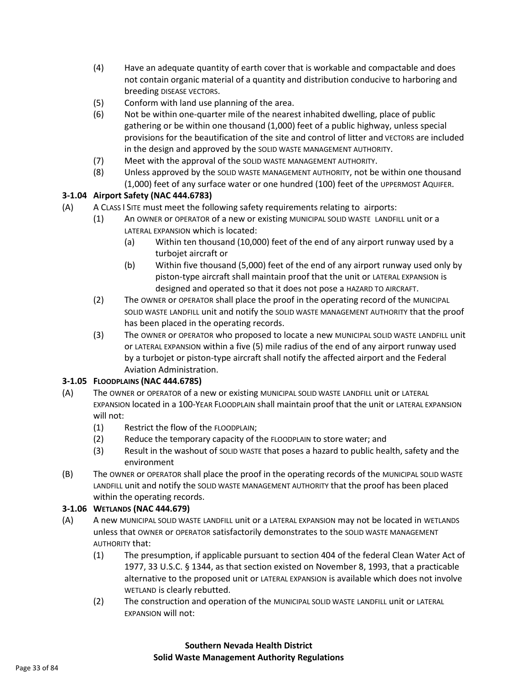- (4) Have an adequate quantity of earth cover that is workable and compactable and does not contain organic material of a quantity and distribution conducive to harboring and breeding DISEASE VECTORS.
- (5) Conform with land use planning of the area.
- (6) Not be within one-quarter mile of the nearest inhabited dwelling, place of public gathering or be within one thousand (1,000) feet of a public highway, unless special provisions for the beautification of the site and control of litter and VECTORS are included in the design and approved by the SOLID WASTE MANAGEMENT AUTHORITY.
- (7) Meet with the approval of the SOLID WASTE MANAGEMENT AUTHORITY.
- (8) Unless approved by the SOLID WASTE MANAGEMENT AUTHORITY, not be within one thousand (1,000) feet of any surface water or one hundred (100) feet of the UPPERMOST AQUIFER.

## **3-1.04 Airport Safety (NAC 444.6783)**

- (A) A CLASS I SITE must meet the following safety requirements relating to airports:
	- (1) An OWNER or OPERATOR of a new or existing MUNICIPAL SOLID WASTE LANDFILL unit or a LATERAL EXPANSION which is located:
		- (a) Within ten thousand (10,000) feet of the end of any airport runway used by a turbojet aircraft or
		- (b) Within five thousand (5,000) feet of the end of any airport runway used only by piston-type aircraft shall maintain proof that the unit or LATERAL EXPANSION is designed and operated so that it does not pose a HAZARD TO AIRCRAFT.
	- (2) The OWNER or OPERATOR shall place the proof in the operating record of the MUNICIPAL SOLID WASTE LANDFILL unit and notify the SOLID WASTE MANAGEMENT AUTHORITY that the proof has been placed in the operating records.
	- (3) The OWNER or OPERATOR who proposed to locate a new MUNICIPAL SOLID WASTE LANDFILL unit or LATERAL EXPANSION within a five (5) mile radius of the end of any airport runway used by a turbojet or piston-type aircraft shall notify the affected airport and the Federal Aviation Administration.

## **3-1.05 FLOODPLAINS (NAC 444.6785)**

- (A) The OWNER or OPERATOR of a new or existing MUNICIPAL SOLID WASTE LANDFILL unit or LATERAL EXPANSION located in a 100-YEAR FLOODPLAIN shall maintain proof that the unit or LATERAL EXPANSION will not:
	- (1) Restrict the flow of the FLOODPLAIN;
	- (2) Reduce the temporary capacity of the FLOODPLAIN to store water; and
	- (3) Result in the washout of SOLID WASTE that poses a hazard to public health, safety and the environment
- (B) The OWNER or OPERATOR shall place the proof in the operating records of the MUNICIPAL SOLID WASTE LANDFILL unit and notify the SOLID WASTE MANAGEMENT AUTHORITY that the proof has been placed within the operating records.

## **3-1.06 WETLANDS (NAC 444.679)**

- (A) A new MUNICIPAL SOLID WASTE LANDFILL unit or a LATERAL EXPANSION may not be located in WETLANDS unless that OWNER or OPERATOR satisfactorily demonstrates to the SOLID WASTE MANAGEMENT AUTHORITY that:
	- (1) The presumption, if applicable pursuant to section 404 of the federal Clean Water Act of 1977, 33 U.S.C. § 1344, as that section existed on November 8, 1993, that a practicable alternative to the proposed unit or LATERAL EXPANSION is available which does not involve WETLAND is clearly rebutted.
	- (2) The construction and operation of the MUNICIPAL SOLID WASTE LANDFILL unit or LATERAL EXPANSION will not: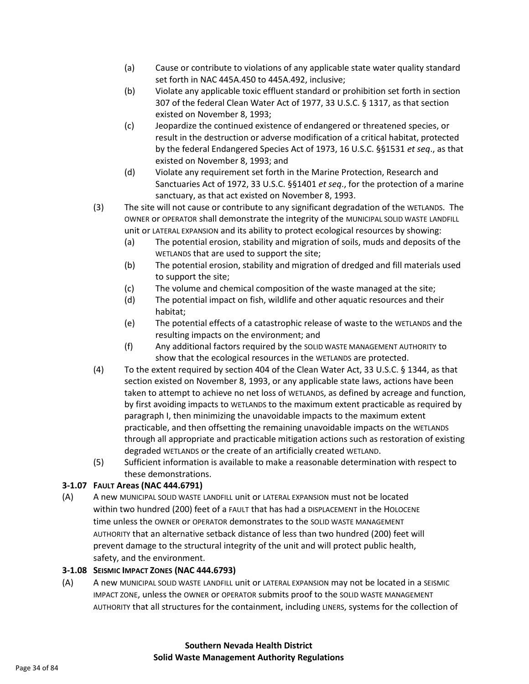- (a) Cause or contribute to violations of any applicable state water quality standard set forth in NAC 445A.450 to 445A.492, inclusive;
- (b) Violate any applicable toxic effluent standard or prohibition set forth in section 307 of the federal Clean Water Act of 1977, 33 U.S.C. § 1317, as that section existed on November 8, 1993;
- (c) Jeopardize the continued existence of endangered or threatened species, or result in the destruction or adverse modification of a critical habitat, protected by the federal Endangered Species Act of 1973, 16 U.S.C. §§1531 *et seq*., as that existed on November 8, 1993; and
- (d) Violate any requirement set forth in the Marine Protection, Research and Sanctuaries Act of 1972, 33 U.S.C. §§1401 *et seq*., for the protection of a marine sanctuary, as that act existed on November 8, 1993.
- (3) The site will not cause or contribute to any significant degradation of the WETLANDS. The OWNER or OPERATOR shall demonstrate the integrity of the MUNICIPAL SOLID WASTE LANDFILL unit or LATERAL EXPANSION and its ability to protect ecological resources by showing:
	- (a) The potential erosion, stability and migration of soils, muds and deposits of the WETLANDS that are used to support the site;
	- (b) The potential erosion, stability and migration of dredged and fill materials used to support the site;
	- (c) The volume and chemical composition of the waste managed at the site;
	- (d) The potential impact on fish, wildlife and other aquatic resources and their habitat;
	- (e) The potential effects of a catastrophic release of waste to the WETLANDS and the resulting impacts on the environment; and
	- (f) Any additional factors required by the SOLID WASTE MANAGEMENT AUTHORITY to show that the ecological resources in the WETLANDS are protected.
- (4) To the extent required by section 404 of the Clean Water Act, 33 U.S.C. § 1344, as that section existed on November 8, 1993, or any applicable state laws, actions have been taken to attempt to achieve no net loss of WETLANDS, as defined by acreage and function, by first avoiding impacts to WETLANDS to the maximum extent practicable as required by paragraph I, then minimizing the unavoidable impacts to the maximum extent practicable, and then offsetting the remaining unavoidable impacts on the WETLANDS through all appropriate and practicable mitigation actions such as restoration of existing degraded WETLANDS or the create of an artificially created WETLAND.
- (5) Sufficient information is available to make a reasonable determination with respect to these demonstrations.

## **3-1.07 FAULT Areas (NAC 444.6791)**

(A) A new MUNICIPAL SOLID WASTE LANDFILL unit or LATERAL EXPANSION must not be located within two hundred (200) feet of a FAULT that has had a DISPLACEMENT in the HOLOCENE time unless the OWNER or OPERATOR demonstrates to the SOLID WASTE MANAGEMENT AUTHORITY that an alternative setback distance of less than two hundred (200) feet will prevent damage to the structural integrity of the unit and will protect public health, safety, and the environment.

## **3-1.08 SEISMIC IMPACT ZONES (NAC 444.6793)**

(A) A new MUNICIPAL SOLID WASTE LANDFILL unit or LATERAL EXPANSION may not be located in a SEISMIC IMPACT ZONE, unless the OWNER or OPERATOR submits proof to the SOLID WASTE MANAGEMENT AUTHORITY that all structures for the containment, including LINERS, systems for the collection of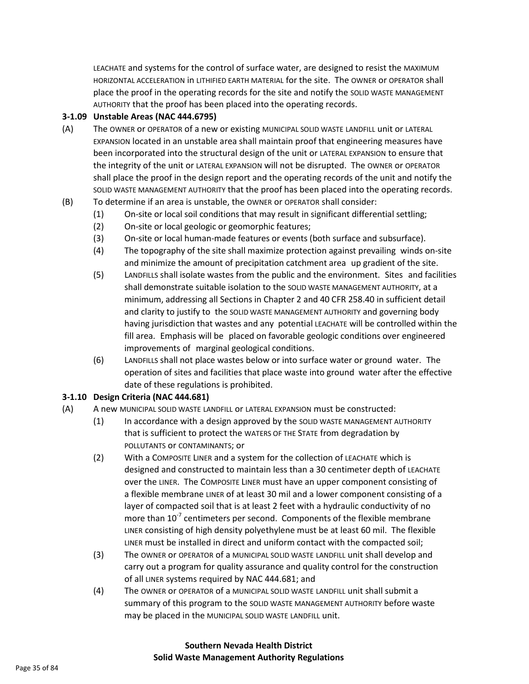LEACHATE and systems for the control of surface water, are designed to resist the MAXIMUM HORIZONTAL ACCELERATION in LITHIFIED EARTH MATERIAL for the site. The OWNER or OPERATOR shall place the proof in the operating records for the site and notify the SOLID WASTE MANAGEMENT AUTHORITY that the proof has been placed into the operating records.

#### **3-1.09 Unstable Areas (NAC 444.6795)**

- (A) The OWNER or OPERATOR of a new or existing MUNICIPAL SOLID WASTE LANDFILL unit or LATERAL EXPANSION located in an unstable area shall maintain proof that engineering measures have been incorporated into the structural design of the unit or LATERAL EXPANSION to ensure that the integrity of the unit or LATERAL EXPANSION will not be disrupted. The OWNER or OPERATOR shall place the proof in the design report and the operating records of the unit and notify the SOLID WASTE MANAGEMENT AUTHORITY that the proof has been placed into the operating records.
- (B) To determine if an area is unstable, the OWNER or OPERATOR shall consider:
	- (1) On-site or local soil conditions that may result in significant differential settling;
	- (2) On-site or local geologic or geomorphic features;
	- (3) On-site or local human-made features or events (both surface and subsurface).
	- (4) The topography of the site shall maximize protection against prevailing winds on-site and minimize the amount of precipitation catchment area up gradient of the site.
	- (5) LANDFILLS shall isolate wastes from the public and the environment. Sites and facilities shall demonstrate suitable isolation to the SOLID WASTE MANAGEMENT AUTHORITY, at a minimum, addressing all Sections in Chapter 2 and 40 CFR 258.40 in sufficient detail and clarity to justify to the SOLID WASTE MANAGEMENT AUTHORITY and governing body having jurisdiction that wastes and any potential LEACHATE will be controlled within the fill area. Emphasis will be placed on favorable geologic conditions over engineered improvements of marginal geological conditions.
	- (6) LANDFILLS shall not place wastes below or into surface water or ground water. The operation of sites and facilities that place waste into ground water after the effective date of these regulations is prohibited.

#### **3-1.10 Design Criteria (NAC 444.681)**

- (A) A new MUNICIPAL SOLID WASTE LANDFILL or LATERAL EXPANSION must be constructed:
	- (1) In accordance with a design approved by the SOLID WASTE MANAGEMENT AUTHORITY that is sufficient to protect the WATERS OF THE STATE from degradation by POLLUTANTS or CONTAMINANTS; or
	- (2) With a COMPOSITE LINER and a system for the collection of LEACHATE which is designed and constructed to maintain less than a 30 centimeter depth of LEACHATE over the LINER. The COMPOSITE LINER must have an upper component consisting of a flexible membrane LINER of at least 30 mil and a lower component consisting of a layer of compacted soil that is at least 2 feet with a hydraulic conductivity of no more than  $10^{-7}$  centimeters per second. Components of the flexible membrane LINER consisting of high density polyethylene must be at least 60 mil. The flexible LINER must be installed in direct and uniform contact with the compacted soil;
	- (3) The OWNER or OPERATOR of a MUNICIPAL SOLID WASTE LANDFILL unit shall develop and carry out a program for quality assurance and quality control for the construction of all LINER systems required by NAC 444.681; and
	- (4) The OWNER or OPERATOR of a MUNICIPAL SOLID WASTE LANDFILL unit shall submit a summary of this program to the SOLID WASTE MANAGEMENT AUTHORITY before waste may be placed in the MUNICIPAL SOLID WASTE LANDFILL unit.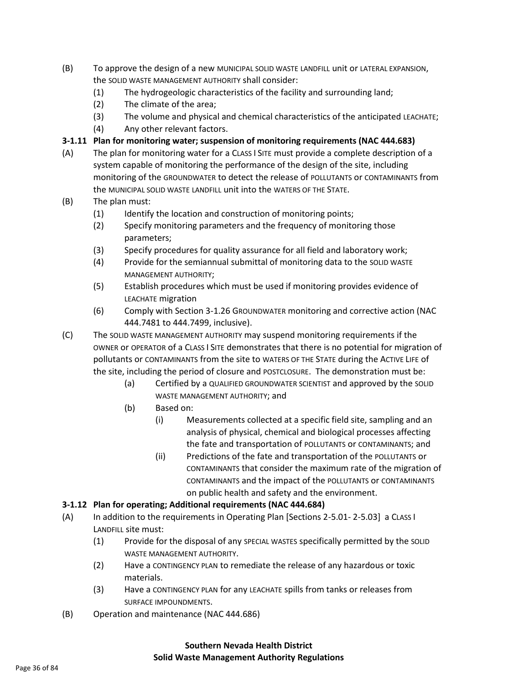- (B) To approve the design of a new MUNICIPAL SOLID WASTE LANDFILL unit or LATERAL EXPANSION, the SOLID WASTE MANAGEMENT AUTHORITY shall consider:
	- (1) The hydrogeologic characteristics of the facility and surrounding land;
	- (2) The climate of the area;
	- (3) The volume and physical and chemical characteristics of the anticipated LEACHATE;
	- (4) Any other relevant factors.
- **3-1.11 Plan for monitoring water; suspension of monitoring requirements (NAC 444.683)**
- (A) The plan for monitoring water for a CLASS I SITE must provide a complete description of a system capable of monitoring the performance of the design of the site, including monitoring of the GROUNDWATER to detect the release of POLLUTANTS or CONTAMINANTS from the MUNICIPAL SOLID WASTE LANDFILL unit into the WATERS OF THE STATE.
- (B) The plan must:
	- (1) Identify the location and construction of monitoring points;
	- (2) Specify monitoring parameters and the frequency of monitoring those parameters;
	- (3) Specify procedures for quality assurance for all field and laboratory work;
	- (4) Provide for the semiannual submittal of monitoring data to the SOLID WASTE MANAGEMENT AUTHORITY;
	- (5) Establish procedures which must be used if monitoring provides evidence of LEACHATE migration
	- (6) Comply with Section 3-1.26 GROUNDWATER monitoring and corrective action (NAC 444.7481 to 444.7499, inclusive).
- (C) The SOLID WASTE MANAGEMENT AUTHORITY may suspend monitoring requirements if the OWNER or OPERATOR of a CLASS I SITE demonstrates that there is no potential for migration of pollutants or CONTAMINANTS from the site to WATERS OF THE STATE during the ACTIVE LIFE of the site, including the period of closure and POSTCLOSURE. The demonstration must be:
	- (a) Certified by a QUALIFIED GROUNDWATER SCIENTIST and approved by the SOLID WASTE MANAGEMENT AUTHORITY; and
	- (b) Based on:
		- (i) Measurements collected at a specific field site, sampling and an analysis of physical, chemical and biological processes affecting the fate and transportation of POLLUTANTS or CONTAMINANTS; and
		- (ii) Predictions of the fate and transportation of the POLLUTANTS or CONTAMINANTS that consider the maximum rate of the migration of CONTAMINANTS and the impact of the POLLUTANTS or CONTAMINANTS on public health and safety and the environment.

## **3-1.12 Plan for operating; Additional requirements (NAC 444.684)**

- (A) In addition to the requirements in Operating Plan [Sections 2-5.01- 2-5.03] a CLASS I LANDFILL site must:
	- (1) Provide for the disposal of any SPECIAL WASTES specifically permitted by the SOLID WASTE MANAGEMENT AUTHORITY.
	- (2) Have a CONTINGENCY PLAN to remediate the release of any hazardous or toxic materials.
	- (3) Have a CONTINGENCY PLAN for any LEACHATE spills from tanks or releases from SURFACE IMPOUNDMENTS.
- (B) Operation and maintenance (NAC 444.686)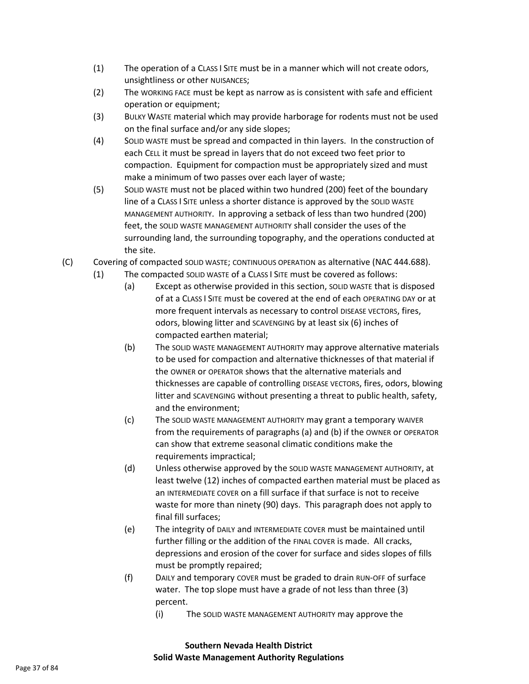- (1) The operation of a CLASS I SITE must be in a manner which will not create odors, unsightliness or other NUISANCES;
- (2) The WORKING FACE must be kept as narrow as is consistent with safe and efficient operation or equipment;
- (3) BULKY WASTE material which may provide harborage for rodents must not be used on the final surface and/or any side slopes;
- (4) SOLID WASTE must be spread and compacted in thin layers. In the construction of each CELL it must be spread in layers that do not exceed two feet prior to compaction. Equipment for compaction must be appropriately sized and must make a minimum of two passes over each layer of waste;
- (5) SOLID WASTE must not be placed within two hundred (200) feet of the boundary line of a CLASS I SITE unless a shorter distance is approved by the SOLID WASTE MANAGEMENT AUTHORITY. In approving a setback of less than two hundred (200) feet, the SOLID WASTE MANAGEMENT AUTHORITY shall consider the uses of the surrounding land, the surrounding topography, and the operations conducted at the site.
- (C) Covering of compacted SOLID WASTE; CONTINUOUS OPERATION as alternative (NAC 444.688).
	- (1) The compacted SOLID WASTE of a CLASS I SITE must be covered as follows:
		- (a) Except as otherwise provided in this section, SOLID WASTE that is disposed of at a CLASS I SITE must be covered at the end of each OPERATING DAY or at more frequent intervals as necessary to control DISEASE VECTORS, fires, odors, blowing litter and SCAVENGING by at least six (6) inches of compacted earthen material;
		- (b) The SOLID WASTE MANAGEMENT AUTHORITY may approve alternative materials to be used for compaction and alternative thicknesses of that material if the OWNER or OPERATOR shows that the alternative materials and thicknesses are capable of controlling DISEASE VECTORS, fires, odors, blowing litter and SCAVENGING without presenting a threat to public health, safety, and the environment;
		- (c) The SOLID WASTE MANAGEMENT AUTHORITY may grant a temporary WAIVER from the requirements of paragraphs (a) and (b) if the OWNER or OPERATOR can show that extreme seasonal climatic conditions make the requirements impractical;
		- (d) Unless otherwise approved by the SOLID WASTE MANAGEMENT AUTHORITY, at least twelve (12) inches of compacted earthen material must be placed as an INTERMEDIATE COVER on a fill surface if that surface is not to receive waste for more than ninety (90) days. This paragraph does not apply to final fill surfaces;
		- (e) The integrity of DAILY and INTERMEDIATE COVER must be maintained until further filling or the addition of the FINAL COVER is made. All cracks, depressions and erosion of the cover for surface and sides slopes of fills must be promptly repaired;
		- (f) DAILY and temporary COVER must be graded to drain RUN-OFF of surface water. The top slope must have a grade of not less than three (3) percent.
			- (i) The SOLID WASTE MANAGEMENT AUTHORITY may approve the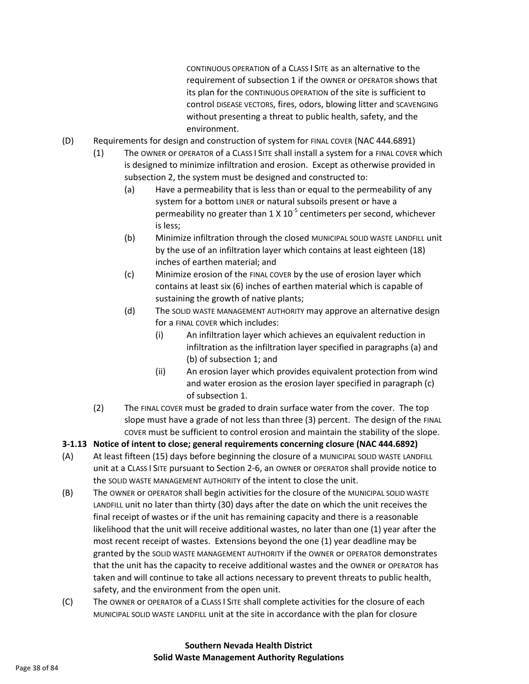CONTINUOUS OPERATION of a CLASS I SITE as an alternative to the requirement of subsection 1 if the OWNER or OPERATOR shows that its plan for the CONTINUOUS OPERATION of the site is sufficient to control DISEASE VECTORS, fires, odors, blowing litter and SCAVENGING without presenting a threat to public health, safety, and the environment.

- (D) Requirements for design and construction of system for FINAL COVER (NAC 444.6891)
	- (1) The OWNER or OPERATOR of a CLASS I SITE shall install a system for a FINAL COVER which is designed to minimize infiltration and erosion. Except as otherwise provided in subsection 2, the system must be designed and constructed to:
		- (a) Have a permeability that is less than or equal to the permeability of any system for a bottom LINER or natural subsoils present or have a permeability no greater than 1 X 10<sup>-5</sup> centimeters per second, whichever is less;
		- (b) Minimize infiltration through the closed MUNICIPAL SOLID WASTE LANDFILL unit by the use of an infiltration layer which contains at least eighteen (18) inches of earthen material; and
		- (c) Minimize erosion of the FINAL COVER by the use of erosion layer which contains at least six (6) inches of earthen material which is capable of sustaining the growth of native plants;
		- (d) The SOLID WASTE MANAGEMENT AUTHORITY may approve an alternative design for a FINAL COVER which includes:
			- (i) An infiltration layer which achieves an equivalent reduction in infiltration as the infiltration layer specified in paragraphs (a) and (b) of subsection 1; and
			- (ii) An erosion layer which provides equivalent protection from wind and water erosion as the erosion layer specified in paragraph (c) of subsection 1.
	- (2) The FINAL COVER must be graded to drain surface water from the cover. The top slope must have a grade of not less than three (3) percent. The design of the FINAL COVER must be sufficient to control erosion and maintain the stability of the slope.
- **3-1.13 Notice of intent to close; general requirements concerning closure (NAC 444.6892)**
- (A) At least fifteen (15) days before beginning the closure of a MUNICIPAL SOLID WASTE LANDFILL unit at a CLASS I SITE pursuant to Section 2-6, an OWNER or OPERATOR shall provide notice to the SOLID WASTE MANAGEMENT AUTHORITY of the intent to close the unit.
- (B) The OWNER or OPERATOR shall begin activities for the closure of the MUNICIPAL SOLID WASTE LANDFILL unit no later than thirty (30) days after the date on which the unit receives the final receipt of wastes or if the unit has remaining capacity and there is a reasonable likelihood that the unit will receive additional wastes, no later than one (1) year after the most recent receipt of wastes. Extensions beyond the one (1) year deadline may be granted by the SOLID WASTE MANAGEMENT AUTHORITY if the OWNER or OPERATOR demonstrates that the unit has the capacity to receive additional wastes and the OWNER or OPERATOR has taken and will continue to take all actions necessary to prevent threats to public health, safety, and the environment from the open unit.
- (C) The OWNER or OPERATOR of a CLASS I SITE shall complete activities for the closure of each MUNICIPAL SOLID WASTE LANDFILL unit at the site in accordance with the plan for closure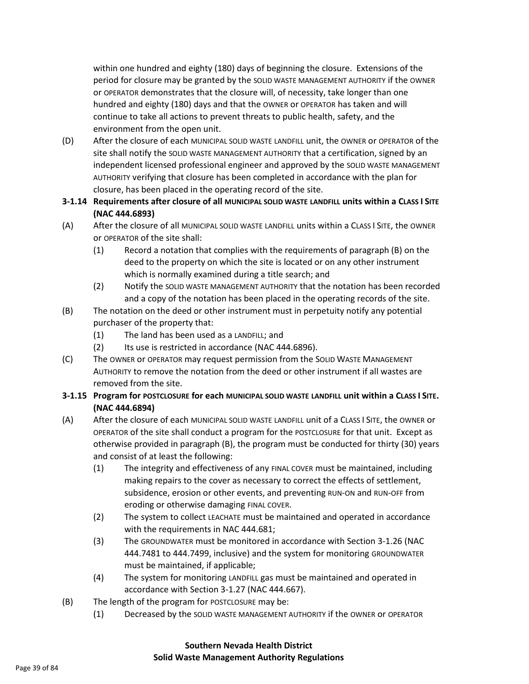within one hundred and eighty (180) days of beginning the closure. Extensions of the period for closure may be granted by the SOLID WASTE MANAGEMENT AUTHORITY if the OWNER or OPERATOR demonstrates that the closure will, of necessity, take longer than one hundred and eighty (180) days and that the OWNER or OPERATOR has taken and will continue to take all actions to prevent threats to public health, safety, and the environment from the open unit.

(D) After the closure of each MUNICIPAL SOLID WASTE LANDFILL unit, the OWNER or OPERATOR of the site shall notify the SOLID WASTE MANAGEMENT AUTHORITY that a certification, signed by an independent licensed professional engineer and approved by the SOLID WASTE MANAGEMENT AUTHORITY verifying that closure has been completed in accordance with the plan for closure, has been placed in the operating record of the site.

### **3-1.14 Requirements after closure of all MUNICIPAL SOLID WASTE LANDFILL units within a CLASS I SITE (NAC 444.6893)**

- (A) After the closure of all MUNICIPAL SOLID WASTE LANDFILL units within a CLASS I SITE, the OWNER or OPERATOR of the site shall:
	- (1) Record a notation that complies with the requirements of paragraph (B) on the deed to the property on which the site is located or on any other instrument which is normally examined during a title search; and
	- (2) Notify the SOLID WASTE MANAGEMENT AUTHORITY that the notation has been recorded and a copy of the notation has been placed in the operating records of the site.
- (B) The notation on the deed or other instrument must in perpetuity notify any potential purchaser of the property that:
	- (1) The land has been used as a LANDFILL; and
	- (2) Its use is restricted in accordance (NAC 444.6896).
- (C) The OWNER or OPERATOR may request permission from the SOLID WASTE MANAGEMENT AUTHORITY to remove the notation from the deed or other instrument if all wastes are removed from the site.

### **3-1.15 Program for POSTCLOSURE for each MUNICIPAL SOLID WASTE LANDFILL unit within a CLASS I SITE. (NAC 444.6894)**

- (A) After the closure of each MUNICIPAL SOLID WASTE LANDFILL unit of a CLASS I SITE, the OWNER or OPERATOR of the site shall conduct a program for the POSTCLOSURE for that unit. Except as otherwise provided in paragraph (B), the program must be conducted for thirty (30) years and consist of at least the following:
	- (1) The integrity and effectiveness of any FINAL COVER must be maintained, including making repairs to the cover as necessary to correct the effects of settlement, subsidence, erosion or other events, and preventing RUN-ON and RUN-OFF from eroding or otherwise damaging FINAL COVER.
	- (2) The system to collect LEACHATE must be maintained and operated in accordance with the requirements in NAC 444.681;
	- (3) The GROUNDWATER must be monitored in accordance with Section 3-1.26 (NAC 444.7481 to 444.7499, inclusive) and the system for monitoring GROUNDWATER must be maintained, if applicable;
	- (4) The system for monitoring LANDFILL gas must be maintained and operated in accordance with Section 3-1.27 (NAC 444.667).
- (B) The length of the program for POSTCLOSURE may be:
	- (1) Decreased by the SOLID WASTE MANAGEMENT AUTHORITY if the OWNER or OPERATOR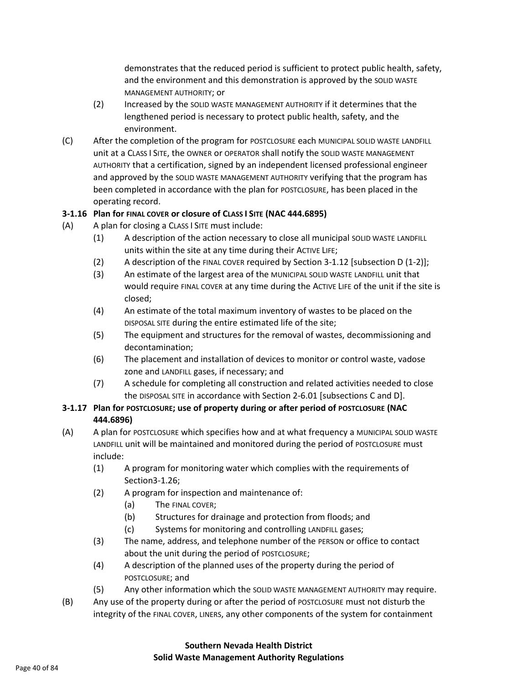demonstrates that the reduced period is sufficient to protect public health, safety, and the environment and this demonstration is approved by the SOLID WASTE MANAGEMENT AUTHORITY; or

- (2) Increased by the SOLID WASTE MANAGEMENT AUTHORITY if it determines that the lengthened period is necessary to protect public health, safety, and the environment.
- (C) After the completion of the program for POSTCLOSURE each MUNICIPAL SOLID WASTE LANDFILL unit at a CLASS I SITE, the OWNER or OPERATOR shall notify the SOLID WASTE MANAGEMENT AUTHORITY that a certification, signed by an independent licensed professional engineer and approved by the SOLID WASTE MANAGEMENT AUTHORITY verifying that the program has been completed in accordance with the plan for POSTCLOSURE, has been placed in the operating record.

### **3-1.16 Plan for FINAL COVER or closure of CLASS I SITE (NAC 444.6895)**

- (A) A plan for closing a CLASS I SITE must include:
	- (1) A description of the action necessary to close all municipal SOLID WASTE LANDFILL units within the site at any time during their ACTIVE LIFE;
	- (2) A description of the FINAL COVER required by Section 3-1.12 [subsection D (1-2)];
	- (3) An estimate of the largest area of the MUNICIPAL SOLID WASTE LANDFILL unit that would require FINAL COVER at any time during the ACTIVE LIFE of the unit if the site is closed;
	- (4) An estimate of the total maximum inventory of wastes to be placed on the DISPOSAL SITE during the entire estimated life of the site;
	- (5) The equipment and structures for the removal of wastes, decommissioning and decontamination;
	- (6) The placement and installation of devices to monitor or control waste, vadose zone and LANDFILL gases, if necessary; and
	- (7) A schedule for completing all construction and related activities needed to close the DISPOSAL SITE in accordance with Section 2-6.01 [subsections C and D].

### **3-1.17 Plan for POSTCLOSURE; use of property during or after period of POSTCLOSURE (NAC 444.6896)**

- (A) A plan for POSTCLOSURE which specifies how and at what frequency a MUNICIPAL SOLID WASTE LANDFILL unit will be maintained and monitored during the period of POSTCLOSURE must include:
	- (1) A program for monitoring water which complies with the requirements of Section3-1.26;
	- (2) A program for inspection and maintenance of:
		- (a) The FINAL COVER;
		- (b) Structures for drainage and protection from floods; and
		- (c) Systems for monitoring and controlling LANDFILL gases;
	- (3) The name, address, and telephone number of the PERSON or office to contact about the unit during the period of POSTCLOSURE;
	- (4) A description of the planned uses of the property during the period of POSTCLOSURE; and
	- (5) Any other information which the SOLID WASTE MANAGEMENT AUTHORITY may require.
- (B) Any use of the property during or after the period of POSTCLOSURE must not disturb the integrity of the FINAL COVER, LINERS, any other components of the system for containment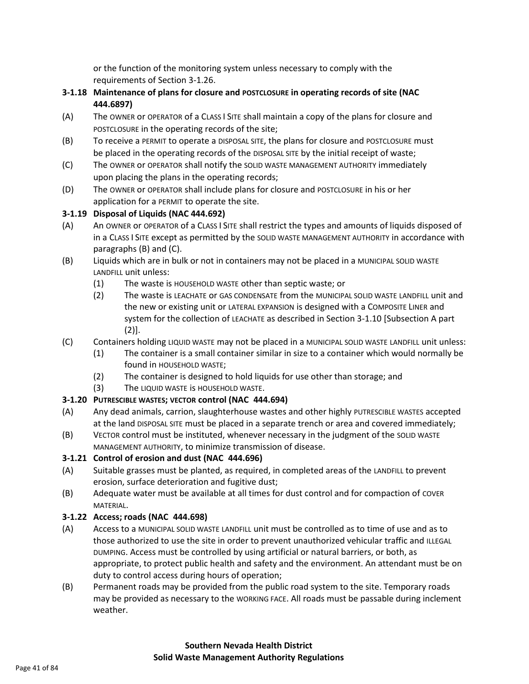or the function of the monitoring system unless necessary to comply with the requirements of Section 3-1.26.

- **3-1.18 Maintenance of plans for closure and POSTCLOSURE in operating records of site (NAC 444.6897)**
- (A) The OWNER or OPERATOR of a CLASS I SITE shall maintain a copy of the plans for closure and POSTCLOSURE in the operating records of the site;
- (B) To receive a PERMIT to operate a DISPOSAL SITE, the plans for closure and POSTCLOSURE must be placed in the operating records of the DISPOSAL SITE by the initial receipt of waste;
- (C) The OWNER or OPERATOR shall notify the SOLID WASTE MANAGEMENT AUTHORITY immediately upon placing the plans in the operating records;
- (D) The OWNER or OPERATOR shall include plans for closure and POSTCLOSURE in his or her application for a PERMIT to operate the site.

## **3-1.19 Disposal of Liquids (NAC 444.692)**

- (A) An OWNER or OPERATOR of a CLASS I SITE shall restrict the types and amounts of liquids disposed of in a CLASS I SITE except as permitted by the SOLID WASTE MANAGEMENT AUTHORITY in accordance with paragraphs (B) and (C).
- (B) Liquids which are in bulk or not in containers may not be placed in a MUNICIPAL SOLID WASTE LANDFILL unit unless:
	- (1) The waste is HOUSEHOLD WASTE other than septic waste; or
	- (2) The waste is LEACHATE or GAS CONDENSATE from the MUNICIPAL SOLID WASTE LANDFILL unit and the new or existing unit or LATERAL EXPANSION is designed with a COMPOSITE LINER and system for the collection of LEACHATE as described in Section 3-1.10 [Subsection A part (2)].
- (C) Containers holding LIQUID WASTE may not be placed in a MUNICIPAL SOLID WASTE LANDFILL unit unless:
	- (1) The container is a small container similar in size to a container which would normally be found in HOUSEHOLD WASTE;
	- (2) The container is designed to hold liquids for use other than storage; and
	- (3) The LIQUID WASTE is HOUSEHOLD WASTE.

## **3-1.20 PUTRESCIBLE WASTES; VECTOR control (NAC 444.694)**

- (A) Any dead animals, carrion, slaughterhouse wastes and other highly PUTRESCIBLE WASTES accepted at the land DISPOSAL SITE must be placed in a separate trench or area and covered immediately;
- (B) VECTOR control must be instituted, whenever necessary in the judgment of the SOLID WASTE MANAGEMENT AUTHORITY, to minimize transmission of disease.

## **3-1.21 Control of erosion and dust (NAC 444.696)**

- (A) Suitable grasses must be planted, as required, in completed areas of the LANDFILL to prevent erosion, surface deterioration and fugitive dust;
- (B) Adequate water must be available at all times for dust control and for compaction of COVER MATERIAL.

## **3-1.22 Access; roads (NAC 444.698)**

- (A) Access to a MUNICIPAL SOLID WASTE LANDFILL unit must be controlled as to time of use and as to those authorized to use the site in order to prevent unauthorized vehicular traffic and ILLEGAL DUMPING. Access must be controlled by using artificial or natural barriers, or both, as appropriate, to protect public health and safety and the environment. An attendant must be on duty to control access during hours of operation;
- (B) Permanent roads may be provided from the public road system to the site. Temporary roads may be provided as necessary to the WORKING FACE. All roads must be passable during inclement weather.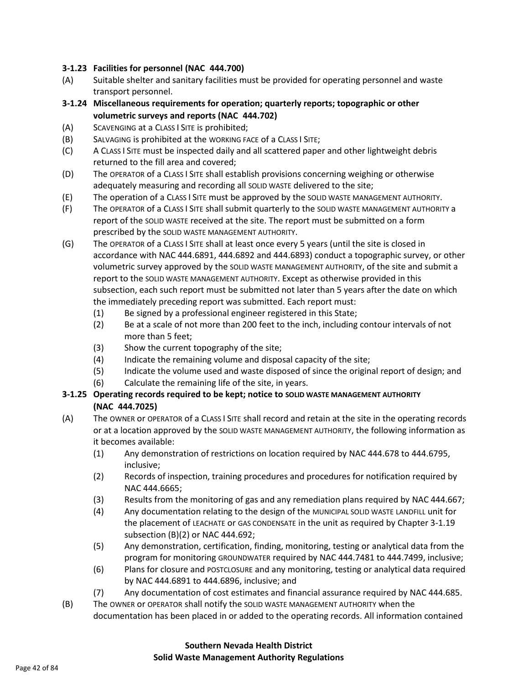#### **3-1.23 Facilities for personnel (NAC 444.700)**

- (A) Suitable shelter and sanitary facilities must be provided for operating personnel and waste transport personnel.
- **3-1.24 Miscellaneous requirements for operation; quarterly reports; topographic or other volumetric surveys and reports (NAC 444.702)**
- (A) SCAVENGING at a CLASS I SITE is prohibited;
- (B) SALVAGING is prohibited at the WORKING FACE of a CLASS I SITE;
- (C) A CLASS I SITE must be inspected daily and all scattered paper and other lightweight debris returned to the fill area and covered;
- (D) The OPERATOR of a CLASS I SITE shall establish provisions concerning weighing or otherwise adequately measuring and recording all SOLID WASTE delivered to the site;
- (E) The operation of a CLASS I SITE must be approved by the SOLID WASTE MANAGEMENT AUTHORITY.
- (F) The OPERATOR of a CLASS I SITE shall submit quarterly to the SOLID WASTE MANAGEMENT AUTHORITY a report of the SOLID WASTE received at the site. The report must be submitted on a form prescribed by the SOLID WASTE MANAGEMENT AUTHORITY.
- (G) The OPERATOR of a CLASS I SITE shall at least once every 5 years (until the site is closed in accordance with NAC 444.6891, 444.6892 and 444.6893) conduct a topographic survey, or other volumetric survey approved by the SOLID WASTE MANAGEMENT AUTHORITY, of the site and submit a report to the SOLID WASTE MANAGEMENT AUTHORITY. Except as otherwise provided in this subsection, each such report must be submitted not later than 5 years after the date on which the immediately preceding report was submitted. Each report must:
	- (1) Be signed by a professional engineer registered in this State;
	- (2) Be at a scale of not more than 200 feet to the inch, including contour intervals of not more than 5 feet;
	- (3) Show the current topography of the site;
	- (4) Indicate the remaining volume and disposal capacity of the site;
	- (5) Indicate the volume used and waste disposed of since the original report of design; and
	- (6) Calculate the remaining life of the site, in years.

### **3-1.25 Operating records required to be kept; notice to SOLID WASTE MANAGEMENT AUTHORITY (NAC 444.7025)**

- (A) The OWNER or OPERATOR of a CLASS I SITE shall record and retain at the site in the operating records or at a location approved by the SOLID WASTE MANAGEMENT AUTHORITY, the following information as it becomes available:
	- (1) Any demonstration of restrictions on location required by NAC 444.678 to 444.6795, inclusive;
	- (2) Records of inspection, training procedures and procedures for notification required by NAC 444.6665;
	- (3) Results from the monitoring of gas and any remediation plans required by NAC 444.667;
	- (4) Any documentation relating to the design of the MUNICIPAL SOLID WASTE LANDFILL unit for the placement of LEACHATE or GAS CONDENSATE in the unit as required by Chapter 3-1.19 subsection (B)(2) or NAC 444.692;
	- (5) Any demonstration, certification, finding, monitoring, testing or analytical data from the program for monitoring GROUNDWATER required by NAC 444.7481 to 444.7499, inclusive;
	- (6) Plans for closure and POSTCLOSURE and any monitoring, testing or analytical data required by NAC 444.6891 to 444.6896, inclusive; and
	- (7) Any documentation of cost estimates and financial assurance required by NAC 444.685.
- (B) The OWNER or OPERATOR shall notify the SOLID WASTE MANAGEMENT AUTHORITY when the documentation has been placed in or added to the operating records. All information contained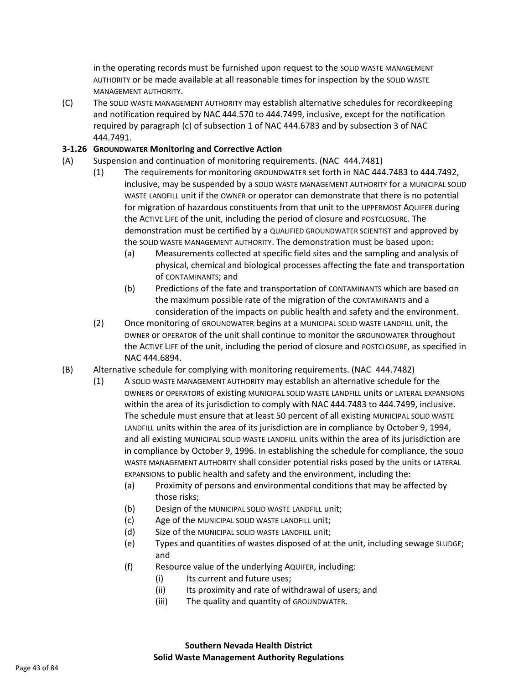in the operating records must be furnished upon request to the SOLID WASTE MANAGEMENT AUTHORITY or be made available at all reasonable times for inspection by the SOLID WASTE MANAGEMENT AUTHORITY.

(C) The SOLID WASTE MANAGEMENT AUTHORITY may establish alternative schedules for recordkeeping and notification required by NAC 444.570 to 444.7499, inclusive, except for the notification required by paragraph (c) of subsection 1 of NAC 444.6783 and by subsection 3 of NAC 444.7491.

### **3-1.26 GROUNDWATER Monitoring and Corrective Action**

- (A) Suspension and continuation of monitoring requirements. (NAC 444.7481)
	- (1) The requirements for monitoring GROUNDWATER set forth in NAC 444.7483 to 444.7492, inclusive, may be suspended by a SOLID WASTE MANAGEMENT AUTHORITY for a MUNICIPAL SOLID WASTE LANDFILL unit if the OWNER or operator can demonstrate that there is no potential for migration of hazardous constituents from that unit to the UPPERMOST AQUIFER during the ACTIVE LIFE of the unit, including the period of closure and POSTCLOSURE. The demonstration must be certified by a QUALIFIED GROUNDWATER SCIENTIST and approved by the SOLID WASTE MANAGEMENT AUTHORITY. The demonstration must be based upon:
		- (a) Measurements collected at specific field sites and the sampling and analysis of physical, chemical and biological processes affecting the fate and transportation of CONTAMINANTS; and
		- (b) Predictions of the fate and transportation of CONTAMINANTS which are based on the maximum possible rate of the migration of the CONTAMINANTS and a consideration of the impacts on public health and safety and the environment.
	- (2) Once monitoring of GROUNDWATER begins at a MUNICIPAL SOLID WASTE LANDFILL unit, the OWNER or OPERATOR of the unit shall continue to monitor the GROUNDWATER throughout the ACTIVE LIFE of the unit, including the period of closure and POSTCLOSURE, as specified in NAC 444.6894.
- (B) Alternative schedule for complying with monitoring requirements. (NAC 444.7482)
	- (1) A SOLID WASTE MANAGEMENT AUTHORITY may establish an alternative schedule for the OWNERs or OPERATORS of existing MUNICIPAL SOLID WASTE LANDFILL units or LATERAL EXPANSIONS within the area of its jurisdiction to comply with NAC 444.7483 to 444.7499, inclusive. The schedule must ensure that at least 50 percent of all existing MUNICIPAL SOLID WASTE LANDFILL units within the area of its jurisdiction are in compliance by October 9, 1994, and all existing MUNICIPAL SOLID WASTE LANDFILL units within the area of its jurisdiction are in compliance by October 9, 1996. In establishing the schedule for compliance, the SOLID WASTE MANAGEMENT AUTHORITY shall consider potential risks posed by the units or LATERAL EXPANSIONS to public health and safety and the environment, including the:
		- (a) Proximity of persons and environmental conditions that may be affected by those risks;
		- (b) Design of the MUNICIPAL SOLID WASTE LANDFILL unit;
		- (c) Age of the MUNICIPAL SOLID WASTE LANDFILL unit;
		- (d) Size of the MUNICIPAL SOLID WASTE LANDFILL unit;
		- (e) Types and quantities of wastes disposed of at the unit, including sewage SLUDGE; and
		- (f) Resource value of the underlying AQUIFER, including:
			- (i) Its current and future uses;
			- (ii) Its proximity and rate of withdrawal of users; and
			- (iii) The quality and quantity of GROUNDWATER.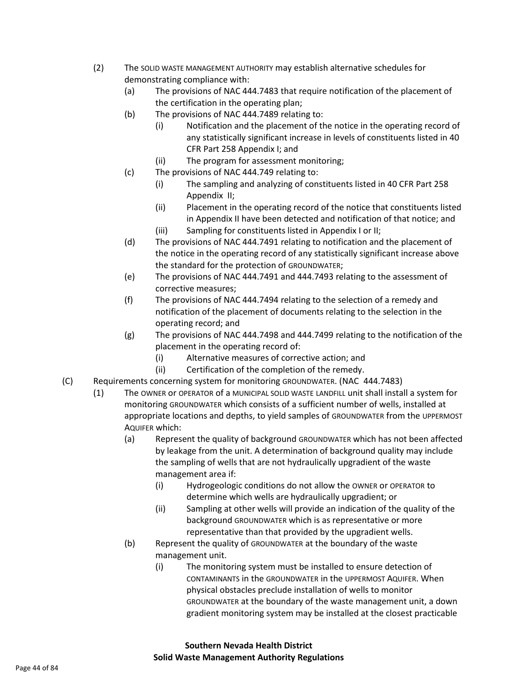- (2) The SOLID WASTE MANAGEMENT AUTHORITY may establish alternative schedules for demonstrating compliance with:
	- (a) The provisions of NAC 444.7483 that require notification of the placement of the certification in the operating plan;
	- (b) The provisions of NAC 444.7489 relating to:
		- (i) Notification and the placement of the notice in the operating record of any statistically significant increase in levels of constituents listed in 40 CFR Part 258 Appendix I; and
		- (ii) The program for assessment monitoring;
	- (c) The provisions of NAC 444.749 relating to:
		- (i) The sampling and analyzing of constituents listed in 40 CFR Part 258 Appendix II;
		- (ii) Placement in the operating record of the notice that constituents listed in Appendix II have been detected and notification of that notice; and
		- (iii) Sampling for constituents listed in Appendix I or II;
	- (d) The provisions of NAC 444.7491 relating to notification and the placement of the notice in the operating record of any statistically significant increase above the standard for the protection of GROUNDWATER;
	- (e) The provisions of NAC 444.7491 and 444.7493 relating to the assessment of corrective measures;
	- (f) The provisions of NAC 444.7494 relating to the selection of a remedy and notification of the placement of documents relating to the selection in the operating record; and
	- (g) The provisions of NAC 444.7498 and 444.7499 relating to the notification of the placement in the operating record of:
		- (i) Alternative measures of corrective action; and
		- (ii) Certification of the completion of the remedy.
- (C) Requirements concerning system for monitoring GROUNDWATER. (NAC 444.7483)
	- (1) The OWNER or OPERATOR of a MUNICIPAL SOLID WASTE LANDFILL unit shall install a system for monitoring GROUNDWATER which consists of a sufficient number of wells, installed at appropriate locations and depths, to yield samples of GROUNDWATER from the UPPERMOST AQUIFER which:
		- (a) Represent the quality of background GROUNDWATER which has not been affected by leakage from the unit. A determination of background quality may include the sampling of wells that are not hydraulically upgradient of the waste management area if:
			- (i) Hydrogeologic conditions do not allow the OWNER or OPERATOR to determine which wells are hydraulically upgradient; or
			- (ii) Sampling at other wells will provide an indication of the quality of the background GROUNDWATER which is as representative or more representative than that provided by the upgradient wells.
		- (b) Represent the quality of GROUNDWATER at the boundary of the waste management unit.
			- (i) The monitoring system must be installed to ensure detection of CONTAMINANTS in the GROUNDWATER in the UPPERMOST AQUIFER. When physical obstacles preclude installation of wells to monitor GROUNDWATER at the boundary of the waste management unit, a down gradient monitoring system may be installed at the closest practicable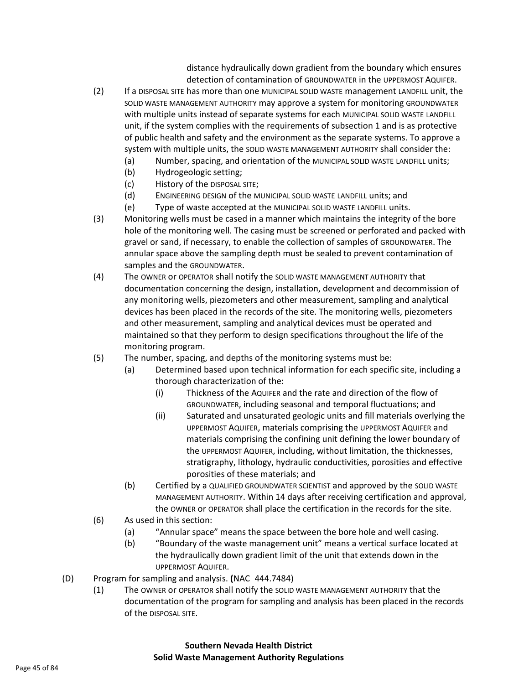distance hydraulically down gradient from the boundary which ensures detection of contamination of GROUNDWATER in the UPPERMOST AQUIFER.

- (2) If a DISPOSAL SITE has more than one MUNICIPAL SOLID WASTE management LANDFILL unit, the SOLID WASTE MANAGEMENT AUTHORITY may approve a system for monitoring GROUNDWATER with multiple units instead of separate systems for each MUNICIPAL SOLID WASTE LANDFILL unit, if the system complies with the requirements of subsection 1 and is as protective of public health and safety and the environment as the separate systems. To approve a system with multiple units, the SOLID WASTE MANAGEMENT AUTHORITY shall consider the:
	- (a) Number, spacing, and orientation of the MUNICIPAL SOLID WASTE LANDFILL units;
	- (b) Hydrogeologic setting;
	- (c) History of the DISPOSAL SITE;
	- (d) ENGINEERING DESIGN of the MUNICIPAL SOLID WASTE LANDFILL units; and
	- (e) Type of waste accepted at the MUNICIPAL SOLID WASTE LANDFILL units.
- (3) Monitoring wells must be cased in a manner which maintains the integrity of the bore hole of the monitoring well. The casing must be screened or perforated and packed with gravel or sand, if necessary, to enable the collection of samples of GROUNDWATER. The annular space above the sampling depth must be sealed to prevent contamination of samples and the GROUNDWATER.
- (4) The OWNER or OPERATOR shall notify the SOLID WASTE MANAGEMENT AUTHORITY that documentation concerning the design, installation, development and decommission of any monitoring wells, piezometers and other measurement, sampling and analytical devices has been placed in the records of the site. The monitoring wells, piezometers and other measurement, sampling and analytical devices must be operated and maintained so that they perform to design specifications throughout the life of the monitoring program.
- (5) The number, spacing, and depths of the monitoring systems must be:
	- (a) Determined based upon technical information for each specific site, including a thorough characterization of the:
		- (i) Thickness of the AQUIFER and the rate and direction of the flow of GROUNDWATER, including seasonal and temporal fluctuations; and
		- (ii) Saturated and unsaturated geologic units and fill materials overlying the UPPERMOST AQUIFER, materials comprising the UPPERMOST AQUIFER and materials comprising the confining unit defining the lower boundary of the UPPERMOST AQUIFER, including, without limitation, the thicknesses, stratigraphy, lithology, hydraulic conductivities, porosities and effective porosities of these materials; and
	- (b) Certified by a QUALIFIED GROUNDWATER SCIENTIST and approved by the SOLID WASTE MANAGEMENT AUTHORITY. Within 14 days after receiving certification and approval, the OWNER or OPERATOR shall place the certification in the records for the site.
- (6) As used in this section:
	- (a) "Annular space" means the space between the bore hole and well casing.
	- (b) "Boundary of the waste management unit" means a vertical surface located at the hydraulically down gradient limit of the unit that extends down in the UPPERMOST AQUIFER.
- (D) Program for sampling and analysis. **(**NAC 444.7484)
	- (1) The OWNER or OPERATOR shall notify the SOLID WASTE MANAGEMENT AUTHORITY that the documentation of the program for sampling and analysis has been placed in the records of the DISPOSAL SITE.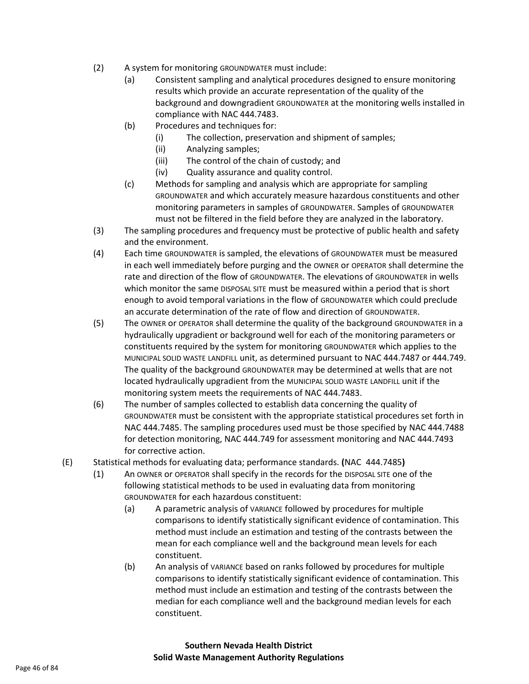- (2) A system for monitoring GROUNDWATER must include:
	- (a) Consistent sampling and analytical procedures designed to ensure monitoring results which provide an accurate representation of the quality of the background and downgradient GROUNDWATER at the monitoring wells installed in compliance with NAC 444.7483.
	- (b) Procedures and techniques for:
		- (i) The collection, preservation and shipment of samples;
		- (ii) Analyzing samples;
		- (iii) The control of the chain of custody; and
		- (iv) Quality assurance and quality control.
	- (c) Methods for sampling and analysis which are appropriate for sampling GROUNDWATER and which accurately measure hazardous constituents and other monitoring parameters in samples of GROUNDWATER. Samples of GROUNDWATER must not be filtered in the field before they are analyzed in the laboratory.
- (3) The sampling procedures and frequency must be protective of public health and safety and the environment.
- (4) Each time GROUNDWATER is sampled, the elevations of GROUNDWATER must be measured in each well immediately before purging and the OWNER or OPERATOR shall determine the rate and direction of the flow of GROUNDWATER. The elevations of GROUNDWATER in wells which monitor the same DISPOSAL SITE must be measured within a period that is short enough to avoid temporal variations in the flow of GROUNDWATER which could preclude an accurate determination of the rate of flow and direction of GROUNDWATER.
- (5) The OWNER or OPERATOR shall determine the quality of the background GROUNDWATER in a hydraulically upgradient or background well for each of the monitoring parameters or constituents required by the system for monitoring GROUNDWATER which applies to the MUNICIPAL SOLID WASTE LANDFILL unit, as determined pursuant to NAC 444.7487 or 444.749. The quality of the background GROUNDWATER may be determined at wells that are not located hydraulically upgradient from the MUNICIPAL SOLID WASTE LANDFILL unit if the monitoring system meets the requirements of NAC 444.7483.
- (6) The number of samples collected to establish data concerning the quality of GROUNDWATER must be consistent with the appropriate statistical procedures set forth in NAC 444.7485. The sampling procedures used must be those specified by NAC 444.7488 for detection monitoring, NAC 444.749 for assessment monitoring and NAC 444.7493 for corrective action.
- (E) Statistical methods for evaluating data; performance standards. **(**NAC 444.7485**)**
	- (1) An OWNER or OPERATOR shall specify in the records for the DISPOSAL SITE one of the following statistical methods to be used in evaluating data from monitoring GROUNDWATER for each hazardous constituent:
		- (a) A parametric analysis of VARIANCE followed by procedures for multiple comparisons to identify statistically significant evidence of contamination. This method must include an estimation and testing of the contrasts between the mean for each compliance well and the background mean levels for each constituent.
		- (b) An analysis of VARIANCE based on ranks followed by procedures for multiple comparisons to identify statistically significant evidence of contamination. This method must include an estimation and testing of the contrasts between the median for each compliance well and the background median levels for each constituent.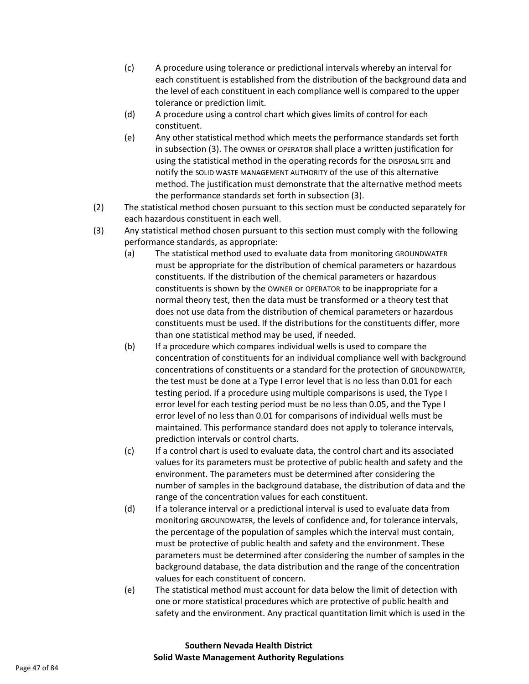- (c) A procedure using tolerance or predictional intervals whereby an interval for each constituent is established from the distribution of the background data and the level of each constituent in each compliance well is compared to the upper tolerance or prediction limit.
- (d) A procedure using a control chart which gives limits of control for each constituent.
- (e) Any other statistical method which meets the performance standards set forth in subsection (3). The OWNER or OPERATOR shall place a written justification for using the statistical method in the operating records for the DISPOSAL SITE and notify the SOLID WASTE MANAGEMENT AUTHORITY of the use of this alternative method. The justification must demonstrate that the alternative method meets the performance standards set forth in subsection (3).
- (2) The statistical method chosen pursuant to this section must be conducted separately for each hazardous constituent in each well.
- (3) Any statistical method chosen pursuant to this section must comply with the following performance standards, as appropriate:
	- (a) The statistical method used to evaluate data from monitoring GROUNDWATER must be appropriate for the distribution of chemical parameters or hazardous constituents. If the distribution of the chemical parameters or hazardous constituents is shown by the OWNER or OPERATOR to be inappropriate for a normal theory test, then the data must be transformed or a theory test that does not use data from the distribution of chemical parameters or hazardous constituents must be used. If the distributions for the constituents differ, more than one statistical method may be used, if needed.
	- (b) If a procedure which compares individual wells is used to compare the concentration of constituents for an individual compliance well with background concentrations of constituents or a standard for the protection of GROUNDWATER, the test must be done at a Type I error level that is no less than 0.01 for each testing period. If a procedure using multiple comparisons is used, the Type I error level for each testing period must be no less than 0.05, and the Type I error level of no less than 0.01 for comparisons of individual wells must be maintained. This performance standard does not apply to tolerance intervals, prediction intervals or control charts.
	- (c) If a control chart is used to evaluate data, the control chart and its associated values for its parameters must be protective of public health and safety and the environment. The parameters must be determined after considering the number of samples in the background database, the distribution of data and the range of the concentration values for each constituent.
	- (d) If a tolerance interval or a predictional interval is used to evaluate data from monitoring GROUNDWATER, the levels of confidence and, for tolerance intervals, the percentage of the population of samples which the interval must contain, must be protective of public health and safety and the environment. These parameters must be determined after considering the number of samples in the background database, the data distribution and the range of the concentration values for each constituent of concern.
	- (e) The statistical method must account for data below the limit of detection with one or more statistical procedures which are protective of public health and safety and the environment. Any practical quantitation limit which is used in the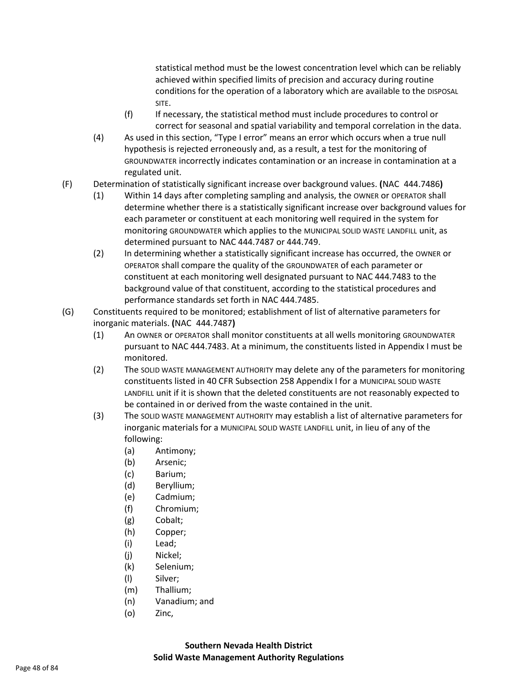statistical method must be the lowest concentration level which can be reliably achieved within specified limits of precision and accuracy during routine conditions for the operation of a laboratory which are available to the DISPOSAL SITE.

- (f) If necessary, the statistical method must include procedures to control or correct for seasonal and spatial variability and temporal correlation in the data.
- (4) As used in this section, "Type I error" means an error which occurs when a true null hypothesis is rejected erroneously and, as a result, a test for the monitoring of GROUNDWATER incorrectly indicates contamination or an increase in contamination at a regulated unit.
- (F) Determination of statistically significant increase over background values. **(**NAC 444.7486**)**
	- (1) Within 14 days after completing sampling and analysis, the OWNER or OPERATOR shall determine whether there is a statistically significant increase over background values for each parameter or constituent at each monitoring well required in the system for monitoring GROUNDWATER which applies to the MUNICIPAL SOLID WASTE LANDFILL unit, as determined pursuant to NAC 444.7487 or 444.749.
	- (2) In determining whether a statistically significant increase has occurred, the OWNER or OPERATOR shall compare the quality of the GROUNDWATER of each parameter or constituent at each monitoring well designated pursuant to NAC 444.7483 to the background value of that constituent, according to the statistical procedures and performance standards set forth in NAC 444.7485.
- (G) Constituents required to be monitored; establishment of list of alternative parameters for inorganic materials. **(**NAC 444.7487**)**
	- (1) An OWNER or OPERATOR shall monitor constituents at all wells monitoring GROUNDWATER pursuant to NAC 444.7483. At a minimum, the constituents listed in Appendix I must be monitored.
	- (2) The SOLID WASTE MANAGEMENT AUTHORITY may delete any of the parameters for monitoring constituents listed in 40 CFR Subsection 258 Appendix I for a MUNICIPAL SOLID WASTE LANDFILL unit if it is shown that the deleted constituents are not reasonably expected to be contained in or derived from the waste contained in the unit.
	- (3) The SOLID WASTE MANAGEMENT AUTHORITY may establish a list of alternative parameters for inorganic materials for a MUNICIPAL SOLID WASTE LANDFILL unit, in lieu of any of the following:
		- (a) Antimony;
		- (b) Arsenic;
		- (c) Barium;
		- (d) Beryllium;
		- (e) Cadmium;
		- (f) Chromium;
		- (g) Cobalt;
		- (h) Copper;
		- (i) Lead;
		- (j) Nickel;
		- (k) Selenium;
		- (l) Silver;
		- (m) Thallium;
		- (n) Vanadium; and
		- (o) Zinc,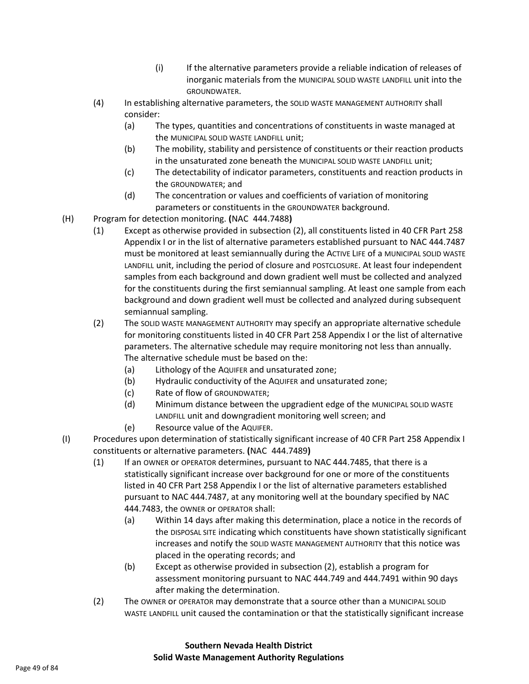- (i) If the alternative parameters provide a reliable indication of releases of inorganic materials from the MUNICIPAL SOLID WASTE LANDFILL unit into the GROUNDWATER.
- (4) In establishing alternative parameters, the SOLID WASTE MANAGEMENT AUTHORITY shall consider:
	- (a) The types, quantities and concentrations of constituents in waste managed at the MUNICIPAL SOLID WASTE LANDFILL unit;
	- (b) The mobility, stability and persistence of constituents or their reaction products in the unsaturated zone beneath the MUNICIPAL SOLID WASTE LANDFILL unit;
	- (c) The detectability of indicator parameters, constituents and reaction products in the GROUNDWATER; and
	- (d) The concentration or values and coefficients of variation of monitoring parameters or constituents in the GROUNDWATER background.
- (H) Program for detection monitoring. **(**NAC 444.7488**)**
	- (1) Except as otherwise provided in subsection (2), all constituents listed in 40 CFR Part 258 Appendix I or in the list of alternative parameters established pursuant to NAC 444.7487 must be monitored at least semiannually during the ACTIVE LIFE of a MUNICIPAL SOLID WASTE LANDFILL unit, including the period of closure and POSTCLOSURE. At least four independent samples from each background and down gradient well must be collected and analyzed for the constituents during the first semiannual sampling. At least one sample from each background and down gradient well must be collected and analyzed during subsequent semiannual sampling.
	- (2) The SOLID WASTE MANAGEMENT AUTHORITY may specify an appropriate alternative schedule for monitoring constituents listed in 40 CFR Part 258 Appendix I or the list of alternative parameters. The alternative schedule may require monitoring not less than annually. The alternative schedule must be based on the:
		- (a) Lithology of the AQUIFER and unsaturated zone;
		- (b) Hydraulic conductivity of the AQUIFER and unsaturated zone;
		- (c) Rate of flow of GROUNDWATER;
		- (d) Minimum distance between the upgradient edge of the MUNICIPAL SOLID WASTE LANDFILL unit and downgradient monitoring well screen; and
		- (e) Resource value of the AQUIFER.
- (I) Procedures upon determination of statistically significant increase of 40 CFR Part 258 Appendix I constituents or alternative parameters. **(**NAC 444.7489**)**
	- (1) If an OWNER or OPERATOR determines, pursuant to NAC 444.7485, that there is a statistically significant increase over background for one or more of the constituents listed in 40 CFR Part 258 Appendix I or the list of alternative parameters established pursuant to NAC 444.7487, at any monitoring well at the boundary specified by NAC 444.7483, the OWNER or OPERATOR shall:
		- (a) Within 14 days after making this determination, place a notice in the records of the DISPOSAL SITE indicating which constituents have shown statistically significant increases and notify the SOLID WASTE MANAGEMENT AUTHORITY that this notice was placed in the operating records; and
		- (b) Except as otherwise provided in subsection (2), establish a program for assessment monitoring pursuant to NAC 444.749 and 444.7491 within 90 days after making the determination.
	- (2) The OWNER or OPERATOR may demonstrate that a source other than a MUNICIPAL SOLID WASTE LANDFILL unit caused the contamination or that the statistically significant increase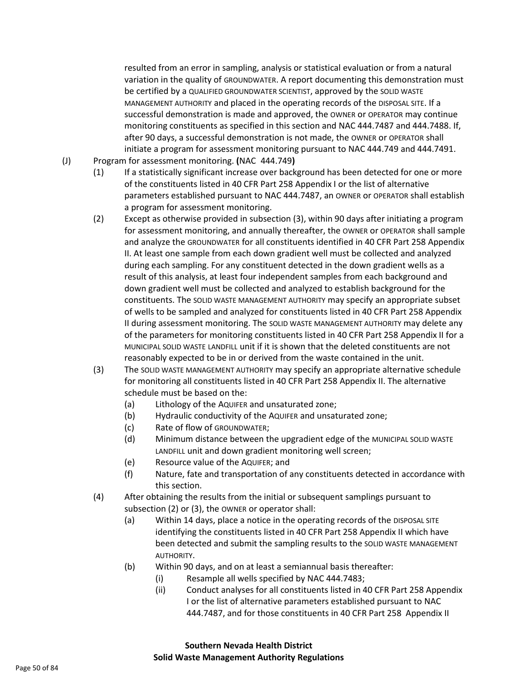resulted from an error in sampling, analysis or statistical evaluation or from a natural variation in the quality of GROUNDWATER. A report documenting this demonstration must be certified by a QUALIFIED GROUNDWATER SCIENTIST, approved by the SOLID WASTE MANAGEMENT AUTHORITY and placed in the operating records of the DISPOSAL SITE. If a successful demonstration is made and approved, the OWNER or OPERATOR may continue monitoring constituents as specified in this section and NAC 444.7487 and 444.7488. If, after 90 days, a successful demonstration is not made, the OWNER or OPERATOR shall initiate a program for assessment monitoring pursuant to NAC 444.749 and 444.7491.

- (J) Program for assessment monitoring. **(**NAC 444.749**)**
	- (1) If a statistically significant increase over background has been detected for one or more of the constituents listed in 40 CFR Part 258 Appendix I or the list of alternative parameters established pursuant to NAC 444.7487, an OWNER or OPERATOR shall establish a program for assessment monitoring.
	- (2) Except as otherwise provided in subsection (3), within 90 days after initiating a program for assessment monitoring, and annually thereafter, the OWNER or OPERATOR shall sample and analyze the GROUNDWATER for all constituents identified in 40 CFR Part 258 Appendix II. At least one sample from each down gradient well must be collected and analyzed during each sampling. For any constituent detected in the down gradient wells as a result of this analysis, at least four independent samples from each background and down gradient well must be collected and analyzed to establish background for the constituents. The SOLID WASTE MANAGEMENT AUTHORITY may specify an appropriate subset of wells to be sampled and analyzed for constituents listed in 40 CFR Part 258 Appendix II during assessment monitoring. The SOLID WASTE MANAGEMENT AUTHORITY may delete any of the parameters for monitoring constituents listed in 40 CFR Part 258 Appendix II for a MUNICIPAL SOLID WASTE LANDFILL unit if it is shown that the deleted constituents are not reasonably expected to be in or derived from the waste contained in the unit.
	- (3) The SOLID WASTE MANAGEMENT AUTHORITY may specify an appropriate alternative schedule for monitoring all constituents listed in 40 CFR Part 258 Appendix II. The alternative schedule must be based on the:
		- (a) Lithology of the AQUIFER and unsaturated zone;
		- (b) Hydraulic conductivity of the AQUIFER and unsaturated zone;
		- (c) Rate of flow of GROUNDWATER;
		- (d) Minimum distance between the upgradient edge of the MUNICIPAL SOLID WASTE LANDFILL unit and down gradient monitoring well screen;
		- (e) Resource value of the AQUIFER; and
		- (f) Nature, fate and transportation of any constituents detected in accordance with this section.
	- (4) After obtaining the results from the initial or subsequent samplings pursuant to subsection (2) or (3), the OWNER or operator shall:
		- (a) Within 14 days, place a notice in the operating records of the DISPOSAL SITE identifying the constituents listed in 40 CFR Part 258 Appendix II which have been detected and submit the sampling results to the SOLID WASTE MANAGEMENT AUTHORITY.
		- (b) Within 90 days, and on at least a semiannual basis thereafter:
			- (i) Resample all wells specified by NAC 444.7483;
				- (ii) Conduct analyses for all constituents listed in 40 CFR Part 258 Appendix I or the list of alternative parameters established pursuant to NAC 444.7487, and for those constituents in 40 CFR Part 258 Appendix II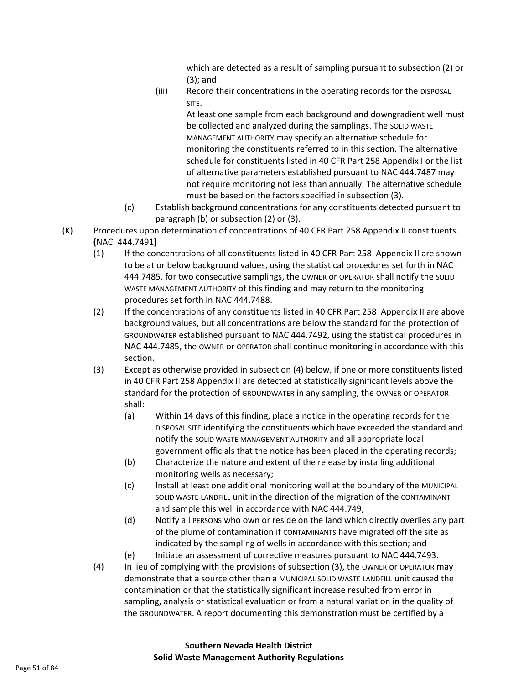which are detected as a result of sampling pursuant to subsection (2) or (3); and

(iii) Record their concentrations in the operating records for the DISPOSAL SITE.

> At least one sample from each background and downgradient well must be collected and analyzed during the samplings. The SOLID WASTE MANAGEMENT AUTHORITY may specify an alternative schedule for monitoring the constituents referred to in this section. The alternative schedule for constituents listed in 40 CFR Part 258 Appendix I or the list of alternative parameters established pursuant to NAC 444.7487 may not require monitoring not less than annually. The alternative schedule must be based on the factors specified in subsection (3).

- (c) Establish background concentrations for any constituents detected pursuant to paragraph (b) or subsection (2) or (3).
- (K) Procedures upon determination of concentrations of 40 CFR Part 258 Appendix II constituents. **(**NAC 444.7491**)**
	- (1) If the concentrations of all constituents listed in 40 CFR Part 258 Appendix II are shown to be at or below background values, using the statistical procedures set forth in NAC 444.7485, for two consecutive samplings, the OWNER or OPERATOR shall notify the SOLID WASTE MANAGEMENT AUTHORITY of this finding and may return to the monitoring procedures set forth in NAC 444.7488.
	- (2) If the concentrations of any constituents listed in 40 CFR Part 258 Appendix II are above background values, but all concentrations are below the standard for the protection of GROUNDWATER established pursuant to NAC 444.7492, using the statistical procedures in NAC 444.7485, the OWNER or OPERATOR shall continue monitoring in accordance with this section.
	- (3) Except as otherwise provided in subsection (4) below, if one or more constituents listed in 40 CFR Part 258 Appendix II are detected at statistically significant levels above the standard for the protection of GROUNDWATER in any sampling, the OWNER or OPERATOR shall:
		- (a) Within 14 days of this finding, place a notice in the operating records for the DISPOSAL SITE identifying the constituents which have exceeded the standard and notify the SOLID WASTE MANAGEMENT AUTHORITY and all appropriate local government officials that the notice has been placed in the operating records;
		- (b) Characterize the nature and extent of the release by installing additional monitoring wells as necessary;
		- (c) Install at least one additional monitoring well at the boundary of the MUNICIPAL SOLID WASTE LANDFILL unit in the direction of the migration of the CONTAMINANT and sample this well in accordance with NAC 444.749;
		- (d) Notify all PERSONS who own or reside on the land which directly overlies any part of the plume of contamination if CONTAMINANTS have migrated off the site as indicated by the sampling of wells in accordance with this section; and
	- (e) Initiate an assessment of corrective measures pursuant to NAC 444.7493. (4) In lieu of complying with the provisions of subsection (3), the OWNER or OPERATOR may demonstrate that a source other than a MUNICIPAL SOLID WASTE LANDFILL unit caused the contamination or that the statistically significant increase resulted from error in sampling, analysis or statistical evaluation or from a natural variation in the quality of the GROUNDWATER. A report documenting this demonstration must be certified by a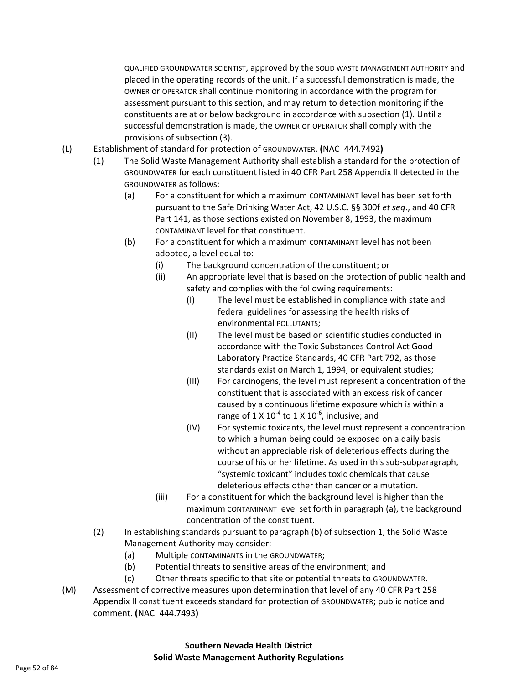QUALIFIED GROUNDWATER SCIENTIST, approved by the SOLID WASTE MANAGEMENT AUTHORITY and placed in the operating records of the unit. If a successful demonstration is made, the OWNER or OPERATOR shall continue monitoring in accordance with the program for assessment pursuant to this section, and may return to detection monitoring if the constituents are at or below background in accordance with subsection (1). Until a successful demonstration is made, the OWNER or OPERATOR shall comply with the provisions of subsection (3).

- (L) Establishment of standard for protection of GROUNDWATER. **(**NAC 444.7492**)**
	- (1) The Solid Waste Management Authority shall establish a standard for the protection of GROUNDWATER for each constituent listed in 40 CFR Part 258 Appendix II detected in the GROUNDWATER as follows:
		- (a) For a constituent for which a maximum CONTAMINANT level has been set forth pursuant to the Safe Drinking Water Act, 42 U.S.C. §§ 300f *et seq*., and 40 CFR Part 141, as those sections existed on November 8, 1993, the maximum CONTAMINANT level for that constituent.
		- (b) For a constituent for which a maximum CONTAMINANT level has not been adopted, a level equal to:
			- (i) The background concentration of the constituent; or
			- (ii) An appropriate level that is based on the protection of public health and safety and complies with the following requirements:
				- (I) The level must be established in compliance with state and federal guidelines for assessing the health risks of environmental POLLUTANTS;
				- (II) The level must be based on scientific studies conducted in accordance with the Toxic Substances Control Act Good Laboratory Practice Standards, 40 CFR Part 792, as those standards exist on March 1, 1994, or equivalent studies;
				- (III) For carcinogens, the level must represent a concentration of the constituent that is associated with an excess risk of cancer caused by a continuous lifetime exposure which is within a range of 1 X 10<sup>-4</sup> to 1 X 10<sup>-6</sup>, inclusive; and
				- (IV) For systemic toxicants, the level must represent a concentration to which a human being could be exposed on a daily basis without an appreciable risk of deleterious effects during the course of his or her lifetime. As used in this sub-subparagraph, "systemic toxicant" includes toxic chemicals that cause deleterious effects other than cancer or a mutation.
			- (iii) For a constituent for which the background level is higher than the maximum CONTAMINANT level set forth in paragraph (a), the background concentration of the constituent.
	- (2) In establishing standards pursuant to paragraph (b) of subsection 1, the Solid Waste Management Authority may consider:
		- (a) Multiple CONTAMINANTS in the GROUNDWATER;
		- (b) Potential threats to sensitive areas of the environment; and
		- (c) Other threats specific to that site or potential threats to GROUNDWATER.
- (M) Assessment of corrective measures upon determination that level of any 40 CFR Part 258 Appendix II constituent exceeds standard for protection of GROUNDWATER; public notice and comment. **(**NAC 444.7493**)**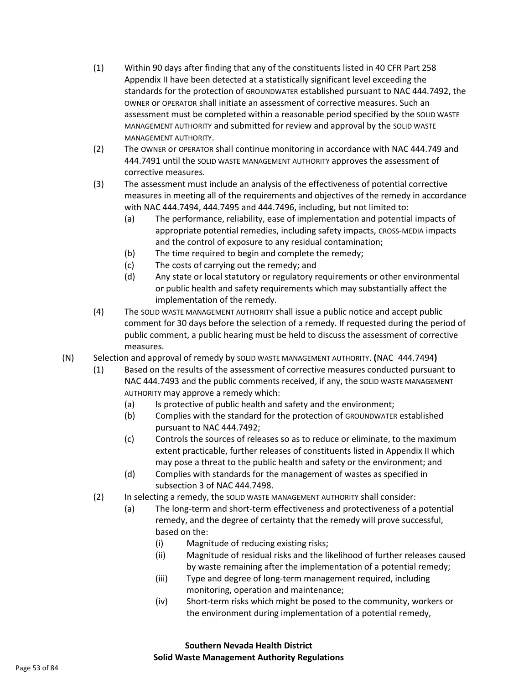- (1) Within 90 days after finding that any of the constituents listed in 40 CFR Part 258 Appendix II have been detected at a statistically significant level exceeding the standards for the protection of GROUNDWATER established pursuant to NAC 444.7492, the OWNER or OPERATOR shall initiate an assessment of corrective measures. Such an assessment must be completed within a reasonable period specified by the SOLID WASTE MANAGEMENT AUTHORITY and submitted for review and approval by the SOLID WASTE MANAGEMENT AUTHORITY.
- (2) The OWNER or OPERATOR shall continue monitoring in accordance with NAC 444.749 and 444.7491 until the SOLID WASTE MANAGEMENT AUTHORITY approves the assessment of corrective measures.
- (3) The assessment must include an analysis of the effectiveness of potential corrective measures in meeting all of the requirements and objectives of the remedy in accordance with NAC 444.7494, 444.7495 and 444.7496, including, but not limited to:
	- (a) The performance, reliability, ease of implementation and potential impacts of appropriate potential remedies, including safety impacts, CROSS-MEDIA impacts and the control of exposure to any residual contamination;
	- (b) The time required to begin and complete the remedy;
	- (c) The costs of carrying out the remedy; and
	- (d) Any state or local statutory or regulatory requirements or other environmental or public health and safety requirements which may substantially affect the implementation of the remedy.
- (4) The SOLID WASTE MANAGEMENT AUTHORITY shall issue a public notice and accept public comment for 30 days before the selection of a remedy. If requested during the period of public comment, a public hearing must be held to discuss the assessment of corrective measures.
- (N) Selection and approval of remedy by SOLID WASTE MANAGEMENT AUTHORITY. **(**NAC 444.7494**)**
	- (1) Based on the results of the assessment of corrective measures conducted pursuant to NAC 444.7493 and the public comments received, if any, the SOLID WASTE MANAGEMENT AUTHORITY may approve a remedy which:
		- (a) Is protective of public health and safety and the environment;
		- (b) Complies with the standard for the protection of GROUNDWATER established pursuant to NAC 444.7492;
		- (c) Controls the sources of releases so as to reduce or eliminate, to the maximum extent practicable, further releases of constituents listed in Appendix II which may pose a threat to the public health and safety or the environment; and
		- (d) Complies with standards for the management of wastes as specified in subsection 3 of NAC 444.7498.
	- (2) In selecting a remedy, the SOLID WASTE MANAGEMENT AUTHORITY shall consider:
		- (a) The long-term and short-term effectiveness and protectiveness of a potential remedy, and the degree of certainty that the remedy will prove successful, based on the:
			- (i) Magnitude of reducing existing risks;
			- (ii) Magnitude of residual risks and the likelihood of further releases caused by waste remaining after the implementation of a potential remedy;
			- (iii) Type and degree of long-term management required, including monitoring, operation and maintenance;
			- (iv) Short-term risks which might be posed to the community, workers or the environment during implementation of a potential remedy,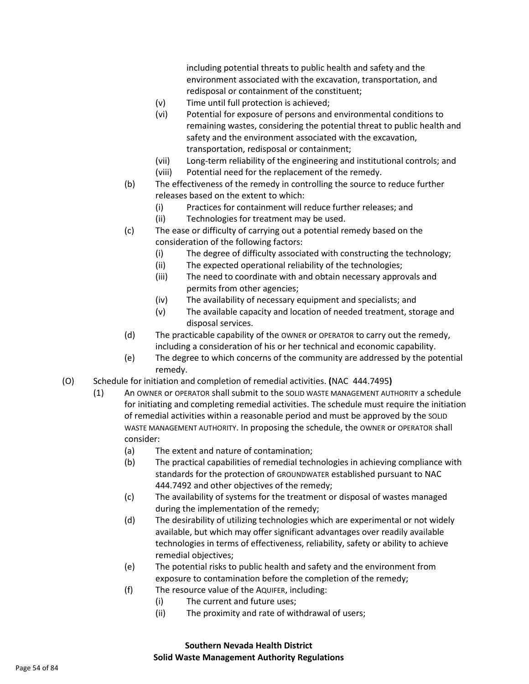including potential threats to public health and safety and the environment associated with the excavation, transportation, and redisposal or containment of the constituent;

- (v) Time until full protection is achieved;
- (vi) Potential for exposure of persons and environmental conditions to remaining wastes, considering the potential threat to public health and safety and the environment associated with the excavation, transportation, redisposal or containment;
- (vii) Long-term reliability of the engineering and institutional controls; and (viii) Potential need for the replacement of the remedy.
- (b) The effectiveness of the remedy in controlling the source to reduce further releases based on the extent to which:
	- (i) Practices for containment will reduce further releases; and
	- (ii) Technologies for treatment may be used.
- (c) The ease or difficulty of carrying out a potential remedy based on the consideration of the following factors:
	- (i) The degree of difficulty associated with constructing the technology;
	- (ii) The expected operational reliability of the technologies;
	- (iii) The need to coordinate with and obtain necessary approvals and permits from other agencies;
	- (iv) The availability of necessary equipment and specialists; and
	- (v) The available capacity and location of needed treatment, storage and disposal services.
- (d) The practicable capability of the OWNER or OPERATOR to carry out the remedy, including a consideration of his or her technical and economic capability.
- (e) The degree to which concerns of the community are addressed by the potential remedy.
- (O) Schedule for initiation and completion of remedial activities. **(**NAC 444.7495**)**
	- (1) An OWNER or OPERATOR shall submit to the SOLID WASTE MANAGEMENT AUTHORITY a schedule for initiating and completing remedial activities. The schedule must require the initiation of remedial activities within a reasonable period and must be approved by the SOLID WASTE MANAGEMENT AUTHORITY. In proposing the schedule, the OWNER or OPERATOR shall consider:
		- (a) The extent and nature of contamination;
		- (b) The practical capabilities of remedial technologies in achieving compliance with standards for the protection of GROUNDWATER established pursuant to NAC 444.7492 and other objectives of the remedy;
		- (c) The availability of systems for the treatment or disposal of wastes managed during the implementation of the remedy;
		- (d) The desirability of utilizing technologies which are experimental or not widely available, but which may offer significant advantages over readily available technologies in terms of effectiveness, reliability, safety or ability to achieve remedial objectives;
		- (e) The potential risks to public health and safety and the environment from exposure to contamination before the completion of the remedy;
		- (f) The resource value of the AQUIFER, including:
			- (i) The current and future uses;
			- (ii) The proximity and rate of withdrawal of users;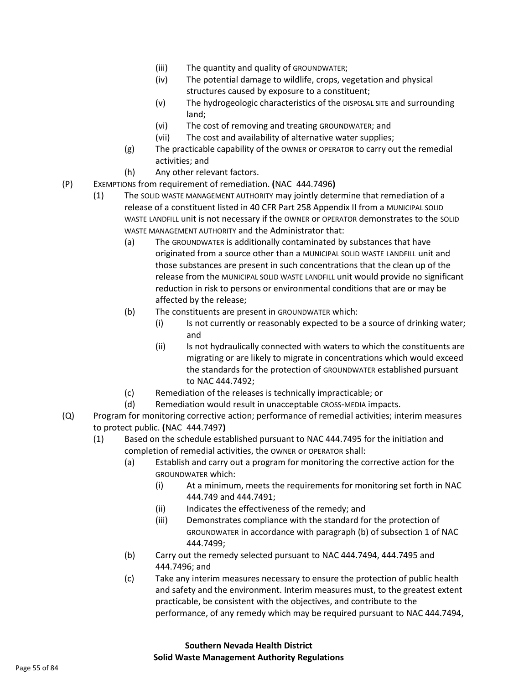- (iii) The quantity and quality of GROUNDWATER;
- (iv) The potential damage to wildlife, crops, vegetation and physical structures caused by exposure to a constituent;
- (v) The hydrogeologic characteristics of the DISPOSAL SITE and surrounding land;
- (vi) The cost of removing and treating GROUNDWATER; and
- (vii) The cost and availability of alternative water supplies;
- (g) The practicable capability of the OWNER or OPERATOR to carry out the remedial activities; and
- (h) Any other relevant factors.
- (P) EXEMPTIONS from requirement of remediation. **(**NAC 444.7496**)**
	- (1) The SOLID WASTE MANAGEMENT AUTHORITY may jointly determine that remediation of a release of a constituent listed in 40 CFR Part 258 Appendix II from a MUNICIPAL SOLID WASTE LANDFILL unit is not necessary if the OWNER or OPERATOR demonstrates to the SOLID WASTE MANAGEMENT AUTHORITY and the Administrator that:
		- (a) The GROUNDWATER is additionally contaminated by substances that have originated from a source other than a MUNICIPAL SOLID WASTE LANDFILL unit and those substances are present in such concentrations that the clean up of the release from the MUNICIPAL SOLID WASTE LANDFILL unit would provide no significant reduction in risk to persons or environmental conditions that are or may be affected by the release;
		- (b) The constituents are present in GROUNDWATER which:
			- (i) Is not currently or reasonably expected to be a source of drinking water; and
			- (ii) Is not hydraulically connected with waters to which the constituents are migrating or are likely to migrate in concentrations which would exceed the standards for the protection of GROUNDWATER established pursuant to NAC 444.7492;
		- (c) Remediation of the releases is technically impracticable; or
		- (d) Remediation would result in unacceptable CROSS-MEDIA impacts.
- (Q) Program for monitoring corrective action; performance of remedial activities; interim measures to protect public. **(**NAC 444.7497**)**
	- (1) Based on the schedule established pursuant to NAC 444.7495 for the initiation and completion of remedial activities, the OWNER or OPERATOR shall:
		- (a) Establish and carry out a program for monitoring the corrective action for the GROUNDWATER which:
			- (i) At a minimum, meets the requirements for monitoring set forth in NAC 444.749 and 444.7491;
			- (ii) Indicates the effectiveness of the remedy; and
			- (iii) Demonstrates compliance with the standard for the protection of GROUNDWATER in accordance with paragraph (b) of subsection 1 of NAC 444.7499;
		- (b) Carry out the remedy selected pursuant to NAC 444.7494, 444.7495 and 444.7496; and
		- (c) Take any interim measures necessary to ensure the protection of public health and safety and the environment. Interim measures must, to the greatest extent practicable, be consistent with the objectives, and contribute to the performance, of any remedy which may be required pursuant to NAC 444.7494,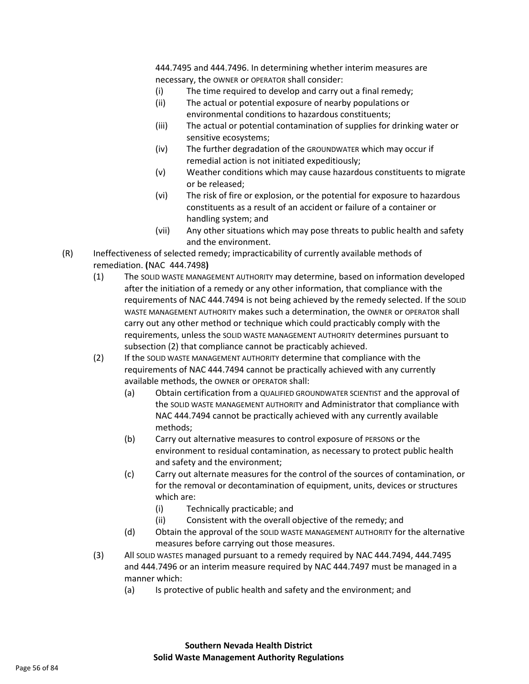444.7495 and 444.7496. In determining whether interim measures are necessary, the OWNER or OPERATOR shall consider:

- (i) The time required to develop and carry out a final remedy;
- (ii) The actual or potential exposure of nearby populations or environmental conditions to hazardous constituents;
- (iii) The actual or potential contamination of supplies for drinking water or sensitive ecosystems;
- (iv) The further degradation of the GROUNDWATER which may occur if remedial action is not initiated expeditiously;
- (v) Weather conditions which may cause hazardous constituents to migrate or be released;
- (vi) The risk of fire or explosion, or the potential for exposure to hazardous constituents as a result of an accident or failure of a container or handling system; and
- (vii) Any other situations which may pose threats to public health and safety and the environment.
- (R) Ineffectiveness of selected remedy; impracticability of currently available methods of remediation. **(**NAC 444.7498**)**
	- (1) The SOLID WASTE MANAGEMENT AUTHORITY may determine, based on information developed after the initiation of a remedy or any other information, that compliance with the requirements of NAC 444.7494 is not being achieved by the remedy selected. If the SOLID WASTE MANAGEMENT AUTHORITY makes such a determination, the OWNER or OPERATOR shall carry out any other method or technique which could practicably comply with the requirements, unless the SOLID WASTE MANAGEMENT AUTHORITY determines pursuant to subsection (2) that compliance cannot be practicably achieved.
	- (2) If the SOLID WASTE MANAGEMENT AUTHORITY determine that compliance with the requirements of NAC 444.7494 cannot be practically achieved with any currently available methods, the OWNER or OPERATOR shall:
		- (a) Obtain certification from a QUALIFIED GROUNDWATER SCIENTIST and the approval of the SOLID WASTE MANAGEMENT AUTHORITY and Administrator that compliance with NAC 444.7494 cannot be practically achieved with any currently available methods;
		- (b) Carry out alternative measures to control exposure of PERSONS or the environment to residual contamination, as necessary to protect public health and safety and the environment;
		- (c) Carry out alternate measures for the control of the sources of contamination, or for the removal or decontamination of equipment, units, devices or structures which are:
			- (i) Technically practicable; and
			- (ii) Consistent with the overall objective of the remedy; and
		- (d) Obtain the approval of the SOLID WASTE MANAGEMENT AUTHORITY for the alternative measures before carrying out those measures.
	- (3) All SOLID WASTES managed pursuant to a remedy required by NAC 444.7494, 444.7495 and 444.7496 or an interim measure required by NAC 444.7497 must be managed in a manner which:
		- (a) Is protective of public health and safety and the environment; and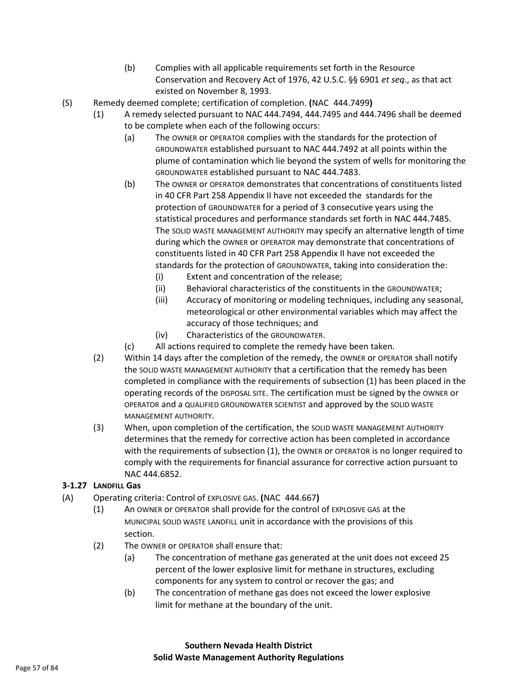- (b) Complies with all applicable requirements set forth in the Resource Conservation and Recovery Act of 1976, 42 U.S.C. §§ 6901 *et seq*., as that act existed on November 8, 1993.
- (S) Remedy deemed complete; certification of completion. **(**NAC 444.7499**)**
	- (1) A remedy selected pursuant to NAC 444.7494, 444.7495 and 444.7496 shall be deemed
		- to be complete when each of the following occurs:
			- (a) The OWNER or OPERATOR complies with the standards for the protection of GROUNDWATER established pursuant to NAC 444.7492 at all points within the plume of contamination which lie beyond the system of wells for monitoring the GROUNDWATER established pursuant to NAC 444.7483.
			- (b) The OWNER or OPERATOR demonstrates that concentrations of constituents listed in 40 CFR Part 258 Appendix II have not exceeded the standards for the protection of GROUNDWATER for a period of 3 consecutive years using the statistical procedures and performance standards set forth in NAC 444.7485. The SOLID WASTE MANAGEMENT AUTHORITY may specify an alternative length of time during which the OWNER or OPERATOR may demonstrate that concentrations of constituents listed in 40 CFR Part 258 Appendix II have not exceeded the standards for the protection of GROUNDWATER, taking into consideration the:
				- (i) Extent and concentration of the release;
				- (ii) Behavioral characteristics of the constituents in the GROUNDWATER;
				- (iii) Accuracy of monitoring or modeling techniques, including any seasonal, meteorological or other environmental variables which may affect the accuracy of those techniques; and
				- (iv) Characteristics of the GROUNDWATER.
			- (c) All actions required to complete the remedy have been taken.
	- (2) Within 14 days after the completion of the remedy, the OWNER or OPERATOR shall notify the SOLID WASTE MANAGEMENT AUTHORITY that a certification that the remedy has been completed in compliance with the requirements of subsection (1) has been placed in the operating records of the DISPOSAL SITE. The certification must be signed by the OWNER or OPERATOR and a QUALIFIED GROUNDWATER SCIENTIST and approved by the SOLID WASTE MANAGEMENT AUTHORITY.
	- (3) When, upon completion of the certification, the SOLID WASTE MANAGEMENT AUTHORITY determines that the remedy for corrective action has been completed in accordance with the requirements of subsection (1), the OWNER or OPERATOR is no longer required to comply with the requirements for financial assurance for corrective action pursuant to NAC 444.6852.

### **3-1.27 LANDFILL Gas**

- (A) Operating criteria: Control of EXPLOSIVE GAS. **(**NAC 444.667**)**
	- (1) An OWNER or OPERATOR shall provide for the control of EXPLOSIVE GAS at the MUNICIPAL SOLID WASTE LANDFILL unit in accordance with the provisions of this section.
	- (2) The OWNER or OPERATOR shall ensure that:
		- (a) The concentration of methane gas generated at the unit does not exceed 25 percent of the lower explosive limit for methane in structures, excluding components for any system to control or recover the gas; and
		- (b) The concentration of methane gas does not exceed the lower explosive limit for methane at the boundary of the unit.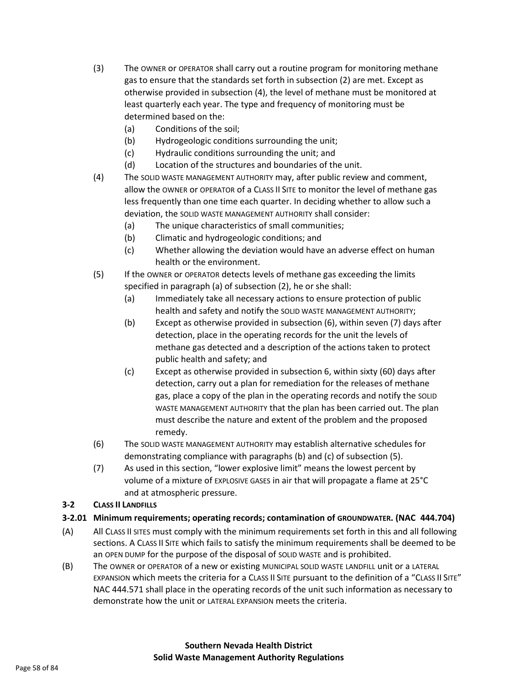- (3) The OWNER or OPERATOR shall carry out a routine program for monitoring methane gas to ensure that the standards set forth in subsection (2) are met. Except as otherwise provided in subsection (4), the level of methane must be monitored at least quarterly each year. The type and frequency of monitoring must be determined based on the:
	- (a) Conditions of the soil;
	- (b) Hydrogeologic conditions surrounding the unit;
	- (c) Hydraulic conditions surrounding the unit; and
	- (d) Location of the structures and boundaries of the unit.
- (4) The SOLID WASTE MANAGEMENT AUTHORITY may, after public review and comment, allow the OWNER or OPERATOR of a CLASS II SITE to monitor the level of methane gas less frequently than one time each quarter. In deciding whether to allow such a deviation, the SOLID WASTE MANAGEMENT AUTHORITY shall consider:
	- (a) The unique characteristics of small communities;
	- (b) Climatic and hydrogeologic conditions; and
	- (c) Whether allowing the deviation would have an adverse effect on human health or the environment.
- (5) If the OWNER or OPERATOR detects levels of methane gas exceeding the limits specified in paragraph (a) of subsection (2), he or she shall:
	- (a) Immediately take all necessary actions to ensure protection of public health and safety and notify the SOLID WASTE MANAGEMENT AUTHORITY;
	- (b) Except as otherwise provided in subsection (6), within seven (7) days after detection, place in the operating records for the unit the levels of methane gas detected and a description of the actions taken to protect public health and safety; and
	- (c) Except as otherwise provided in subsection 6, within sixty (60) days after detection, carry out a plan for remediation for the releases of methane gas, place a copy of the plan in the operating records and notify the SOLID WASTE MANAGEMENT AUTHORITY that the plan has been carried out. The plan must describe the nature and extent of the problem and the proposed remedy.
- (6) The SOLID WASTE MANAGEMENT AUTHORITY may establish alternative schedules for demonstrating compliance with paragraphs (b) and (c) of subsection (5).
- (7) As used in this section, "lower explosive limit" means the lowest percent by volume of a mixture of EXPLOSIVE GASES in air that will propagate a flame at 25°C and at atmospheric pressure.

### **3-2 CLASS II LANDFILLS**

## **3-2.01 Minimum requirements; operating records; contamination of GROUNDWATER. (NAC 444.704)**

- (A) All CLASS II SITES must comply with the minimum requirements set forth in this and all following sections. A CLASS II SITE which fails to satisfy the minimum requirements shall be deemed to be an OPEN DUMP for the purpose of the disposal of SOLID WASTE and is prohibited.
- (B) The OWNER or OPERATOR of a new or existing MUNICIPAL SOLID WASTE LANDFILL unit or a LATERAL EXPANSION which meets the criteria for a CLASS II SITE pursuant to the definition of a "CLASS II SITE" NAC 444.571 shall place in the operating records of the unit such information as necessary to demonstrate how the unit or LATERAL EXPANSION meets the criteria.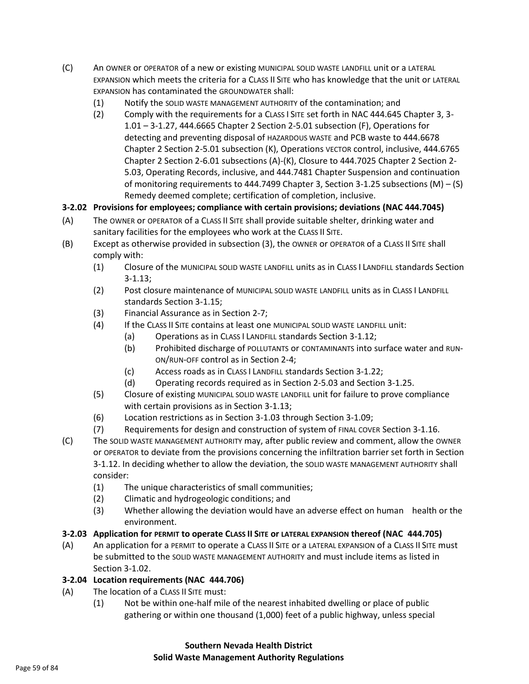- (C) An OWNER or OPERATOR of a new or existing MUNICIPAL SOLID WASTE LANDFILL unit or a LATERAL EXPANSION which meets the criteria for a CLASS II SITE who has knowledge that the unit or LATERAL EXPANSION has contaminated the GROUNDWATER shall:
	- (1) Notify the SOLID WASTE MANAGEMENT AUTHORITY of the contamination; and
	- (2) Comply with the requirements for a CLASS I SITE set forth in NAC 444.645 Chapter 3, 3- 1.01 – 3-1.27, 444.6665 Chapter 2 Section 2-5.01 subsection (F), Operations for detecting and preventing disposal of HAZARDOUS WASTE and PCB waste to 444.6678 Chapter 2 Section 2-5.01 subsection (K), Operations VECTOR control, inclusive, 444.6765 Chapter 2 Section 2-6.01 subsections (A)-(K), Closure to 444.7025 Chapter 2 Section 2- 5.03, Operating Records, inclusive, and 444.7481 Chapter Suspension and continuation of monitoring requirements to 444.7499 Chapter 3, Section 3-1.25 subsections (M) – (S) Remedy deemed complete; certification of completion, inclusive.

## **3-2.02 Provisions for employees; compliance with certain provisions; deviations (NAC 444.7045)**

- (A) The OWNER or OPERATOR of a CLASS II SITE shall provide suitable shelter, drinking water and sanitary facilities for the employees who work at the CLASS II SITE.
- (B) Except as otherwise provided in subsection (3), the OWNER or OPERATOR of a CLASS II SITE shall comply with:
	- (1) Closure of the MUNICIPAL SOLID WASTE LANDFILL units as in CLASS I LANDFILL standards Section 3-1.13;
	- (2) Post closure maintenance of MUNICIPAL SOLID WASTE LANDFILL units as in CLASS I LANDFILL standards Section 3-1.15;
	- (3) Financial Assurance as in Section 2-7;
	- (4) If the CLASS II SITE contains at least one MUNICIPAL SOLID WASTE LANDFILL unit:
		- (a) Operations as in CLASS I LANDFILL standards Section 3-1.12;
		- (b) Prohibited discharge of POLLUTANTS or CONTAMINANTS into surface water and RUN-ON/RUN-OFF control as in Section 2-4;
		- (c) Access roads as in CLASS I LANDFILL standards Section 3-1.22;
		- (d) Operating records required as in Section 2-5.03 and Section 3-1.25.
	- (5) Closure of existing MUNICIPAL SOLID WASTE LANDFILL unit for failure to prove compliance with certain provisions as in Section 3-1.13;
	- (6) Location restrictions as in Section 3-1.03 through Section 3-1.09;
	- (7) Requirements for design and construction of system of FINAL COVER Section 3-1.16.
- (C) The SOLID WASTE MANAGEMENT AUTHORITY may, after public review and comment, allow the OWNER or OPERATOR to deviate from the provisions concerning the infiltration barrier set forth in Section 3-1.12. In deciding whether to allow the deviation, the SOLID WASTE MANAGEMENT AUTHORITY shall consider:
	- (1) The unique characteristics of small communities;
	- (2) Climatic and hydrogeologic conditions; and
	- (3) Whether allowing the deviation would have an adverse effect on human health or the environment.

## **3-2.03 Application for PERMIT to operate CLASS II SITE or LATERAL EXPANSION thereof (NAC 444.705)**

(A) An application for a PERMIT to operate a CLASS II SITE or a LATERAL EXPANSION of a CLASS II SITE must be submitted to the SOLID WASTE MANAGEMENT AUTHORITY and must include items as listed in Section 3-1.02.

### **3-2.04 Location requirements (NAC 444.706)**

- (A) The location of a CLASS II SITE must:
	- (1) Not be within one-half mile of the nearest inhabited dwelling or place of public gathering or within one thousand (1,000) feet of a public highway, unless special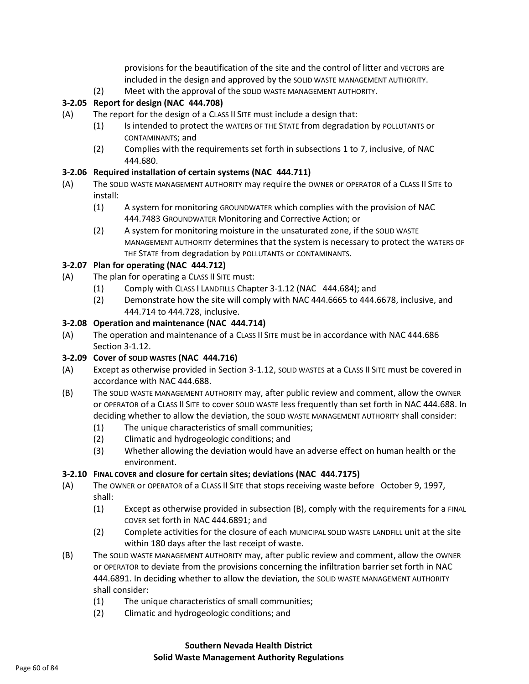provisions for the beautification of the site and the control of litter and VECTORS are included in the design and approved by the SOLID WASTE MANAGEMENT AUTHORITY.

(2) Meet with the approval of the SOLID WASTE MANAGEMENT AUTHORITY.

### **3-2.05 Report for design (NAC 444.708)**

- (A) The report for the design of a CLASS II SITE must include a design that:
	- (1) Is intended to protect the WATERS OF THE STATE from degradation by POLLUTANTS or CONTAMINANTS; and
	- (2) Complies with the requirements set forth in subsections 1 to 7, inclusive, of NAC 444.680.

#### **3-2.06 Required installation of certain systems (NAC 444.711)**

- (A) The SOLID WASTE MANAGEMENT AUTHORITY may require the OWNER or OPERATOR of a CLASS II SITE to install:
	- (1) A system for monitoring GROUNDWATER which complies with the provision of NAC 444.7483 GROUNDWATER Monitoring and Corrective Action; or
	- (2) A system for monitoring moisture in the unsaturated zone, if the SOLID WASTE MANAGEMENT AUTHORITY determines that the system is necessary to protect the WATERS OF THE STATE from degradation by POLLUTANTS or CONTAMINANTS.

#### **3-2.07 Plan for operating (NAC 444.712)**

- (A) The plan for operating a CLASS II SITE must:
	- (1) Comply with CLASS I LANDFILLS Chapter 3-1.12 (NAC 444.684); and
	- (2) Demonstrate how the site will comply with NAC 444.6665 to 444.6678, inclusive, and 444.714 to 444.728, inclusive.

#### **3-2.08 Operation and maintenance (NAC 444.714)**

(A) The operation and maintenance of a CLASS II SITE must be in accordance with NAC 444.686 Section 3-1.12.

#### **3-2.09 Cover of SOLID WASTES (NAC 444.716)**

- (A) Except as otherwise provided in Section 3-1.12, SOLID WASTES at a CLASS II SITE must be covered in accordance with NAC 444.688.
- (B) The SOLID WASTE MANAGEMENT AUTHORITY may, after public review and comment, allow the OWNER or OPERATOR of a CLASS II SITE to cover SOLID WASTE less frequently than set forth in NAC 444.688. In deciding whether to allow the deviation, the SOLID WASTE MANAGEMENT AUTHORITY shall consider:
	- (1) The unique characteristics of small communities;
	- (2) Climatic and hydrogeologic conditions; and
	- (3) Whether allowing the deviation would have an adverse effect on human health or the environment.

#### **3-2.10 FINAL COVER and closure for certain sites; deviations (NAC 444.7175)**

- (A) The OWNER or OPERATOR of a CLASS II SITE that stops receiving waste before October 9, 1997, shall:
	- (1) Except as otherwise provided in subsection (B), comply with the requirements for a FINAL COVER set forth in NAC 444.6891; and
	- (2) Complete activities for the closure of each MUNICIPAL SOLID WASTE LANDFILL unit at the site within 180 days after the last receipt of waste.
- (B) The SOLID WASTE MANAGEMENT AUTHORITY may, after public review and comment, allow the OWNER or OPERATOR to deviate from the provisions concerning the infiltration barrier set forth in NAC 444.6891. In deciding whether to allow the deviation, the SOLID WASTE MANAGEMENT AUTHORITY shall consider:
	- (1) The unique characteristics of small communities;
	- (2) Climatic and hydrogeologic conditions; and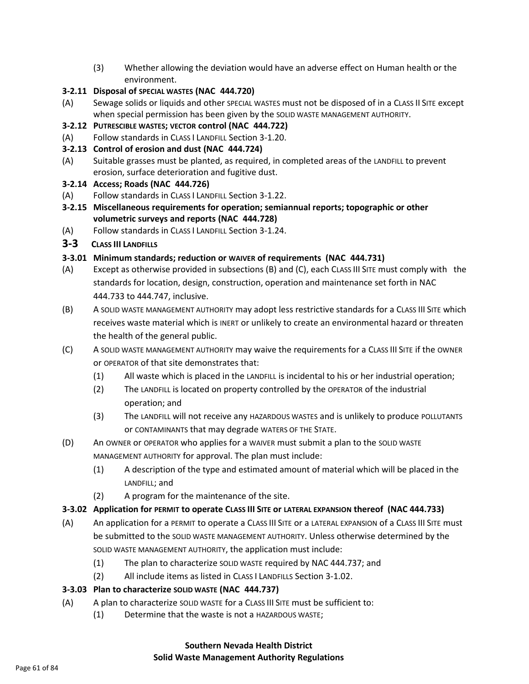(3) Whether allowing the deviation would have an adverse effect on Human health or the environment.

### **3-2.11 Disposal of SPECIAL WASTES (NAC 444.720)**

- (A) Sewage solids or liquids and other SPECIAL WASTES must not be disposed of in a CLASS II SITE except when special permission has been given by the SOLID WASTE MANAGEMENT AUTHORITY.
- **3-2.12 PUTRESCIBLE WASTES; VECTOR control (NAC 444.722)**
- (A) Follow standards in CLASS I LANDFILL Section 3-1.20.
- **3-2.13 Control of erosion and dust (NAC 444.724)**
- (A) Suitable grasses must be planted, as required, in completed areas of the LANDFILL to prevent erosion, surface deterioration and fugitive dust.

#### **3-2.14 Access; Roads (NAC 444.726)**

- (A) Follow standards in CLASS I LANDFILL Section 3-1.22.
- **3-2.15 Miscellaneous requirements for operation; semiannual reports; topographic or other volumetric surveys and reports (NAC 444.728)**
- (A) Follow standards in CLASS I LANDFILL Section 3-1.24.
- **3-3 CLASS III LANDFILLS**

### **3-3.01 Minimum standards; reduction or WAIVER of requirements (NAC 444.731)**

- (A) Except as otherwise provided in subsections (B) and (C), each CLASS III SITE must comply with the standards for location, design, construction, operation and maintenance set forth in NAC 444.733 to 444.747, inclusive.
- (B) A SOLID WASTE MANAGEMENT AUTHORITY may adopt less restrictive standards for a CLASS III SITE which receives waste material which is INERT or unlikely to create an environmental hazard or threaten the health of the general public.
- (C) A SOLID WASTE MANAGEMENT AUTHORITY may waive the requirements for a CLASS III SITE if the OWNER or OPERATOR of that site demonstrates that:
	- (1) All waste which is placed in the LANDFILL is incidental to his or her industrial operation;
	- (2) The LANDFILL is located on property controlled by the OPERATOR of the industrial operation; and
	- (3) The LANDFILL will not receive any HAZARDOUS WASTES and is unlikely to produce POLLUTANTS or CONTAMINANTS that may degrade WATERS OF THE STATE.
- (D) An OWNER or OPERATOR who applies for a WAIVER must submit a plan to the SOLID WASTE MANAGEMENT AUTHORITY for approval. The plan must include:
	- (1) A description of the type and estimated amount of material which will be placed in the LANDFILL; and
	- (2) A program for the maintenance of the site.

### **3-3.02 Application for PERMIT to operate CLASS III SITE or LATERAL EXPANSION thereof (NAC 444.733)**

- (A) An application for a PERMIT to operate a CLASS III SITE or a LATERAL EXPANSION of a CLASS III SITE must be submitted to the SOLID WASTE MANAGEMENT AUTHORITY. Unless otherwise determined by the SOLID WASTE MANAGEMENT AUTHORITY, the application must include:
	- (1) The plan to characterize SOLID WASTE required by NAC 444.737; and
	- (2) All include items as listed in CLASS I LANDFILLS Section 3-1.02.

### **3-3.03 Plan to characterize SOLID WASTE (NAC 444.737)**

- (A) A plan to characterize SOLID WASTE for a CLASS III SITE must be sufficient to:
	- (1) Determine that the waste is not a HAZARDOUS WASTE;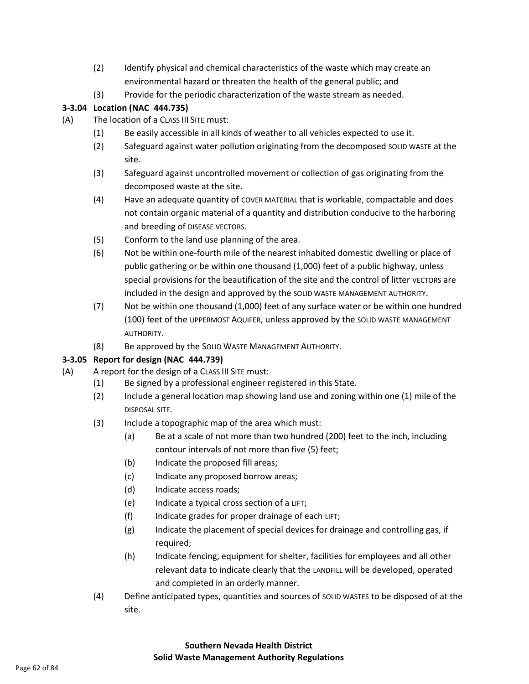- (2) Identify physical and chemical characteristics of the waste which may create an environmental hazard or threaten the health of the general public; and
- (3) Provide for the periodic characterization of the waste stream as needed.

### **3-3.04 Location (NAC 444.735)**

- (A) The location of a CLASS III SITE must:
	- (1) Be easily accessible in all kinds of weather to all vehicles expected to use it.
	- (2) Safeguard against water pollution originating from the decomposed SOLID WASTE at the site.
	- (3) Safeguard against uncontrolled movement or collection of gas originating from the decomposed waste at the site.
	- (4) Have an adequate quantity of COVER MATERIAL that is workable, compactable and does not contain organic material of a quantity and distribution conducive to the harboring and breeding of DISEASE VECTORS.
	- (5) Conform to the land use planning of the area.
	- (6) Not be within one-fourth mile of the nearest inhabited domestic dwelling or place of public gathering or be within one thousand (1,000) feet of a public highway, unless special provisions for the beautification of the site and the control of litter VECTORS are included in the design and approved by the SOLID WASTE MANAGEMENT AUTHORITY.
	- (7) Not be within one thousand (1,000) feet of any surface water or be within one hundred (100) feet of the UPPERMOST AQUIFER, unless approved by the SOLID WASTE MANAGEMENT AUTHORITY.
	- (8) Be approved by the SOLID WASTE MANAGEMENT AUTHORITY.

## **3-3.05 Report for design (NAC 444.739)**

- (A) A report for the design of a CLASS III SITE must:
	- (1) Be signed by a professional engineer registered in this State.
	- (2) Include a general location map showing land use and zoning within one (1) mile of the DISPOSAL SITE.
	- (3) Include a topographic map of the area which must:
		- (a) Be at a scale of not more than two hundred (200) feet to the inch, including contour intervals of not more than five (5) feet;
		- (b) Indicate the proposed fill areas;
		- (c) Indicate any proposed borrow areas;
		- (d) Indicate access roads;
		- (e) Indicate a typical cross section of a LIFT;
		- (f) Indicate grades for proper drainage of each LIFT;
		- (g) Indicate the placement of special devices for drainage and controlling gas, if required;
		- (h) Indicate fencing, equipment for shelter, facilities for employees and all other relevant data to indicate clearly that the LANDFILL will be developed, operated and completed in an orderly manner.
	- (4) Define anticipated types, quantities and sources of SOLID WASTES to be disposed of at the site.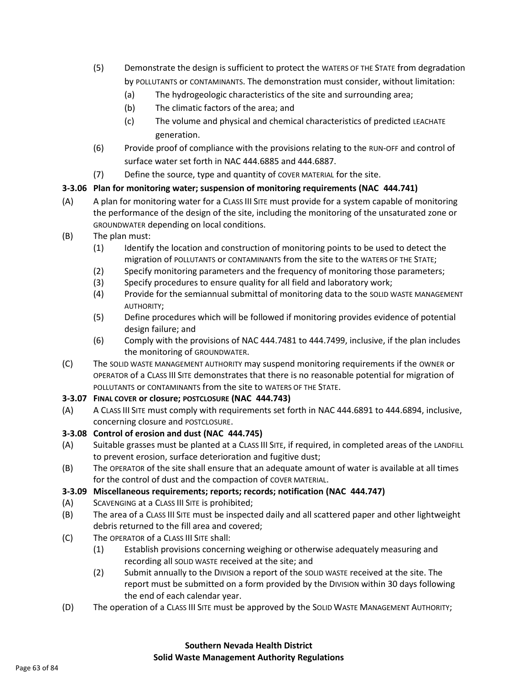- (5) Demonstrate the design is sufficient to protect the WATERS OF THE STATE from degradation by POLLUTANTS or CONTAMINANTS. The demonstration must consider, without limitation:
	- (a) The hydrogeologic characteristics of the site and surrounding area;
	- (b) The climatic factors of the area; and
	- (c) The volume and physical and chemical characteristics of predicted LEACHATE generation.
- (6) Provide proof of compliance with the provisions relating to the RUN-OFF and control of surface water set forth in NAC 444.6885 and 444.6887.
- (7) Define the source, type and quantity of COVER MATERIAL for the site.

### **3-3.06 Plan for monitoring water; suspension of monitoring requirements (NAC 444.741)**

- (A) A plan for monitoring water for a CLASS III SITE must provide for a system capable of monitoring the performance of the design of the site, including the monitoring of the unsaturated zone or GROUNDWATER depending on local conditions.
- (B) The plan must:
	- (1) Identify the location and construction of monitoring points to be used to detect the migration of POLLUTANTS or CONTAMINANTS from the site to the WATERS OF THE STATE;
	- (2) Specify monitoring parameters and the frequency of monitoring those parameters;
	- (3) Specify procedures to ensure quality for all field and laboratory work;
	- (4) Provide for the semiannual submittal of monitoring data to the SOLID WASTE MANAGEMENT AUTHORITY;
	- (5) Define procedures which will be followed if monitoring provides evidence of potential design failure; and
	- (6) Comply with the provisions of NAC 444.7481 to 444.7499, inclusive, if the plan includes the monitoring of GROUNDWATER.
- (C) The SOLID WASTE MANAGEMENT AUTHORITY may suspend monitoring requirements if the OWNER or OPERATOR of a CLASS III SITE demonstrates that there is no reasonable potential for migration of POLLUTANTS or CONTAMINANTS from the site to WATERS OF THE STATE.

### **3-3.07 FINAL COVER or closure; POSTCLOSURE (NAC 444.743)**

(A) A CLASS III SITE must comply with requirements set forth in NAC 444.6891 to 444.6894, inclusive, concerning closure and POSTCLOSURE.

## **3-3.08 Control of erosion and dust (NAC 444.745)**

- (A) Suitable grasses must be planted at a CLASS III SITE, if required, in completed areas of the LANDFILL to prevent erosion, surface deterioration and fugitive dust;
- (B) The OPERATOR of the site shall ensure that an adequate amount of water is available at all times for the control of dust and the compaction of COVER MATERIAL.

## **3-3.09 Miscellaneous requirements; reports; records; notification (NAC 444.747)**

- (A) SCAVENGING at a CLASS III SITE is prohibited;
- (B) The area of a CLASS III SITE must be inspected daily and all scattered paper and other lightweight debris returned to the fill area and covered;
- (C) The OPERATOR of a CLASS III SITE shall:
	- (1) Establish provisions concerning weighing or otherwise adequately measuring and recording all SOLID WASTE received at the site; and
	- (2) Submit annually to the DIVISION a report of the SOLID WASTE received at the site. The report must be submitted on a form provided by the DIVISION within 30 days following the end of each calendar year.
- (D) The operation of a CLASS III SITE must be approved by the SOLID WASTE MANAGEMENT AUTHORITY;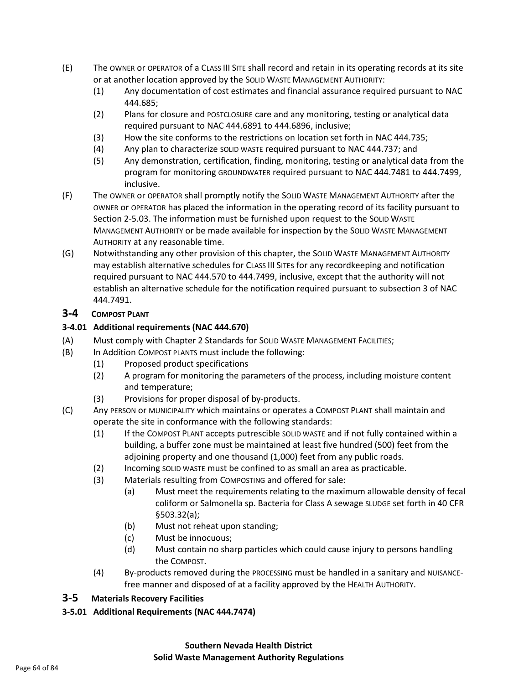- (E) The OWNER or OPERATOR of a CLASS III SITE shall record and retain in its operating records at its site or at another location approved by the SOLID WASTE MANAGEMENT AUTHORITY:
	- (1) Any documentation of cost estimates and financial assurance required pursuant to NAC 444.685;
	- (2) Plans for closure and POSTCLOSURE care and any monitoring, testing or analytical data required pursuant to NAC 444.6891 to 444.6896, inclusive;
	- (3) How the site conforms to the restrictions on location set forth in NAC 444.735;
	- (4) Any plan to characterize SOLID WASTE required pursuant to NAC 444.737; and
	- (5) Any demonstration, certification, finding, monitoring, testing or analytical data from the program for monitoring GROUNDWATER required pursuant to NAC 444.7481 to 444.7499, inclusive.
- (F) The OWNER or OPERATOR shall promptly notify the SOLID WASTE MANAGEMENT AUTHORITY after the OWNER or OPERATOR has placed the information in the operating record of its facility pursuant to Section 2-5.03. The information must be furnished upon request to the SOLID WASTE MANAGEMENT AUTHORITY or be made available for inspection by the SOLID WASTE MANAGEMENT AUTHORITY at any reasonable time.
- (G) Notwithstanding any other provision of this chapter, the SOLID WASTE MANAGEMENT AUTHORITY may establish alternative schedules for CLASS III SITEs for any recordkeeping and notification required pursuant to NAC 444.570 to 444.7499, inclusive, except that the authority will not establish an alternative schedule for the notification required pursuant to subsection 3 of NAC 444.7491.

### **3-4 COMPOST PLANT**

### **3-4.01 Additional requirements (NAC 444.670)**

- (A) Must comply with Chapter 2 Standards for SOLID WASTE MANAGEMENT FACILITIES;
- (B) In Addition COMPOST PLANTS must include the following:
	- (1) Proposed product specifications
		- (2) A program for monitoring the parameters of the process, including moisture content and temperature;
		- (3) Provisions for proper disposal of by-products.
- (C) Any PERSON or MUNICIPALITY which maintains or operates a COMPOST PLANT shall maintain and operate the site in conformance with the following standards:
	- (1) If the COMPOST PLANT accepts putrescible SOLID WASTE and if not fully contained within a building, a buffer zone must be maintained at least five hundred (500) feet from the adjoining property and one thousand (1,000) feet from any public roads.
	- (2) Incoming SOLID WASTE must be confined to as small an area as practicable.
	- (3) Materials resulting from COMPOSTING and offered for sale:
		- (a) Must meet the requirements relating to the maximum allowable density of fecal coliform or Salmonella sp. Bacteria for Class A sewage SLUDGE set forth in 40 CFR §503.32(a);
		- (b) Must not reheat upon standing;
		- (c) Must be innocuous;
		- (d) Must contain no sharp particles which could cause injury to persons handling the COMPOST.
	- (4) By-products removed during the PROCESSING must be handled in a sanitary and NUISANCEfree manner and disposed of at a facility approved by the HEALTH AUTHORITY.

### **3-5 Materials Recovery Facilities**

**3-5.01 Additional Requirements (NAC 444.7474)**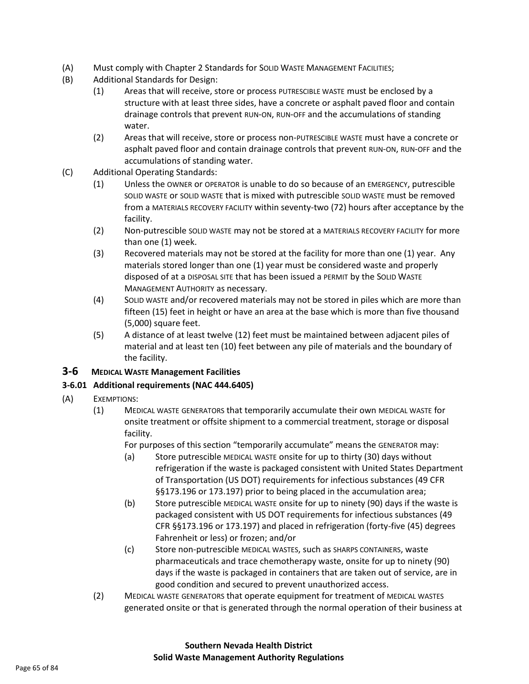- (A) Must comply with Chapter 2 Standards for SOLID WASTE MANAGEMENT FACILITIES;
- (B) Additional Standards for Design:
	- (1) Areas that will receive, store or process PUTRESCIBLE WASTE must be enclosed by a structure with at least three sides, have a concrete or asphalt paved floor and contain drainage controls that prevent RUN-ON, RUN-OFF and the accumulations of standing water.
	- (2) Areas that will receive, store or process non-PUTRESCIBLE WASTE must have a concrete or asphalt paved floor and contain drainage controls that prevent RUN-ON, RUN-OFF and the accumulations of standing water.
- (C) Additional Operating Standards:
	- (1) Unless the OWNER or OPERATOR is unable to do so because of an EMERGENCY, putrescible SOLID WASTE or SOLID WASTE that is mixed with putrescible SOLID WASTE must be removed from a MATERIALS RECOVERY FACILITY within seventy-two (72) hours after acceptance by the facility.
	- (2) Non-putrescible SOLID WASTE may not be stored at a MATERIALS RECOVERY FACILITY for more than one (1) week.
	- (3) Recovered materials may not be stored at the facility for more than one (1) year. Any materials stored longer than one (1) year must be considered waste and properly disposed of at a DISPOSAL SITE that has been issued a PERMIT by the SOLID WASTE MANAGEMENT AUTHORITY as necessary.
	- (4) SOLID WASTE and/or recovered materials may not be stored in piles which are more than fifteen (15) feet in height or have an area at the base which is more than five thousand (5,000) square feet.
	- (5) A distance of at least twelve (12) feet must be maintained between adjacent piles of material and at least ten (10) feet between any pile of materials and the boundary of the facility.

### **3-6 MEDICAL WASTE Management Facilities**

### **3-6.01 Additional requirements (NAC 444.6405)**

- (A) EXEMPTIONS:
	- (1) MEDICAL WASTE GENERATORS that temporarily accumulate their own MEDICAL WASTE for onsite treatment or offsite shipment to a commercial treatment, storage or disposal facility.

For purposes of this section "temporarily accumulate" means the GENERATOR may:

- (a) Store putrescible MEDICAL WASTE onsite for up to thirty (30) days without refrigeration if the waste is packaged consistent with United States Department of Transportation (US DOT) requirements for infectious substances (49 CFR §§173.196 or 173.197) prior to being placed in the accumulation area;
- (b) Store putrescible MEDICAL WASTE onsite for up to ninety (90) days if the waste is packaged consistent with US DOT requirements for infectious substances (49 CFR §§173.196 or 173.197) and placed in refrigeration (forty-five (45) degrees Fahrenheit or less) or frozen; and/or
- (c) Store non-putrescible MEDICAL WASTES, such as SHARPS CONTAINERS, waste pharmaceuticals and trace chemotherapy waste, onsite for up to ninety (90) days if the waste is packaged in containers that are taken out of service, are in good condition and secured to prevent unauthorized access.
- (2) MEDICAL WASTE GENERATORS that operate equipment for treatment of MEDICAL WASTES generated onsite or that is generated through the normal operation of their business at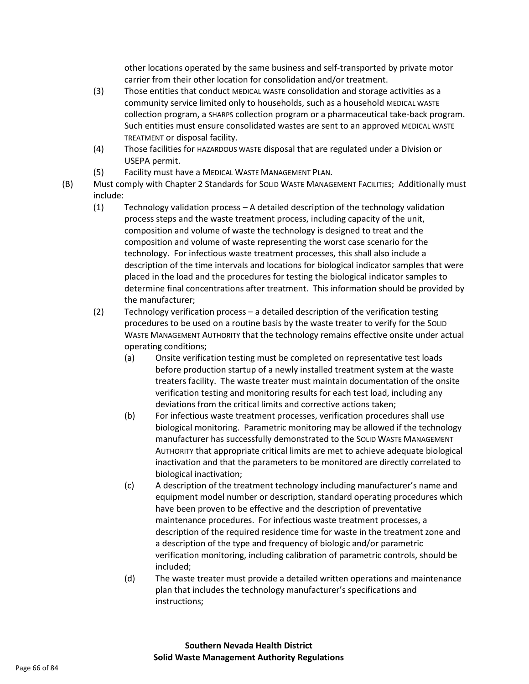other locations operated by the same business and self-transported by private motor carrier from their other location for consolidation and/or treatment.

- (3) Those entities that conduct MEDICAL WASTE consolidation and storage activities as a community service limited only to households, such as a household MEDICAL WASTE collection program, a SHARPS collection program or a pharmaceutical take-back program. Such entities must ensure consolidated wastes are sent to an approved MEDICAL WASTE TREATMENT or disposal facility.
- (4) Those facilities for HAZARDOUS WASTE disposal that are regulated under a Division or USEPA permit.
- (5) Facility must have a MEDICAL WASTE MANAGEMENT PLAN.
- (B) Must comply with Chapter 2 Standards for SOLID WASTE MANAGEMENT FACILITIES; Additionally must include:
	- (1) Technology validation process A detailed description of the technology validation process steps and the waste treatment process, including capacity of the unit, composition and volume of waste the technology is designed to treat and the composition and volume of waste representing the worst case scenario for the technology. For infectious waste treatment processes, this shall also include a description of the time intervals and locations for biological indicator samples that were placed in the load and the procedures for testing the biological indicator samples to determine final concentrations after treatment. This information should be provided by the manufacturer;
	- (2) Technology verification process a detailed description of the verification testing procedures to be used on a routine basis by the waste treater to verify for the SOLID WASTE MANAGEMENT AUTHORITY that the technology remains effective onsite under actual operating conditions;
		- (a) Onsite verification testing must be completed on representative test loads before production startup of a newly installed treatment system at the waste treaters facility. The waste treater must maintain documentation of the onsite verification testing and monitoring results for each test load, including any deviations from the critical limits and corrective actions taken;
		- (b) For infectious waste treatment processes, verification procedures shall use biological monitoring. Parametric monitoring may be allowed if the technology manufacturer has successfully demonstrated to the SOLID WASTE MANAGEMENT AUTHORITY that appropriate critical limits are met to achieve adequate biological inactivation and that the parameters to be monitored are directly correlated to biological inactivation;
		- (c) A description of the treatment technology including manufacturer's name and equipment model number or description, standard operating procedures which have been proven to be effective and the description of preventative maintenance procedures. For infectious waste treatment processes, a description of the required residence time for waste in the treatment zone and a description of the type and frequency of biologic and/or parametric verification monitoring, including calibration of parametric controls, should be included;
		- (d) The waste treater must provide a detailed written operations and maintenance plan that includes the technology manufacturer's specifications and instructions;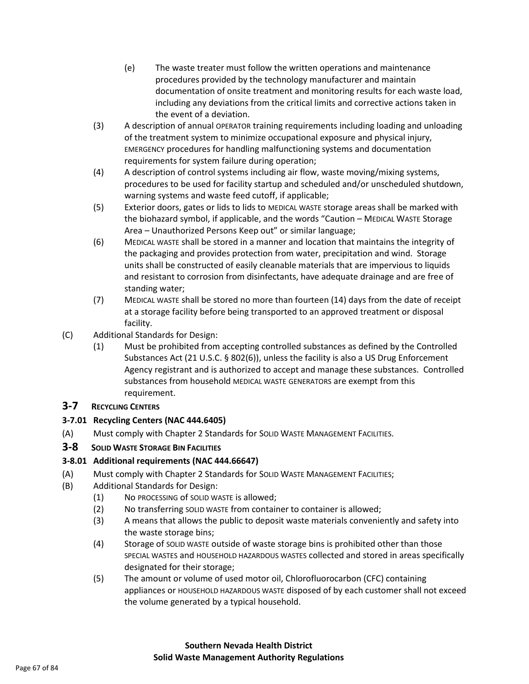- (e) The waste treater must follow the written operations and maintenance procedures provided by the technology manufacturer and maintain documentation of onsite treatment and monitoring results for each waste load, including any deviations from the critical limits and corrective actions taken in the event of a deviation.
- (3) A description of annual OPERATOR training requirements including loading and unloading of the treatment system to minimize occupational exposure and physical injury, EMERGENCY procedures for handling malfunctioning systems and documentation requirements for system failure during operation;
- (4) A description of control systems including air flow, waste moving/mixing systems, procedures to be used for facility startup and scheduled and/or unscheduled shutdown, warning systems and waste feed cutoff, if applicable;
- (5) Exterior doors, gates or lids to lids to MEDICAL WASTE storage areas shall be marked with the biohazard symbol, if applicable, and the words "Caution – MEDICAL WASTE Storage Area – Unauthorized Persons Keep out" or similar language;
- (6) MEDICAL WASTE shall be stored in a manner and location that maintains the integrity of the packaging and provides protection from water, precipitation and wind. Storage units shall be constructed of easily cleanable materials that are impervious to liquids and resistant to corrosion from disinfectants, have adequate drainage and are free of standing water;
- (7) MEDICAL WASTE shall be stored no more than fourteen (14) days from the date of receipt at a storage facility before being transported to an approved treatment or disposal facility.
- (C) Additional Standards for Design:
	- (1) Must be prohibited from accepting controlled substances as defined by the Controlled Substances Act (21 U.S.C. § 802(6)), unless the facility is also a US Drug Enforcement Agency registrant and is authorized to accept and manage these substances. Controlled substances from household MEDICAL WASTE GENERATORS are exempt from this requirement.

## **3-7 RECYCLING CENTERS**

## **3-7.01 Recycling Centers (NAC 444.6405)**

(A) Must comply with Chapter 2 Standards for SOLID WASTE MANAGEMENT FACILITIES.

## **3-8 SOLID WASTE STORAGE BIN FACILITIES**

## **3-8.01 Additional requirements (NAC 444.66647)**

- (A) Must comply with Chapter 2 Standards for SOLID WASTE MANAGEMENT FACILITIES;
- (B) Additional Standards for Design:
	- (1) No PROCESSING of SOLID WASTE is allowed;
	- (2) No transferring SOLID WASTE from container to container is allowed;
	- (3) A means that allows the public to deposit waste materials conveniently and safety into the waste storage bins;
	- (4) Storage of SOLID WASTE outside of waste storage bins is prohibited other than those SPECIAL WASTES and HOUSEHOLD HAZARDOUS WASTES collected and stored in areas specifically designated for their storage;
	- (5) The amount or volume of used motor oil, Chlorofluorocarbon (CFC) containing appliances or HOUSEHOLD HAZARDOUS WASTE disposed of by each customer shall not exceed the volume generated by a typical household.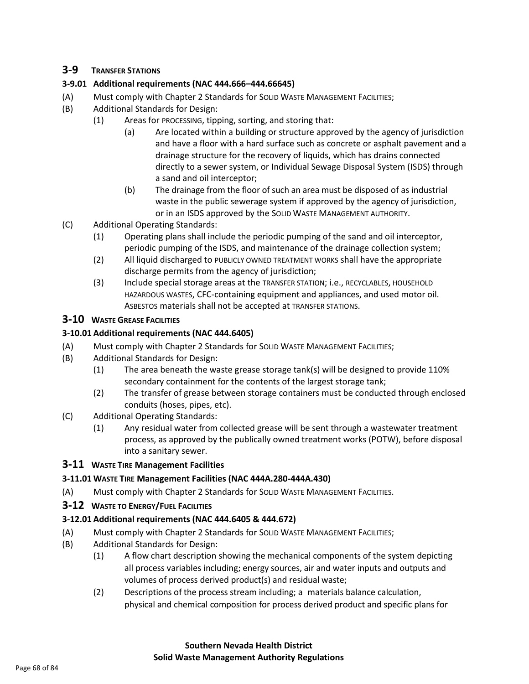## **3-9 TRANSFER STATIONS**

### **3-9.01 Additional requirements (NAC 444.666–444.66645)**

- (A) Must comply with Chapter 2 Standards for SOLID WASTE MANAGEMENT FACILITIES;
- (B) Additional Standards for Design:
	- (1) Areas for PROCESSING, tipping, sorting, and storing that:
		- (a) Are located within a building or structure approved by the agency of jurisdiction and have a floor with a hard surface such as concrete or asphalt pavement and a drainage structure for the recovery of liquids, which has drains connected directly to a sewer system, or Individual Sewage Disposal System (ISDS) through a sand and oil interceptor;
		- (b) The drainage from the floor of such an area must be disposed of as industrial waste in the public sewerage system if approved by the agency of jurisdiction, or in an ISDS approved by the SOLID WASTE MANAGEMENT AUTHORITY.
- (C) Additional Operating Standards:
	- (1) Operating plans shall include the periodic pumping of the sand and oil interceptor, periodic pumping of the ISDS, and maintenance of the drainage collection system;
	- (2) All liquid discharged to PUBLICLY OWNED TREATMENT WORKS shall have the appropriate discharge permits from the agency of jurisdiction;
	- (3) Include special storage areas at the TRANSFER STATION; i.e., RECYCLABLES, HOUSEHOLD HAZARDOUS WASTES, CFC-containing equipment and appliances, and used motor oil. ASBESTOS materials shall not be accepted at TRANSFER STATIONS.

### **3-10 WASTE GREASE FACILITIES**

### **3-10.01 Additional requirements (NAC 444.6405)**

- (A) Must comply with Chapter 2 Standards for SOLID WASTE MANAGEMENT FACILITIES;
- (B) Additional Standards for Design:
	- (1) The area beneath the waste grease storage tank(s) will be designed to provide 110% secondary containment for the contents of the largest storage tank;
	- (2) The transfer of grease between storage containers must be conducted through enclosed conduits (hoses, pipes, etc).
- (C) Additional Operating Standards:
	- (1) Any residual water from collected grease will be sent through a wastewater treatment process, as approved by the publically owned treatment works (POTW), before disposal into a sanitary sewer.

### **3-11 WASTE TIRE Management Facilities**

### **3-11.01 WASTE TIRE Management Facilities (NAC 444A.280-444A.430)**

(A) Must comply with Chapter 2 Standards for SOLID WASTE MANAGEMENT FACILITIES.

### **3-12 WASTE TO ENERGY/FUEL FACILITIES**

### **3-12.01 Additional requirements (NAC 444.6405 & 444.672)**

- (A) Must comply with Chapter 2 Standards for SOLID WASTE MANAGEMENT FACILITIES;
- (B) Additional Standards for Design:
	- (1) A flow chart description showing the mechanical components of the system depicting all process variables including; energy sources, air and water inputs and outputs and volumes of process derived product(s) and residual waste;
	- (2) Descriptions of the process stream including; a materials balance calculation, physical and chemical composition for process derived product and specific plans for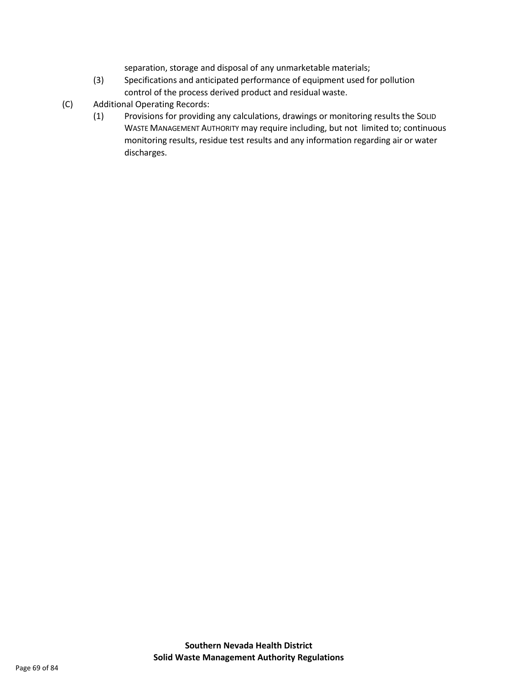separation, storage and disposal of any unmarketable materials;

- (3) Specifications and anticipated performance of equipment used for pollution control of the process derived product and residual waste.
- (C) Additional Operating Records:
	- (1) Provisions for providing any calculations, drawings or monitoring results the SOLID WASTE MANAGEMENT AUTHORITY may require including, but not limited to; continuous monitoring results, residue test results and any information regarding air or water discharges.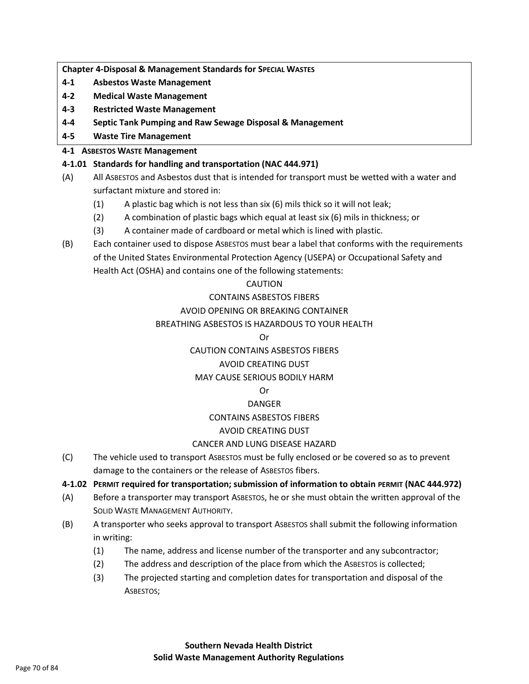**Chapter 4-Disposal & Management Standards for SPECIAL WASTES**

- **4-1 Asbestos Waste Management**
- **4-2 Medical Waste Management**
- **4-3 Restricted Waste Management**
- **4-4 Septic Tank Pumping and Raw Sewage Disposal & Management**
- **4-5 Waste Tire Management**

### **4-1 ASBESTOS WASTE Management**

### **4-1.01 Standards for handling and transportation (NAC 444.971)**

- (A) All ASBESTOS and Asbestos dust that is intended for transport must be wetted with a water and surfactant mixture and stored in:
	- (1) A plastic bag which is not less than six (6) mils thick so it will not leak;
	- (2) A combination of plastic bags which equal at least six (6) mils in thickness; or
	- (3) A container made of cardboard or metal which is lined with plastic.
- (B) Each container used to dispose ASBESTOS must bear a label that conforms with the requirements of the United States Environmental Protection Agency (USEPA) or Occupational Safety and Health Act (OSHA) and contains one of the following statements:

### CAUTION

### CONTAINS ASBESTOS FIBERS

### AVOID OPENING OR BREAKING CONTAINER

### BREATHING ASBESTOS IS HAZARDOUS TO YOUR HEALTH

#### Or

## CAUTION CONTAINS ASBESTOS FIBERS

## AVOID CREATING DUST

## MAY CAUSE SERIOUS BODILY HARM

### Or

## DANGER

## CONTAINS ASBESTOS FIBERS

## AVOID CREATING DUST

## CANCER AND LUNG DISEASE HAZARD

(C) The vehicle used to transport ASBESTOS must be fully enclosed or be covered so as to prevent damage to the containers or the release of ASBESTOS fibers.

### **4-1.02 PERMIT required for transportation; submission of information to obtain PERMIT (NAC 444.972)**

- (A) Before a transporter may transport ASBESTOS, he or she must obtain the written approval of the SOLID WASTE MANAGEMENT AUTHORITY.
- (B) A transporter who seeks approval to transport ASBESTOS shall submit the following information in writing:
	- (1) The name, address and license number of the transporter and any subcontractor;
	- (2) The address and description of the place from which the ASBESTOS is collected;
	- (3) The projected starting and completion dates for transportation and disposal of the ASBESTOS;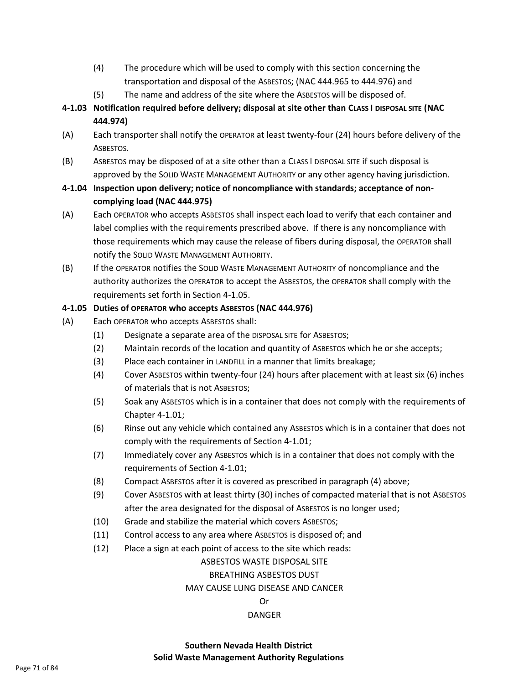- (4) The procedure which will be used to comply with this section concerning the transportation and disposal of the ASBESTOS; (NAC 444.965 to 444.976) and
- (5) The name and address of the site where the ASBESTOS will be disposed of.
- **4-1.03 Notification required before delivery; disposal at site other than CLASS I DISPOSAL SITE (NAC 444.974)**
- (A) Each transporter shall notify the OPERATOR at least twenty-four (24) hours before delivery of the ASBESTOS.
- (B) ASBESTOS may be disposed of at a site other than a CLASS I DISPOSAL SITE if such disposal is approved by the SOLID WASTE MANAGEMENT AUTHORITY or any other agency having jurisdiction.
- **4-1.04 Inspection upon delivery; notice of noncompliance with standards; acceptance of noncomplying load (NAC 444.975)**
- (A) Each OPERATOR who accepts ASBESTOS shall inspect each load to verify that each container and label complies with the requirements prescribed above. If there is any noncompliance with those requirements which may cause the release of fibers during disposal, the OPERATOR shall notify the SOLID WASTE MANAGEMENT AUTHORITY.
- (B) If the OPERATOR notifies the SOLID WASTE MANAGEMENT AUTHORITY of noncompliance and the authority authorizes the OPERATOR to accept the ASBESTOS, the OPERATOR shall comply with the requirements set forth in Section 4-1.05.

#### **4-1.05 Duties of OPERATOR who accepts ASBESTOS (NAC 444.976)**

- (A) Each OPERATOR who accepts ASBESTOS shall:
	- (1) Designate a separate area of the DISPOSAL SITE for ASBESTOS;
	- (2) Maintain records of the location and quantity of ASBESTOS which he or she accepts;
	- (3) Place each container in LANDFILL in a manner that limits breakage;
	- (4) Cover ASBESTOS within twenty-four (24) hours after placement with at least six (6) inches of materials that is not ASBESTOS;
	- (5) Soak any ASBESTOS which is in a container that does not comply with the requirements of Chapter 4-1.01;
	- (6) Rinse out any vehicle which contained any ASBESTOS which is in a container that does not comply with the requirements of Section 4-1.01;
	- (7) Immediately cover any ASBESTOS which is in a container that does not comply with the requirements of Section 4-1.01;
	- (8) Compact ASBESTOS after it is covered as prescribed in paragraph (4) above;
	- (9) Cover ASBESTOS with at least thirty (30) inches of compacted material that is not ASBESTOS after the area designated for the disposal of ASBESTOS is no longer used;
	- (10) Grade and stabilize the material which covers ASBESTOS;
	- (11) Control access to any area where ASBESTOS is disposed of; and
	- (12) Place a sign at each point of access to the site which reads:

#### ASBESTOS WASTE DISPOSAL SITE

#### BREATHING ASBESTOS DUST

#### MAY CAUSE LUNG DISEASE AND CANCER

#### Or

#### DANGER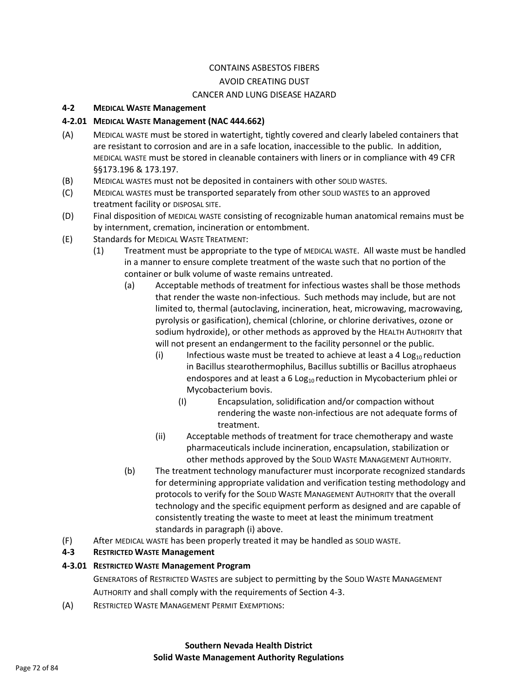# CONTAINS ASBESTOS FIBERS AVOID CREATING DUST

#### CANCER AND LUNG DISEASE HAZARD

#### **4-2 MEDICAL WASTE Management**

### **4-2.01 MEDICAL WASTE Management (NAC 444.662)**

- (A) MEDICAL WASTE must be stored in watertight, tightly covered and clearly labeled containers that are resistant to corrosion and are in a safe location, inaccessible to the public. In addition, MEDICAL WASTE must be stored in cleanable containers with liners or in compliance with 49 CFR §§173.196 & 173.197.
- (B) MEDICAL WASTES must not be deposited in containers with other SOLID WASTES.
- (C) MEDICAL WASTES must be transported separately from other SOLID WASTES to an approved treatment facility or DISPOSAL SITE.
- (D) Final disposition of MEDICAL WASTE consisting of recognizable human anatomical remains must be by internment, cremation, incineration or entombment.
- (E) Standards for MEDICAL WASTE TREATMENT:
	- (1) Treatment must be appropriate to the type of MEDICAL WASTE. All waste must be handled in a manner to ensure complete treatment of the waste such that no portion of the container or bulk volume of waste remains untreated.
		- (a) Acceptable methods of treatment for infectious wastes shall be those methods that render the waste non-infectious. Such methods may include, but are not limited to, thermal (autoclaving, incineration, heat, microwaving, macrowaving, pyrolysis or gasification), chemical (chlorine, or chlorine derivatives, ozone or sodium hydroxide), or other methods as approved by the HEALTH AUTHORITY that will not present an endangerment to the facility personnel or the public.
			- (i) Infectious waste must be treated to achieve at least a 4 Log<sub>10</sub> reduction in Bacillus stearothermophilus, Bacillus subtillis or Bacillus atrophaeus endospores and at least a 6 Log<sub>10</sub> reduction in Mycobacterium phlei or Mycobacterium bovis.
				- (I) Encapsulation, solidification and/or compaction without rendering the waste non-infectious are not adequate forms of treatment.
			- (ii) Acceptable methods of treatment for trace chemotherapy and waste pharmaceuticals include incineration, encapsulation, stabilization or other methods approved by the SOLID WASTE MANAGEMENT AUTHORITY.
		- (b) The treatment technology manufacturer must incorporate recognized standards for determining appropriate validation and verification testing methodology and protocols to verify for the SOLID WASTE MANAGEMENT AUTHORITY that the overall technology and the specific equipment perform as designed and are capable of consistently treating the waste to meet at least the minimum treatment standards in paragraph (i) above.
- (F) After MEDICAL WASTE has been properly treated it may be handled as SOLID WASTE.

## **4-3 RESTRICTED WASTE Management**

### **4-3.01 RESTRICTED WASTE Management Program**

GENERATORS of RESTRICTED WASTES are subject to permitting by the SOLID WASTE MANAGEMENT AUTHORITY and shall comply with the requirements of Section 4-3.

(A) RESTRICTED WASTE MANAGEMENT PERMIT EXEMPTIONS: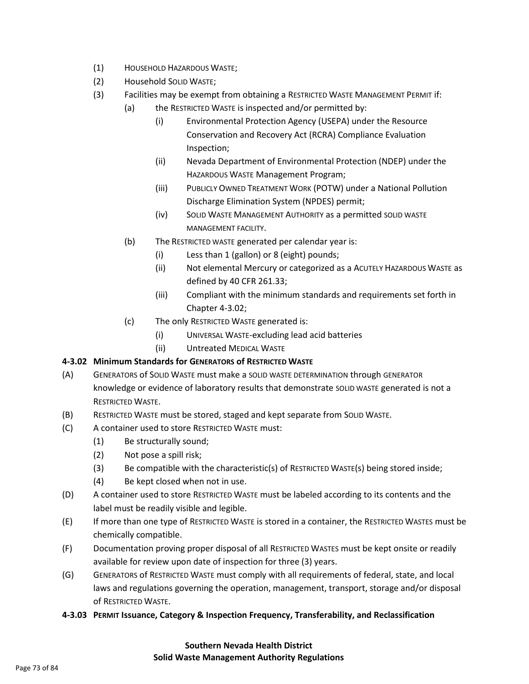- (1) HOUSEHOLD HAZARDOUS WASTE;
- (2) Household SOLID WASTE;
- (3) Facilities may be exempt from obtaining a RESTRICTED WASTE MANAGEMENT PERMIT if:
	- (a) the RESTRICTED WASTE is inspected and/or permitted by:
		- (i) Environmental Protection Agency (USEPA) under the Resource Conservation and Recovery Act (RCRA) Compliance Evaluation Inspection;
		- (ii) Nevada Department of Environmental Protection (NDEP) under the HAZARDOUS WASTE Management Program;
		- (iii) PUBLICLY OWNED TREATMENT WORK (POTW) under a National Pollution Discharge Elimination System (NPDES) permit;
		- (iv) SOLID WASTE MANAGEMENT AUTHORITY as a permitted SOLID WASTE MANAGEMENT FACILITY.
	- (b) The RESTRICTED WASTE generated per calendar year is:
		- (i) Less than 1 (gallon) or 8 (eight) pounds;
		- (ii) Not elemental Mercury or categorized as a ACUTELY HAZARDOUS WASTE as defined by 40 CFR 261.33;
		- (iii) Compliant with the minimum standards and requirements set forth in Chapter 4-3.02;
	- (c) The only RESTRICTED WASTE generated is:
		- (i) UNIVERSAL WASTE-excluding lead acid batteries
		- (ii) Untreated MEDICAL WASTE

# **4-3.02 Minimum Standards for GENERATORS of RESTRICTED WASTE**

- (A) GENERATORS of SOLID WASTE must make a SOLID WASTE DETERMINATION through GENERATOR knowledge or evidence of laboratory results that demonstrate SOLID WASTE generated is not a RESTRICTED WASTE.
- (B) RESTRICTED WASTE must be stored, staged and kept separate from SOLID WASTE.
- (C) A container used to store RESTRICTED WASTE must:
	- (1) Be structurally sound;
	- (2) Not pose a spill risk;
	- (3) Be compatible with the characteristic(s) of RESTRICTED WASTE(s) being stored inside;
	- (4) Be kept closed when not in use.
- (D) A container used to store RESTRICTED WASTE must be labeled according to its contents and the label must be readily visible and legible.
- (E) If more than one type of RESTRICTED WASTE is stored in a container, the RESTRICTED WASTES must be chemically compatible.
- (F) Documentation proving proper disposal of all RESTRICTED WASTES must be kept onsite or readily available for review upon date of inspection for three (3) years.
- (G) GENERATORS of RESTRICTED WASTE must comply with all requirements of federal, state, and local laws and regulations governing the operation, management, transport, storage and/or disposal of RESTRICTED WASTE.
- **4-3.03 PERMIT Issuance, Category & Inspection Frequency, Transferability, and Reclassification**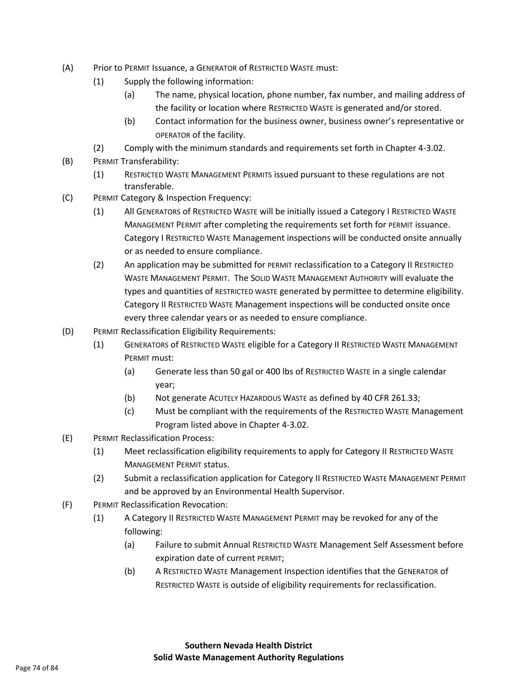- (A) Prior to PERMIT Issuance, a GENERATOR of RESTRICTED WASTE must:
	- (1) Supply the following information:
		- (a) The name, physical location, phone number, fax number, and mailing address of the facility or location where RESTRICTED WASTE is generated and/or stored.
		- (b) Contact information for the business owner, business owner's representative or OPERATOR of the facility.
	- (2) Comply with the minimum standards and requirements set forth in Chapter 4-3.02.
- (B) PERMIT Transferability:
	- (1) RESTRICTED WASTE MANAGEMENT PERMITS issued pursuant to these regulations are not transferable.
- (C) PERMIT Category & Inspection Frequency:
	- (1) All GENERATORS of RESTRICTED WASTE will be initially issued a Category I RESTRICTED WASTE MANAGEMENT PERMIT after completing the requirements set forth for PERMIT issuance. Category I RESTRICTED WASTE Management inspections will be conducted onsite annually or as needed to ensure compliance.
	- (2) An application may be submitted for PERMIT reclassification to a Category II RESTRICTED WASTE MANAGEMENT PERMIT. The SOLID WASTE MANAGEMENT AUTHORITY will evaluate the types and quantities of RESTRICTED WASTE generated by permittee to determine eligibility. Category II RESTRICTED WASTE Management inspections will be conducted onsite once every three calendar years or as needed to ensure compliance.
- (D) PERMIT Reclassification Eligibility Requirements:
	- (1) GENERATORS of RESTRICTED WASTE eligible for a Category II RESTRICTED WASTE MANAGEMENT PERMIT must:
		- (a) Generate less than 50 gal or 400 lbs of RESTRICTED WASTE in a single calendar year;
		- (b) Not generate ACUTELY HAZARDOUS WASTE as defined by 40 CFR 261.33;
		- (c) Must be compliant with the requirements of the RESTRICTED WASTE Management Program listed above in Chapter 4-3.02.
- (E) PERMIT Reclassification Process:
	- (1) Meet reclassification eligibility requirements to apply for Category II RESTRICTED WASTE MANAGEMENT PERMIT status.
	- (2) Submit a reclassification application for Category II RESTRICTED WASTE MANAGEMENT PERMIT and be approved by an Environmental Health Supervisor.
- (F) PERMIT Reclassification Revocation:
	- (1) A Category II RESTRICTED WASTE MANAGEMENT PERMIT may be revoked for any of the following:
		- (a) Failure to submit Annual RESTRICTED WASTE Management Self Assessment before expiration date of current PERMIT;
		- (b) A RESTRICTED WASTE Management Inspection identifies that the GENERATOR of RESTRICTED WASTE is outside of eligibility requirements for reclassification.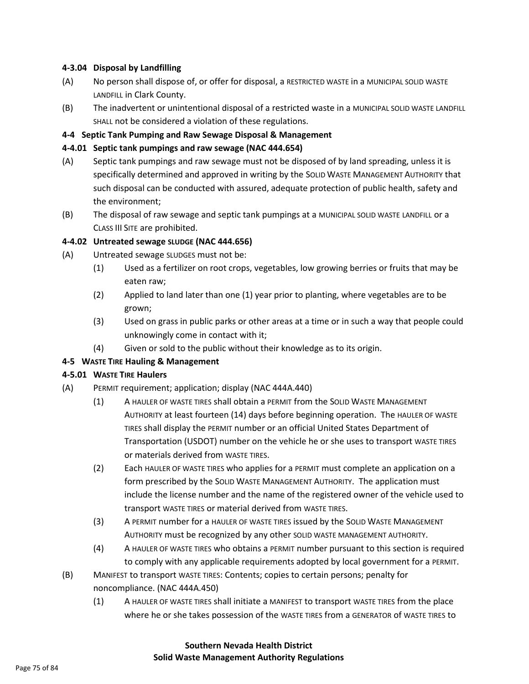#### **4-3.04 Disposal by Landfilling**

- (A) No person shall dispose of, or offer for disposal, a RESTRICTED WASTE in a MUNICIPAL SOLID WASTE LANDFILL in Clark County.
- (B) The inadvertent or unintentional disposal of a restricted waste in a MUNICIPAL SOLID WASTE LANDFILL SHALL not be considered a violation of these regulations.

#### **4-4 Septic Tank Pumping and Raw Sewage Disposal & Management**

#### **4-4.01 Septic tank pumpings and raw sewage (NAC 444.654)**

- (A) Septic tank pumpings and raw sewage must not be disposed of by land spreading, unless it is specifically determined and approved in writing by the SOLID WASTE MANAGEMENT AUTHORITY that such disposal can be conducted with assured, adequate protection of public health, safety and the environment;
- (B) The disposal of raw sewage and septic tank pumpings at a MUNICIPAL SOLID WASTE LANDFILL or a CLASS III SITE are prohibited.

#### **4-4.02 Untreated sewage SLUDGE (NAC 444.656)**

- (A) Untreated sewage SLUDGES must not be:
	- (1) Used as a fertilizer on root crops, vegetables, low growing berries or fruits that may be eaten raw;
	- (2) Applied to land later than one (1) year prior to planting, where vegetables are to be grown;
	- (3) Used on grass in public parks or other areas at a time or in such a way that people could unknowingly come in contact with it;
	- (4) Given or sold to the public without their knowledge as to its origin.

# **4-5 WASTE TIRE Hauling & Management**

# **4-5.01 WASTE TIRE Haulers**

- (A) PERMIT requirement; application; display (NAC 444A.440)
	- (1) A HAULER OF WASTE TIRES shall obtain a PERMIT from the SOLID WASTE MANAGEMENT AUTHORITY at least fourteen (14) days before beginning operation. The HAULER OF WASTE TIRES shall display the PERMIT number or an official United States Department of Transportation (USDOT) number on the vehicle he or she uses to transport WASTE TIRES or materials derived from WASTE TIRES.
	- (2) Each HAULER OF WASTE TIRES who applies for a PERMIT must complete an application on a form prescribed by the SOLID WASTE MANAGEMENT AUTHORITY. The application must include the license number and the name of the registered owner of the vehicle used to transport WASTE TIRES or material derived from WASTE TIRES.
	- (3) A PERMIT number for a HAULER OF WASTE TIRES issued by the SOLID WASTE MANAGEMENT AUTHORITY must be recognized by any other SOLID WASTE MANAGEMENT AUTHORITY.
	- (4) A HAULER OF WASTE TIRES who obtains a PERMIT number pursuant to this section is required to comply with any applicable requirements adopted by local government for a PERMIT.
- (B) MANIFEST to transport WASTE TIRES: Contents; copies to certain persons; penalty for noncompliance. (NAC 444A.450)
	- (1) A HAULER OF WASTE TIRES shall initiate a MANIFEST to transport WASTE TIRES from the place where he or she takes possession of the WASTE TIRES from a GENERATOR of WASTE TIRES to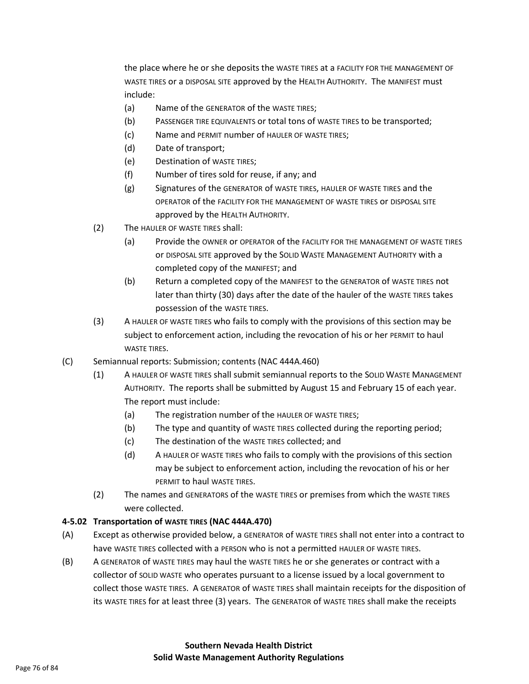the place where he or she deposits the WASTE TIRES at a FACILITY FOR THE MANAGEMENT OF WASTE TIRES or a DISPOSAL SITE approved by the HEALTH AUTHORITY. The MANIFEST must include:

- (a) Name of the GENERATOR of the WASTE TIRES;
- (b) PASSENGER TIRE EQUIVALENTS or total tons of WASTE TIRES to be transported;
- (c) Name and PERMIT number of HAULER OF WASTE TIRES;
- (d) Date of transport;
- (e) Destination of WASTE TIRES;
- (f) Number of tires sold for reuse, if any; and
- (g) Signatures of the GENERATOR of WASTE TIRES, HAULER OF WASTE TIRES and the OPERATOR of the FACILITY FOR THE MANAGEMENT OF WASTE TIRES or DISPOSAL SITE approved by the HEALTH AUTHORITY.
- (2) The HAULER OF WASTE TIRES shall:
	- (a) Provide the OWNER or OPERATOR of the FACILITY FOR THE MANAGEMENT OF WASTE TIRES or DISPOSAL SITE approved by the SOLID WASTE MANAGEMENT AUTHORITY with a completed copy of the MANIFEST; and
	- (b) Return a completed copy of the MANIFEST to the GENERATOR of WASTE TIRES not later than thirty (30) days after the date of the hauler of the WASTE TIRES takes possession of the WASTE TIRES.
- (3) A HAULER OF WASTE TIRES who fails to comply with the provisions of this section may be subject to enforcement action, including the revocation of his or her PERMIT to haul WASTE TIRES.
- (C) Semiannual reports: Submission; contents (NAC 444A.460)
	- (1) A HAULER OF WASTE TIRES shall submit semiannual reports to the SOLID WASTE MANAGEMENT AUTHORITY. The reports shall be submitted by August 15 and February 15 of each year. The report must include:
		- (a) The registration number of the HAULER OF WASTE TIRES;
		- (b) The type and quantity of WASTE TIRES collected during the reporting period;
		- (c) The destination of the WASTE TIRES collected; and
		- (d) A HAULER OF WASTE TIRES who fails to comply with the provisions of this section may be subject to enforcement action, including the revocation of his or her PERMIT to haul WASTE TIRES.
	- (2) The names and GENERATORS of the WASTE TIRES or premises from which the WASTE TIRES were collected.

# **4-5.02 Transportation of WASTE TIRES (NAC 444A.470)**

- (A) Except as otherwise provided below, a GENERATOR of WASTE TIRES shall not enter into a contract to have WASTE TIRES collected with a PERSON who is not a permitted HAULER OF WASTE TIRES.
- (B) A GENERATOR of WASTE TIRES may haul the WASTE TIRES he or she generates or contract with a collector of SOLID WASTE who operates pursuant to a license issued by a local government to collect those WASTE TIRES. A GENERATOR of WASTE TIRES shall maintain receipts for the disposition of its WASTE TIRES for at least three (3) years. The GENERATOR of WASTE TIRES shall make the receipts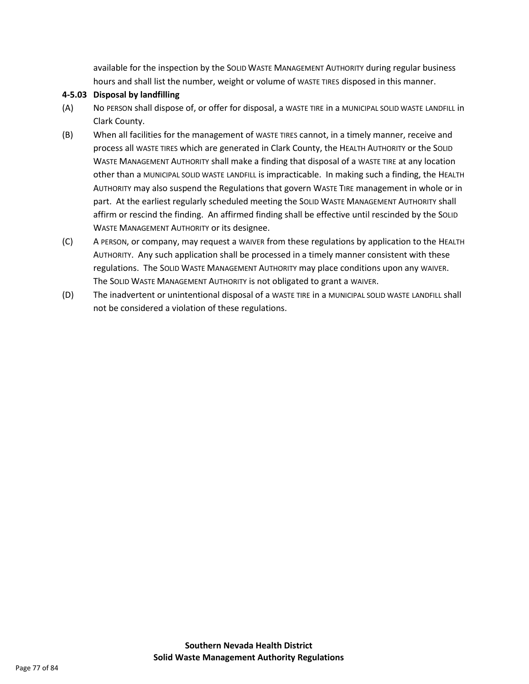available for the inspection by the SOLID WASTE MANAGEMENT AUTHORITY during regular business hours and shall list the number, weight or volume of WASTE TIRES disposed in this manner.

# **4-5.03 Disposal by landfilling**

- (A) No PERSON shall dispose of, or offer for disposal, a WASTE TIRE in a MUNICIPAL SOLID WASTE LANDFILL in Clark County.
- (B) When all facilities for the management of WASTE TIRES cannot, in a timely manner, receive and process all WASTE TIRES which are generated in Clark County, the HEALTH AUTHORITY or the SOLID WASTE MANAGEMENT AUTHORITY shall make a finding that disposal of a WASTE TIRE at any location other than a MUNICIPAL SOLID WASTE LANDFILL is impracticable. In making such a finding, the HEALTH AUTHORITY may also suspend the Regulations that govern WASTE TIRE management in whole or in part. At the earliest regularly scheduled meeting the SOLID WASTE MANAGEMENT AUTHORITY shall affirm or rescind the finding. An affirmed finding shall be effective until rescinded by the SOLID WASTE MANAGEMENT AUTHORITY or its designee.
- (C) A PERSON, or company, may request a WAIVER from these regulations by application to the HEALTH AUTHORITY. Any such application shall be processed in a timely manner consistent with these regulations. The SOLID WASTE MANAGEMENT AUTHORITY may place conditions upon any WAIVER. The SOLID WASTE MANAGEMENT AUTHORITY is not obligated to grant a WAIVER.
- (D) The inadvertent or unintentional disposal of a WASTE TIRE in a MUNICIPAL SOLID WASTE LANDFILL shall not be considered a violation of these regulations.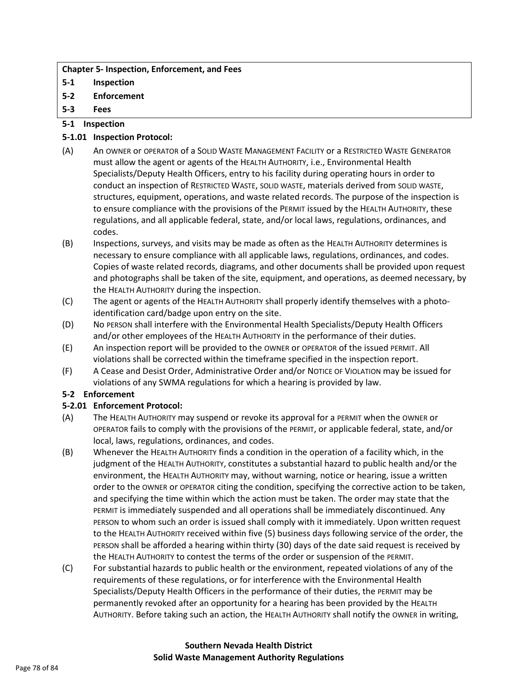#### **Chapter 5- Inspection, Enforcement, and Fees**

- **5-1 Inspection**
- **5-2 Enforcement**
- **5-3 Fees**

# **5-1 Inspection**

# **5-1.01 Inspection Protocol:**

- (A) An OWNER or OPERATOR of a SOLID WASTE MANAGEMENT FACILITY or a RESTRICTED WASTE GENERATOR must allow the agent or agents of the HEALTH AUTHORITY, i.e., Environmental Health Specialists/Deputy Health Officers, entry to his facility during operating hours in order to conduct an inspection of RESTRICTED WASTE, SOLID WASTE, materials derived from SOLID WASTE, structures, equipment, operations, and waste related records. The purpose of the inspection is to ensure compliance with the provisions of the PERMIT issued by the HEALTH AUTHORITY, these regulations, and all applicable federal, state, and/or local laws, regulations, ordinances, and codes.
- (B) Inspections, surveys, and visits may be made as often as the HEALTH AUTHORITY determines is necessary to ensure compliance with all applicable laws, regulations, ordinances, and codes. Copies of waste related records, diagrams, and other documents shall be provided upon request and photographs shall be taken of the site, equipment, and operations, as deemed necessary, by the HEALTH AUTHORITY during the inspection.
- (C) The agent or agents of the HEALTH AUTHORITY shall properly identify themselves with a photoidentification card/badge upon entry on the site.
- (D) No PERSON shall interfere with the Environmental Health Specialists/Deputy Health Officers and/or other employees of the HEALTH AUTHORITY in the performance of their duties.
- (E) An inspection report will be provided to the OWNER or OPERATOR of the issued PERMIT. All violations shall be corrected within the timeframe specified in the inspection report.
- (F) A Cease and Desist Order, Administrative Order and/or NOTICE OF VIOLATION may be issued for violations of any SWMA regulations for which a hearing is provided by law.

# **5-2 Enforcement**

# **5-2.01 Enforcement Protocol:**

- (A) The HEALTH AUTHORITY may suspend or revoke its approval for a PERMIT when the OWNER or OPERATOR fails to comply with the provisions of the PERMIT, or applicable federal, state, and/or local, laws, regulations, ordinances, and codes.
- (B) Whenever the HEALTH AUTHORITY finds a condition in the operation of a facility which, in the judgment of the HEALTH AUTHORITY, constitutes a substantial hazard to public health and/or the environment, the HEALTH AUTHORITY may, without warning, notice or hearing, issue a written order to the OWNER or OPERATOR citing the condition, specifying the corrective action to be taken, and specifying the time within which the action must be taken. The order may state that the PERMIT is immediately suspended and all operations shall be immediately discontinued. Any PERSON to whom such an order is issued shall comply with it immediately. Upon written request to the HEALTH AUTHORITY received within five (5) business days following service of the order, the PERSON shall be afforded a hearing within thirty (30) days of the date said request is received by the HEALTH AUTHORITY to contest the terms of the order or suspension of the PERMIT.
- (C) For substantial hazards to public health or the environment, repeated violations of any of the requirements of these regulations, or for interference with the Environmental Health Specialists/Deputy Health Officers in the performance of their duties, the PERMIT may be permanently revoked after an opportunity for a hearing has been provided by the HEALTH AUTHORITY. Before taking such an action, the HEALTH AUTHORITY shall notify the OWNER in writing,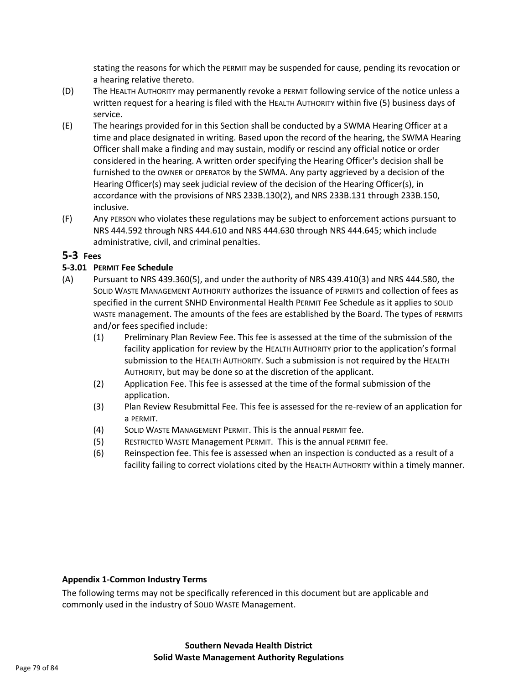stating the reasons for which the PERMIT may be suspended for cause, pending its revocation or a hearing relative thereto.

- (D) The HEALTH AUTHORITY may permanently revoke a PERMIT following service of the notice unless a written request for a hearing is filed with the HEALTH AUTHORITY within five (5) business days of service.
- (E) The hearings provided for in this Section shall be conducted by a SWMA Hearing Officer at a time and place designated in writing. Based upon the record of the hearing, the SWMA Hearing Officer shall make a finding and may sustain, modify or rescind any official notice or order considered in the hearing. A written order specifying the Hearing Officer's decision shall be furnished to the OWNER or OPERATOR by the SWMA. Any party aggrieved by a decision of the Hearing Officer(s) may seek judicial review of the decision of the Hearing Officer(s), in accordance with the provisions of NRS 233B.130(2), and NRS 233B.131 through 233B.150, inclusive.
- (F) Any PERSON who violates these regulations may be subject to enforcement actions pursuant to NRS 444.592 through NRS 444.610 and NRS 444.630 through NRS 444.645; which include administrative, civil, and criminal penalties.

# **5-3 Fees**

# **5-3.01 PERMIT Fee Schedule**

- (A) Pursuant to NRS 439.360(5), and under the authority of NRS 439.410(3) and NRS 444.580, the SOLID WASTE MANAGEMENT AUTHORITY authorizes the issuance of PERMITS and collection of fees as specified in the current SNHD Environmental Health PERMIT Fee Schedule as it applies to SOLID WASTE management. The amounts of the fees are established by the Board. The types of PERMITS and/or fees specified include:
	- (1) Preliminary Plan Review Fee. This fee is assessed at the time of the submission of the facility application for review by the HEALTH AUTHORITY prior to the application's formal submission to the HEALTH AUTHORITY. Such a submission is not required by the HEALTH AUTHORITY, but may be done so at the discretion of the applicant.
	- (2) Application Fee. This fee is assessed at the time of the formal submission of the application.
	- (3) Plan Review Resubmittal Fee. This fee is assessed for the re-review of an application for a PERMIT.
	- (4) SOLID WASTE MANAGEMENT PERMIT. This is the annual PERMIT fee.
	- (5) RESTRICTED WASTE Management PERMIT. This is the annual PERMIT fee.
	- (6) Reinspection fee. This fee is assessed when an inspection is conducted as a result of a facility failing to correct violations cited by the HEALTH AUTHORITY within a timely manner.

# **Appendix 1-Common Industry Terms**

The following terms may not be specifically referenced in this document but are applicable and commonly used in the industry of SOLID WASTE Management.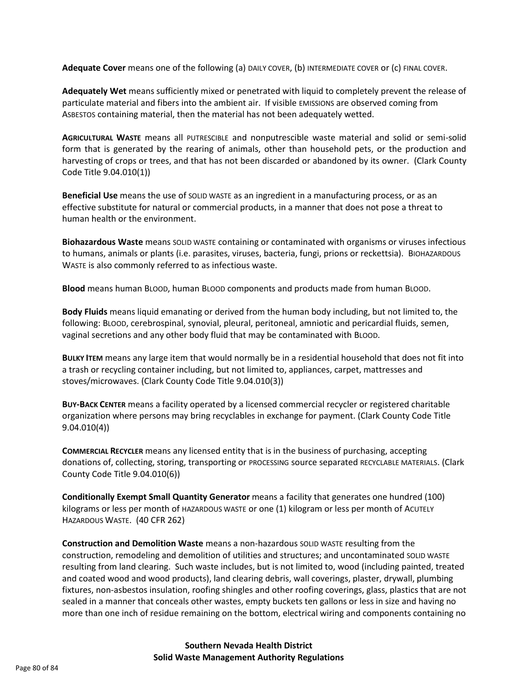**Adequate Cover** means one of the following (a) DAILY COVER, (b) INTERMEDIATE COVER or (c) FINAL COVER.

**Adequately Wet** means sufficiently mixed or penetrated with liquid to completely prevent the release of particulate material and fibers into the ambient air. If visible EMISSIONS are observed coming from ASBESTOS containing material, then the material has not been adequately wetted.

**AGRICULTURAL WASTE** means all PUTRESCIBLE and nonputrescible waste material and solid or semi-solid form that is generated by the rearing of animals, other than household pets, or the production and harvesting of crops or trees, and that has not been discarded or abandoned by its owner. (Clark County Code Title 9.04.010(1))

**Beneficial Use** means the use of SOLID WASTE as an ingredient in a manufacturing process, or as an effective substitute for natural or commercial products, in a manner that does not pose a threat to human health or the environment.

**Biohazardous Waste** means SOLID WASTE containing or contaminated with organisms or viruses infectious to humans, animals or plants (i.e. parasites, viruses, bacteria, fungi, prions or reckettsia). BIOHAZARDOUS WASTE is also commonly referred to as infectious waste.

**Blood** means human BLOOD, human BLOOD components and products made from human BLOOD.

**Body Fluids** means liquid emanating or derived from the human body including, but not limited to, the following: BLOOD, cerebrospinal, synovial, pleural, peritoneal, amniotic and pericardial fluids, semen, vaginal secretions and any other body fluid that may be contaminated with BLOOD.

**BULKY ITEM** means any large item that would normally be in a residential household that does not fit into a trash or recycling container including, but not limited to, appliances, carpet, mattresses and stoves/microwaves. (Clark County Code Title 9.04.010(3))

**BUY-BACK CENTER** means a facility operated by a licensed commercial recycler or registered charitable organization where persons may bring recyclables in exchange for payment. (Clark County Code Title 9.04.010(4))

**COMMERCIAL RECYCLER** means any licensed entity that is in the business of purchasing, accepting donations of, collecting, storing, transporting or PROCESSING source separated RECYCLABLE MATERIALS. (Clark County Code Title 9.04.010(6))

**Conditionally Exempt Small Quantity Generator** means a facility that generates one hundred (100) kilograms or less per month of HAZARDOUS WASTE or one (1) kilogram or less per month of ACUTELY HAZARDOUS WASTE. (40 CFR 262)

**Construction and Demolition Waste** means a non-hazardous SOLID WASTE resulting from the construction, remodeling and demolition of utilities and structures; and uncontaminated SOLID WASTE resulting from land clearing. Such waste includes, but is not limited to, wood (including painted, treated and coated wood and wood products), land clearing debris, wall coverings, plaster, drywall, plumbing fixtures, non-asbestos insulation, roofing shingles and other roofing coverings, glass, plastics that are not sealed in a manner that conceals other wastes, empty buckets ten gallons or less in size and having no more than one inch of residue remaining on the bottom, electrical wiring and components containing no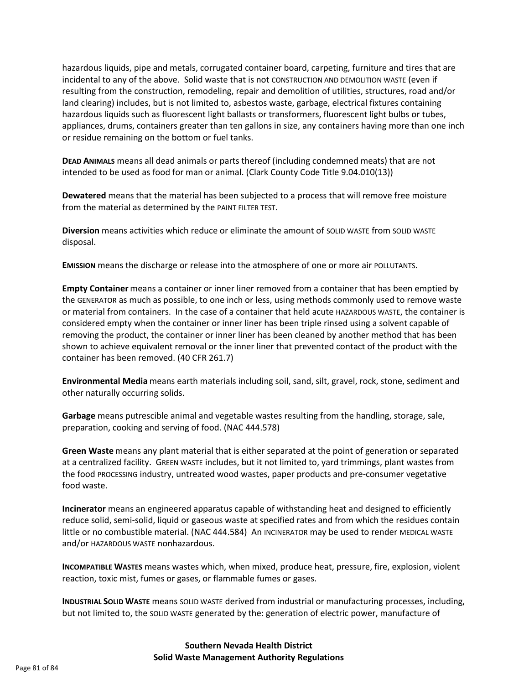hazardous liquids, pipe and metals, corrugated container board, carpeting, furniture and tires that are incidental to any of the above. Solid waste that is not CONSTRUCTION AND DEMOLITION WASTE (even if resulting from the construction, remodeling, repair and demolition of utilities, structures, road and/or land clearing) includes, but is not limited to, asbestos waste, garbage, electrical fixtures containing hazardous liquids such as fluorescent light ballasts or transformers, fluorescent light bulbs or tubes, appliances, drums, containers greater than ten gallons in size, any containers having more than one inch or residue remaining on the bottom or fuel tanks.

**DEAD ANIMALS** means all dead animals or parts thereof (including condemned meats) that are not intended to be used as food for man or animal. (Clark County Code Title 9.04.010(13))

**Dewatered** means that the material has been subjected to a process that will remove free moisture from the material as determined by the PAINT FILTER TEST.

**Diversion** means activities which reduce or eliminate the amount of SOLID WASTE from SOLID WASTE disposal.

**EMISSION** means the discharge or release into the atmosphere of one or more air POLLUTANTS.

**Empty Container** means a container or inner liner removed from a container that has been emptied by the GENERATOR as much as possible, to one inch or less, using methods commonly used to remove waste or material from containers. In the case of a container that held acute HAZARDOUS WASTE, the container is considered empty when the container or inner liner has been triple rinsed using a solvent capable of removing the product, the container or inner liner has been cleaned by another method that has been shown to achieve equivalent removal or the inner liner that prevented contact of the product with the container has been removed. (40 CFR 261.7)

**Environmental Media** means earth materials including soil, sand, silt, gravel, rock, stone, sediment and other naturally occurring solids.

**Garbage** means putrescible animal and vegetable wastes resulting from the handling, storage, sale, preparation, cooking and serving of food. (NAC 444.578)

**Green Waste** means any plant material that is either separated at the point of generation or separated at a centralized facility. GREEN WASTE includes, but it not limited to, yard trimmings, plant wastes from the food PROCESSING industry, untreated wood wastes, paper products and pre-consumer vegetative food waste.

**Incinerator** means an engineered apparatus capable of withstanding heat and designed to efficiently reduce solid, semi-solid, liquid or gaseous waste at specified rates and from which the residues contain little or no combustible material. (NAC 444.584) An INCINERATOR may be used to render MEDICAL WASTE and/or HAZARDOUS WASTE nonhazardous.

**INCOMPATIBLE WASTES** means wastes which, when mixed, produce heat, pressure, fire, explosion, violent reaction, toxic mist, fumes or gases, or flammable fumes or gases.

**INDUSTRIAL SOLID WASTE** means SOLID WASTE derived from industrial or manufacturing processes, including, but not limited to, the SOLID WASTE generated by the: generation of electric power, manufacture of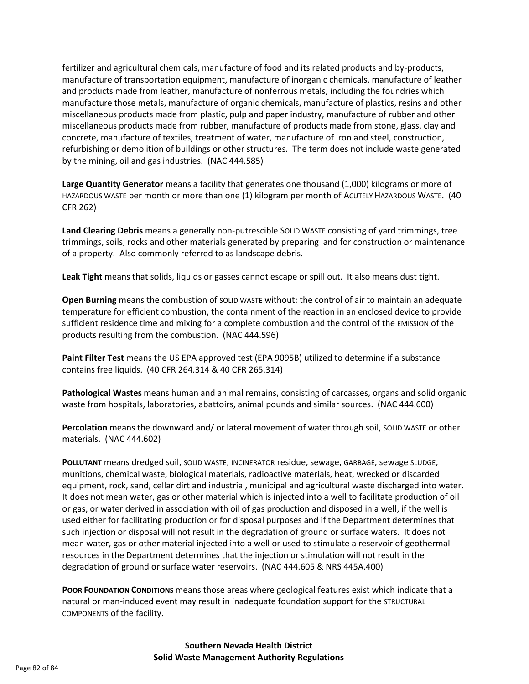fertilizer and agricultural chemicals, manufacture of food and its related products and by-products, manufacture of transportation equipment, manufacture of inorganic chemicals, manufacture of leather and products made from leather, manufacture of nonferrous metals, including the foundries which manufacture those metals, manufacture of organic chemicals, manufacture of plastics, resins and other miscellaneous products made from plastic, pulp and paper industry, manufacture of rubber and other miscellaneous products made from rubber, manufacture of products made from stone, glass, clay and concrete, manufacture of textiles, treatment of water, manufacture of iron and steel, construction, refurbishing or demolition of buildings or other structures. The term does not include waste generated by the mining, oil and gas industries. (NAC 444.585)

**Large Quantity Generator** means a facility that generates one thousand (1,000) kilograms or more of HAZARDOUS WASTE per month or more than one (1) kilogram per month of ACUTELY HAZARDOUS WASTE. (40 CFR 262)

**Land Clearing Debris** means a generally non-putrescible SOLID WASTE consisting of yard trimmings, tree trimmings, soils, rocks and other materials generated by preparing land for construction or maintenance of a property. Also commonly referred to as landscape debris.

**Leak Tight** means that solids, liquids or gasses cannot escape or spill out. It also means dust tight.

**Open Burning** means the combustion of SOLID WASTE without: the control of air to maintain an adequate temperature for efficient combustion, the containment of the reaction in an enclosed device to provide sufficient residence time and mixing for a complete combustion and the control of the EMISSION of the products resulting from the combustion. (NAC 444.596)

**Paint Filter Test** means the US EPA approved test (EPA 9095B) utilized to determine if a substance contains free liquids. (40 CFR 264.314 & 40 CFR 265.314)

**Pathological Wastes** means human and animal remains, consisting of carcasses, organs and solid organic waste from hospitals, laboratories, abattoirs, animal pounds and similar sources. (NAC 444.600)

**Percolation** means the downward and/ or lateral movement of water through soil, SOLID WASTE or other materials. (NAC 444.602)

**POLLUTANT** means dredged soil, SOLID WASTE, INCINERATOR residue, sewage, GARBAGE, sewage SLUDGE, munitions, chemical waste, biological materials, radioactive materials, heat, wrecked or discarded equipment, rock, sand, cellar dirt and industrial, municipal and agricultural waste discharged into water. It does not mean water, gas or other material which is injected into a well to facilitate production of oil or gas, or water derived in association with oil of gas production and disposed in a well, if the well is used either for facilitating production or for disposal purposes and if the Department determines that such injection or disposal will not result in the degradation of ground or surface waters. It does not mean water, gas or other material injected into a well or used to stimulate a reservoir of geothermal resources in the Department determines that the injection or stimulation will not result in the degradation of ground or surface water reservoirs. (NAC 444.605 & NRS 445A.400)

**POOR FOUNDATION CONDITIONS** means those areas where geological features exist which indicate that a natural or man-induced event may result in inadequate foundation support for the STRUCTURAL COMPONENTS of the facility.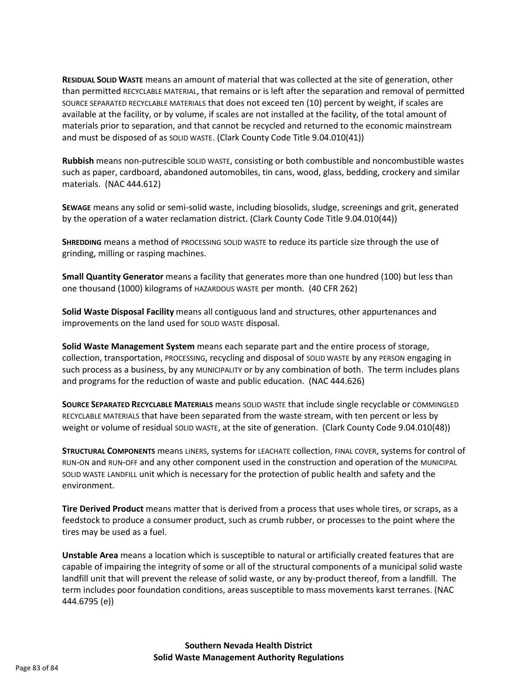**RESIDUAL SOLID WASTE** means an amount of material that was collected at the site of generation, other than permitted RECYCLABLE MATERIAL, that remains or is left after the separation and removal of permitted SOURCE SEPARATED RECYCLABLE MATERIALS that does not exceed ten (10) percent by weight, if scales are available at the facility, or by volume, if scales are not installed at the facility, of the total amount of materials prior to separation, and that cannot be recycled and returned to the economic mainstream and must be disposed of as SOLID WASTE. (Clark County Code Title 9.04.010(41))

**Rubbish** means non-putrescible SOLID WASTE, consisting or both combustible and noncombustible wastes such as paper, cardboard, abandoned automobiles, tin cans, wood, glass, bedding, crockery and similar materials. (NAC 444.612)

**SEWAGE** means any solid or semi-solid waste, including biosolids, sludge, screenings and grit, generated by the operation of a water reclamation district. (Clark County Code Title 9.04.010(44))

**SHREDDING** means a method of PROCESSING SOLID WASTE to reduce its particle size through the use of grinding, milling or rasping machines.

**Small Quantity Generator** means a facility that generates more than one hundred (100) but less than one thousand (1000) kilograms of HAZARDOUS WASTE per month. (40 CFR 262)

**Solid Waste Disposal Facility** means all contiguous land and structures, other appurtenances and improvements on the land used for SOLID WASTE disposal.

**Solid Waste Management System** means each separate part and the entire process of storage, collection, transportation, PROCESSING, recycling and disposal of SOLID WASTE by any PERSON engaging in such process as a business, by any MUNICIPALITY or by any combination of both. The term includes plans and programs for the reduction of waste and public education. (NAC 444.626)

**SOURCE SEPARATED RECYCLABLE MATERIALS** means SOLID WASTE that include single recyclable or COMMINGLED RECYCLABLE MATERIALS that have been separated from the waste stream, with ten percent or less by weight or volume of residual SOLID WASTE, at the site of generation. (Clark County Code 9.04.010(48))

**STRUCTURAL COMPONENTS** means LINERS, systems for LEACHATE collection, FINAL COVER, systems for control of RUN-ON and RUN-OFF and any other component used in the construction and operation of the MUNICIPAL SOLID WASTE LANDFILL unit which is necessary for the protection of public health and safety and the environment.

**Tire Derived Product** means matter that is derived from a process that uses whole tires, or scraps, as a feedstock to produce a consumer product, such as crumb rubber, or processes to the point where the tires may be used as a fuel.

**Unstable Area** means a location which is susceptible to natural or artificially created features that are capable of impairing the integrity of some or all of the structural components of a municipal solid waste landfill unit that will prevent the release of solid waste, or any by-product thereof, from a landfill. The term includes poor foundation conditions, areas susceptible to mass movements karst terranes. (NAC 444.6795 (e))